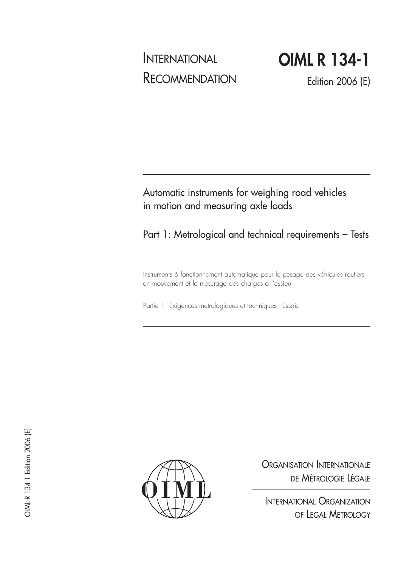# INTERNATIONAL **RECOMMENDATION**

**OIML R 134-1**

Edition 2006 (E)

Automatic instruments for weighing road vehicles in motion and measuring axle loads

Part 1: Metrological and technical requirements – Tests

Instruments à fonctionnement automatique pour le pesage des véhicules routiers en mouvement et le mesurage des charges à l'essieu

Partie 1: Exigences métrologiques et techniques - Essais



ORGANISATION INTERNATIONALE DE MÉTROLOGIE LÉGALE

INTERNATIONAL ORGANIZATION OF LEGAL METROLOGY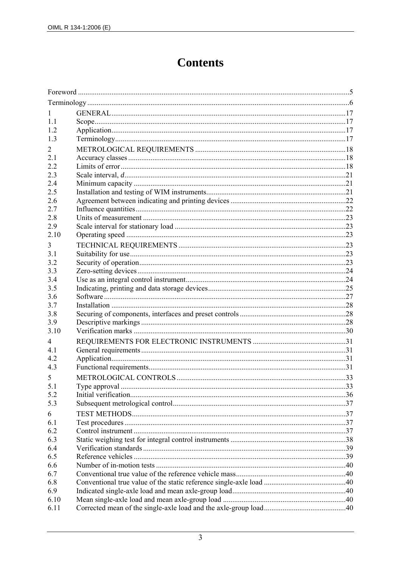## **Contents**

| 1    |               |     |  |
|------|---------------|-----|--|
| 1.1  |               |     |  |
| 1.2  |               |     |  |
| 1.3  |               |     |  |
| 2    |               |     |  |
| 2.1  |               |     |  |
| 2.2  |               |     |  |
| 2.3  |               |     |  |
| 2.4  |               |     |  |
| 2.5  |               |     |  |
| 2.6  |               |     |  |
| 2.7  |               |     |  |
| 2.8  |               |     |  |
| 2.9  |               |     |  |
| 2.10 |               |     |  |
| 3    |               |     |  |
| 3.1  |               |     |  |
| 3.2  |               |     |  |
| 3.3  |               |     |  |
| 3.4  |               |     |  |
| 3.5  |               |     |  |
| 3.6  |               |     |  |
| 3.7  |               |     |  |
| 3.8  |               |     |  |
| 3.9  |               |     |  |
| 3.10 |               |     |  |
| 4    |               |     |  |
| 4.1  |               |     |  |
| 4.2  |               |     |  |
| 4.3  |               |     |  |
| 5    |               |     |  |
| 5.1  | Type approval | .33 |  |
| 5.2  |               |     |  |
| 5.3  |               |     |  |
| 6    |               |     |  |
| 6.1  |               |     |  |
| 6.2  |               |     |  |
| 6.3  |               |     |  |
| 6.4  |               |     |  |
| 6.5  |               |     |  |
| 6.6  |               |     |  |
| 6.7  |               |     |  |
| 6.8  |               |     |  |
| 6.9  |               |     |  |
| 6.10 |               |     |  |
| 6.11 |               |     |  |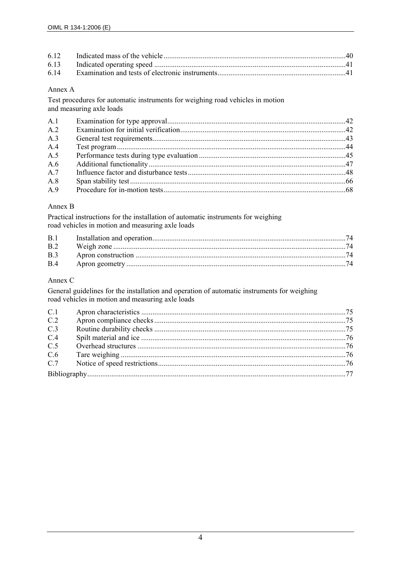| 6.14 |  |
|------|--|

#### Annex A

Test procedures for automatic instruments for weighing road vehicles in motion and measuring axle loads

| $\mathsf{A}$ 1 |  |
|----------------|--|
| A <sub>2</sub> |  |
| A.3            |  |
| $A_4$          |  |
| A.5            |  |
| A $6$          |  |
| A.7            |  |
| A8             |  |
| A.9            |  |

#### Annex B

Practical instructions for the installation of automatic instruments for weighing road vehicles in motion and measuring axle loads

| B.1            |  |
|----------------|--|
| B.2            |  |
| B <sub>3</sub> |  |
| <b>B</b> 4     |  |

## Annex C

General guidelines for the installation and operation of automatic instruments for weighing road vehicles in motion and measuring axle loads

| C.1 |  |
|-----|--|
| C.2 |  |
| C.3 |  |
| C.4 |  |
| C.5 |  |
| C.6 |  |
| C.7 |  |
|     |  |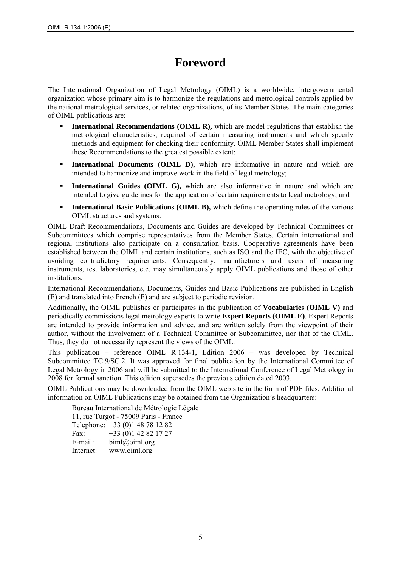## **Foreword**

The International Organization of Legal Metrology (OIML) is a worldwide, intergovernmental organization whose primary aim is to harmonize the regulations and metrological controls applied by the national metrological services, or related organizations, of its Member States. The main categories of OIML publications are:

- **International Recommendations (OIML R),** which are model regulations that establish the metrological characteristics, required of certain measuring instruments and which specify methods and equipment for checking their conformity. OIML Member States shall implement these Recommendations to the greatest possible extent;
- **International Documents (OIML D),** which are informative in nature and which are intended to harmonize and improve work in the field of legal metrology;
- **International Guides (OIML G),** which are also informative in nature and which are intended to give guidelines for the application of certain requirements to legal metrology; and
- **International Basic Publications (OIML B),** which define the operating rules of the various OIML structures and systems.

OIML Draft Recommendations, Documents and Guides are developed by Technical Committees or Subcommittees which comprise representatives from the Member States. Certain international and regional institutions also participate on a consultation basis. Cooperative agreements have been established between the OIML and certain institutions, such as ISO and the IEC, with the objective of avoiding contradictory requirements. Consequently, manufacturers and users of measuring instruments, test laboratories, etc. may simultaneously apply OIML publications and those of other institutions.

International Recommendations, Documents, Guides and Basic Publications are published in English (E) and translated into French (F) and are subject to periodic revision.

Additionally, the OIML publishes or participates in the publication of **Vocabularies (OIML V)** and periodically commissions legal metrology experts to write **Expert Reports (OIML E)**. Expert Reports are intended to provide information and advice, and are written solely from the viewpoint of their author, without the involvement of a Technical Committee or Subcommittee, nor that of the CIML. Thus, they do not necessarily represent the views of the OIML.

This publication – reference OIML R 134-1, Edition 2006 – was developed by Technical Subcommittee TC 9/SC 2. It was approved for final publication by the International Committee of Legal Metrology in 2006 and will be submitted to the International Conference of Legal Metrology in 2008 for formal sanction. This edition supersedes the previous edition dated 2003.

OIML Publications may be downloaded from the OIML web site in the form of PDF files. Additional information on OIML Publications may be obtained from the Organization's headquarters:

Bureau International de Métrologie Légale 11, rue Turgot - 75009 Paris - France Telephone: +33 (0)1 48 78 12 82 Fax:  $+33(0)142821727$ E-mail: biml@oiml.org Internet: www.oiml.org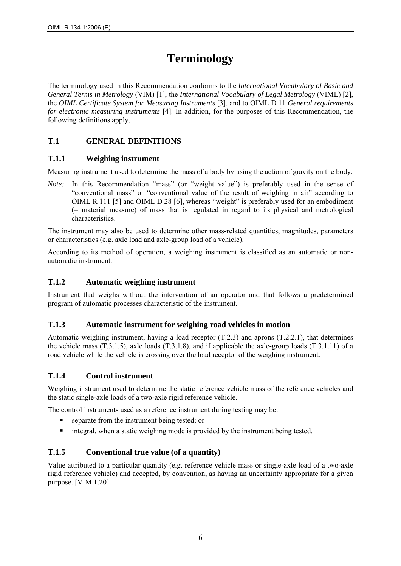## **Terminology**

The terminology used in this Recommendation conforms to the *International Vocabulary of Basic and General Terms in Metrology* (VIM) [1], the *International Vocabulary of Legal Metrology* (VIML) [2], the *OIML Certificate System for Measuring Instruments* [3], and to OIML D 11 *General requirements for electronic measuring instruments* [4]. In addition, for the purposes of this Recommendation, the following definitions apply.

## **T.1 GENERAL DEFINITIONS**

## **T.1.1 Weighing instrument**

Measuring instrument used to determine the mass of a body by using the action of gravity on the body.

*Note:* In this Recommendation "mass" (or "weight value") is preferably used in the sense of "conventional mass" or "conventional value of the result of weighing in air" according to OIML R 111 [5] and OIML D 28 [6], whereas "weight" is preferably used for an embodiment (= material measure) of mass that is regulated in regard to its physical and metrological characteristics.

The instrument may also be used to determine other mass-related quantities, magnitudes, parameters or characteristics (e.g. axle load and axle-group load of a vehicle).

According to its method of operation, a weighing instrument is classified as an automatic or nonautomatic instrument.

## **T.1.2 Automatic weighing instrument**

Instrument that weighs without the intervention of an operator and that follows a predetermined program of automatic processes characteristic of the instrument.

## **T.1.3 Automatic instrument for weighing road vehicles in motion**

Automatic weighing instrument, having a load receptor  $(T.2.3)$  and aprons  $(T.2.2.1)$ , that determines the vehicle mass  $(T.3.1.5)$ , axle loads  $(T.3.1.8)$ , and if applicable the axle-group loads  $(T.3.1.11)$  of a road vehicle while the vehicle is crossing over the load receptor of the weighing instrument.

## **T.1.4 Control instrument**

Weighing instrument used to determine the static reference vehicle mass of the reference vehicles and the static single-axle loads of a two-axle rigid reference vehicle.

The control instruments used as a reference instrument during testing may be:

- separate from the instrument being tested; or
- integral, when a static weighing mode is provided by the instrument being tested.

## **T.1.5 Conventional true value (of a quantity)**

Value attributed to a particular quantity (e.g. reference vehicle mass or single-axle load of a two-axle rigid reference vehicle) and accepted, by convention, as having an uncertainty appropriate for a given purpose. [VIM 1.20]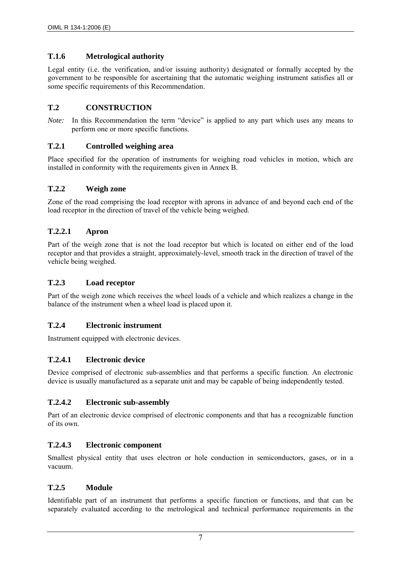## **T.1.6 Metrological authority**

Legal entity (i.e. the verification, and/or issuing authority) designated or formally accepted by the government to be responsible for ascertaining that the automatic weighing instrument satisfies all or some specific requirements of this Recommendation.

## **T.2 CONSTRUCTION**

*Note:* In this Recommendation the term "device" is applied to any part which uses any means to perform one or more specific functions.

## **T.2.1 Controlled weighing area**

Place specified for the operation of instruments for weighing road vehicles in motion, which are installed in conformity with the requirements given in Annex B.

## **T.2.2 Weigh zone**

Zone of the road comprising the load receptor with aprons in advance of and beyond each end of the load receptor in the direction of travel of the vehicle being weighed.

#### **T.2.2.1 Apron**

Part of the weigh zone that is not the load receptor but which is located on either end of the load receptor and that provides a straight, approximately-level, smooth track in the direction of travel of the vehicle being weighed.

#### **T.2.3 Load receptor**

Part of the weigh zone which receives the wheel loads of a vehicle and which realizes a change in the balance of the instrument when a wheel load is placed upon it.

#### **T.2.4 Electronic instrument**

Instrument equipped with electronic devices.

## **T.2.4.1 Electronic device**

Device comprised of electronic sub-assemblies and that performs a specific function. An electronic device is usually manufactured as a separate unit and may be capable of being independently tested.

#### **T.2.4.2 Electronic sub-assembly**

Part of an electronic device comprised of electronic components and that has a recognizable function of its own.

#### **T.2.4.3 Electronic component**

Smallest physical entity that uses electron or hole conduction in semiconductors, gases, or in a vacuum.

#### **T.2.5 Module**

Identifiable part of an instrument that performs a specific function or functions, and that can be separately evaluated according to the metrological and technical performance requirements in the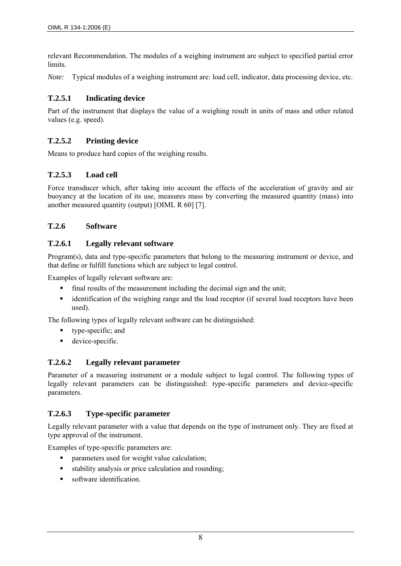relevant Recommendation. The modules of a weighing instrument are subject to specified partial error limits.

*Note:* Typical modules of a weighing instrument are: load cell, indicator, data processing device, etc.

## **T.2.5.1 Indicating device**

Part of the instrument that displays the value of a weighing result in units of mass and other related values (e.g. speed).

## **T.2.5.2 Printing device**

Means to produce hard copies of the weighing results.

## **T.2.5.3 Load cell**

Force transducer which, after taking into account the effects of the acceleration of gravity and air buoyancy at the location of its use, measures mass by converting the measured quantity (mass) into another measured quantity (output) [OIML R 60] [7].

## **T.2.6 Software**

## **T.2.6.1 Legally relevant software**

Program(s), data and type-specific parameters that belong to the measuring instrument or device, and that define or fulfill functions which are subject to legal control.

Examples of legally relevant software are:

- final results of the measurement including the decimal sign and the unit;
- identification of the weighing range and the load receptor (if several load receptors have been used).

The following types of legally relevant software can be distinguished:

- type-specific; and
- **device-specific.**

## **T.2.6.2 Legally relevant parameter**

Parameter of a measuring instrument or a module subject to legal control. The following types of legally relevant parameters can be distinguished: type-specific parameters and device-specific parameters.

## **T.2.6.3 Type-specific parameter**

Legally relevant parameter with a value that depends on the type of instrument only. They are fixed at type approval of the instrument.

Examples of type-specific parameters are:

- **•** parameters used for weight value calculation;
- stability analysis or price calculation and rounding;
- software identification.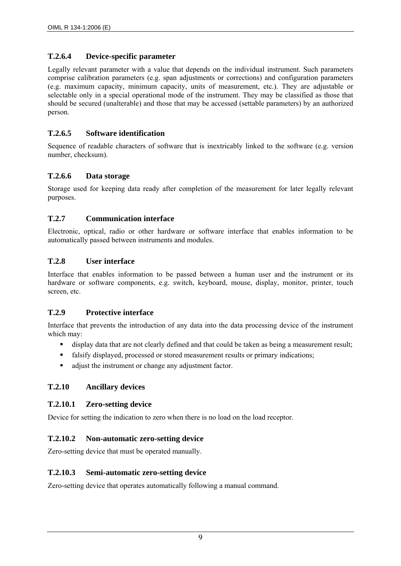## **T.2.6.4 Device-specific parameter**

Legally relevant parameter with a value that depends on the individual instrument. Such parameters comprise calibration parameters (e.g. span adjustments or corrections) and configuration parameters (e.g. maximum capacity, minimum capacity, units of measurement, etc.). They are adjustable or selectable only in a special operational mode of the instrument. They may be classified as those that should be secured (unalterable) and those that may be accessed (settable parameters) by an authorized person.

## **T.2.6.5 Software identification**

Sequence of readable characters of software that is inextricably linked to the software (e.g. version number, checksum).

## **T.2.6.6 Data storage**

Storage used for keeping data ready after completion of the measurement for later legally relevant purposes.

## **T.2.7 Communication interface**

Electronic, optical, radio or other hardware or software interface that enables information to be automatically passed between instruments and modules.

#### **T.2.8 User interface**

Interface that enables information to be passed between a human user and the instrument or its hardware or software components, e.g. switch, keyboard, mouse, display, monitor, printer, touch screen, etc.

## **T.2.9 Protective interface**

Interface that prevents the introduction of any data into the data processing device of the instrument which may:

- display data that are not clearly defined and that could be taken as being a measurement result;
- falsify displayed, processed or stored measurement results or primary indications;
- adjust the instrument or change any adjustment factor.

## **T.2.10 Ancillary devices**

## **T.2.10.1 Zero-setting device**

Device for setting the indication to zero when there is no load on the load receptor.

## **T.2.10.2 Non-automatic zero-setting device**

Zero-setting device that must be operated manually.

#### **T.2.10.3 Semi-automatic zero-setting device**

Zero-setting device that operates automatically following a manual command.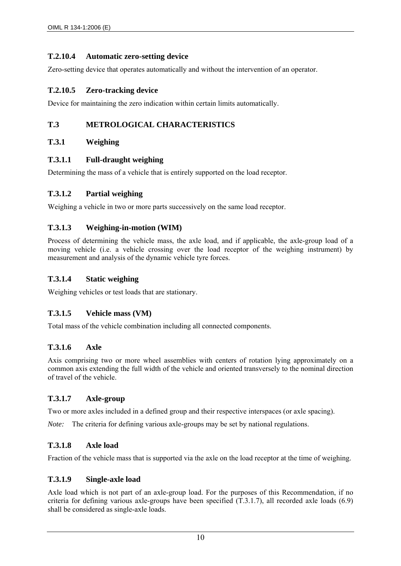## **T.2.10.4 Automatic zero-setting device**

Zero-setting device that operates automatically and without the intervention of an operator.

## **T.2.10.5 Zero-tracking device**

Device for maintaining the zero indication within certain limits automatically.

## **T.3 METROLOGICAL CHARACTERISTICS**

#### **T.3.1 Weighing**

#### **T.3.1.1 Full-draught weighing**

Determining the mass of a vehicle that is entirely supported on the load receptor.

#### **T.3.1.2 Partial weighing**

Weighing a vehicle in two or more parts successively on the same load receptor.

#### **T.3.1.3 Weighing-in-motion (WIM)**

Process of determining the vehicle mass, the axle load, and if applicable, the axle-group load of a moving vehicle (i.e. a vehicle crossing over the load receptor of the weighing instrument) by measurement and analysis of the dynamic vehicle tyre forces.

### **T.3.1.4 Static weighing**

Weighing vehicles or test loads that are stationary.

## **T.3.1.5 Vehicle mass (VM)**

Total mass of the vehicle combination including all connected components.

## **T.3.1.6 Axle**

Axis comprising two or more wheel assemblies with centers of rotation lying approximately on a common axis extending the full width of the vehicle and oriented transversely to the nominal direction of travel of the vehicle.

## **T.3.1.7 Axle-group**

Two or more axles included in a defined group and their respective interspaces (or axle spacing).

*Note:* The criteria for defining various axle-groups may be set by national regulations.

## **T.3.1.8 Axle load**

Fraction of the vehicle mass that is supported via the axle on the load receptor at the time of weighing.

## **T.3.1.9 Single-axle load**

Axle load which is not part of an axle-group load. For the purposes of this Recommendation, if no criteria for defining various axle-groups have been specified (T.3.1.7), all recorded axle loads (6.9) shall be considered as single-axle loads.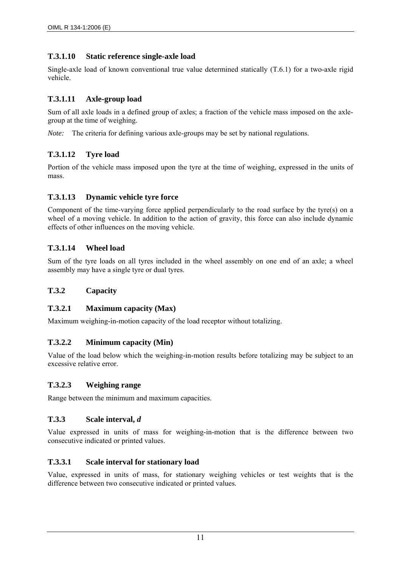## **T.3.1.10 Static reference single-axle load**

Single-axle load of known conventional true value determined statically (T.6.1) for a two-axle rigid vehicle.

## **T.3.1.11 Axle-group load**

Sum of all axle loads in a defined group of axles; a fraction of the vehicle mass imposed on the axlegroup at the time of weighing.

*Note:* The criteria for defining various axle-groups may be set by national regulations.

## **T.3.1.12 Tyre load**

Portion of the vehicle mass imposed upon the tyre at the time of weighing, expressed in the units of mass.

## **T.3.1.13 Dynamic vehicle tyre force**

Component of the time-varying force applied perpendicularly to the road surface by the tyre(s) on a wheel of a moving vehicle. In addition to the action of gravity, this force can also include dynamic effects of other influences on the moving vehicle.

## **T.3.1.14 Wheel load**

Sum of the tyre loads on all tyres included in the wheel assembly on one end of an axle; a wheel assembly may have a single tyre or dual tyres.

## **T.3.2 Capacity**

## **T.3.2.1 Maximum capacity (Max)**

Maximum weighing-in-motion capacity of the load receptor without totalizing.

## **T.3.2.2 Minimum capacity (Min)**

Value of the load below which the weighing-in-motion results before totalizing may be subject to an excessive relative error.

## **T.3.2.3 Weighing range**

Range between the minimum and maximum capacities.

## **T.3.3 Scale interval,** *d*

Value expressed in units of mass for weighing-in-motion that is the difference between two consecutive indicated or printed values.

## **T.3.3.1 Scale interval for stationary load**

Value, expressed in units of mass, for stationary weighing vehicles or test weights that is the difference between two consecutive indicated or printed values.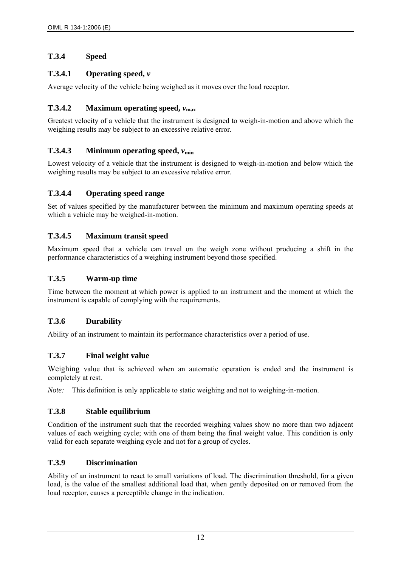## **T.3.4 Speed**

## **T.3.4.1 Operating speed,** *v*

Average velocity of the vehicle being weighed as it moves over the load receptor.

## **T.3.4.2** Maximum operating speed,  $v_{\text{max}}$

Greatest velocity of a vehicle that the instrument is designed to weigh-in-motion and above which the weighing results may be subject to an excessive relative error.

## **T.3.4.3** Minimum operating speed,  $v_{\text{min}}$

Lowest velocity of a vehicle that the instrument is designed to weigh-in-motion and below which the weighing results may be subject to an excessive relative error.

## **T.3.4.4 Operating speed range**

Set of values specified by the manufacturer between the minimum and maximum operating speeds at which a vehicle may be weighed-in-motion.

## **T.3.4.5 Maximum transit speed**

Maximum speed that a vehicle can travel on the weigh zone without producing a shift in the performance characteristics of a weighing instrument beyond those specified.

## **T.3.5 Warm-up time**

Time between the moment at which power is applied to an instrument and the moment at which the instrument is capable of complying with the requirements.

## **T.3.6 Durability**

Ability of an instrument to maintain its performance characteristics over a period of use.

## **T.3.7 Final weight value**

Weighing value that is achieved when an automatic operation is ended and the instrument is completely at rest.

*Note:* This definition is only applicable to static weighing and not to weighing-in-motion.

## **T.3.8 Stable equilibrium**

Condition of the instrument such that the recorded weighing values show no more than two adjacent values of each weighing cycle; with one of them being the final weight value. This condition is only valid for each separate weighing cycle and not for a group of cycles.

## **T.3.9 Discrimination**

Ability of an instrument to react to small variations of load. The discrimination threshold, for a given load, is the value of the smallest additional load that, when gently deposited on or removed from the load receptor, causes a perceptible change in the indication.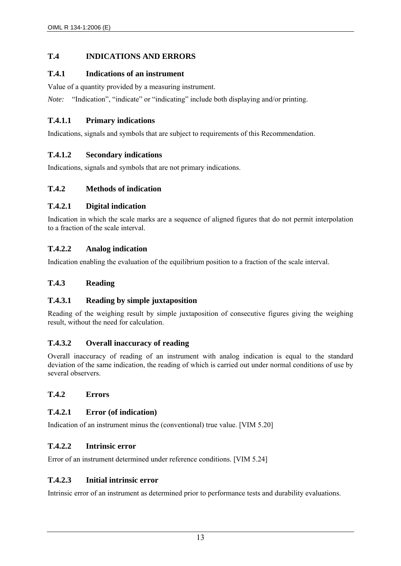## **T.4 INDICATIONS AND ERRORS**

## **T.4.1 Indications of an instrument**

Value of a quantity provided by a measuring instrument.

*Note:* "Indication", "indicate" or "indicating" include both displaying and/or printing.

## **T.4.1.1 Primary indications**

Indications, signals and symbols that are subject to requirements of this Recommendation.

## **T.4.1.2 Secondary indications**

Indications, signals and symbols that are not primary indications.

## **T.4.2 Methods of indication**

## **T.4.2.1 Digital indication**

Indication in which the scale marks are a sequence of aligned figures that do not permit interpolation to a fraction of the scale interval.

## **T.4.2.2 Analog indication**

Indication enabling the evaluation of the equilibrium position to a fraction of the scale interval.

### **T.4.3 Reading**

## **T.4.3.1 Reading by simple juxtaposition**

Reading of the weighing result by simple juxtaposition of consecutive figures giving the weighing result, without the need for calculation.

## **T.4.3.2 Overall inaccuracy of reading**

Overall inaccuracy of reading of an instrument with analog indication is equal to the standard deviation of the same indication, the reading of which is carried out under normal conditions of use by several observers.

## **T.4.2 Errors**

## **T.4.2.1 Error (of indication)**

Indication of an instrument minus the (conventional) true value. [VIM 5.20]

### **T.4.2.2 Intrinsic error**

Error of an instrument determined under reference conditions. [VIM 5.24]

## **T.4.2.3 Initial intrinsic error**

Intrinsic error of an instrument as determined prior to performance tests and durability evaluations.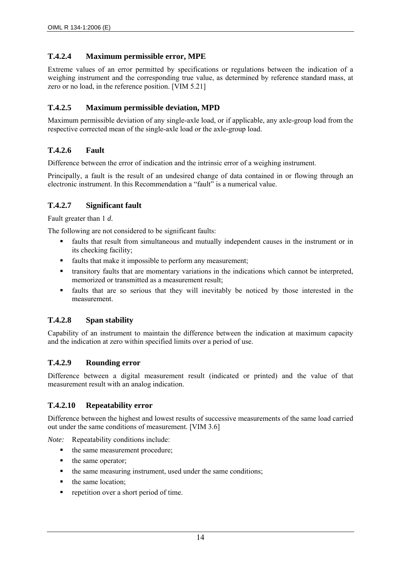## **T.4.2.4 Maximum permissible error, MPE**

Extreme values of an error permitted by specifications or regulations between the indication of a weighing instrument and the corresponding true value, as determined by reference standard mass, at zero or no load, in the reference position. [VIM 5.21]

## **T.4.2.5 Maximum permissible deviation, MPD**

Maximum permissible deviation of any single-axle load, or if applicable, any axle-group load from the respective corrected mean of the single-axle load or the axle-group load.

## **T.4.2.6 Fault**

Difference between the error of indication and the intrinsic error of a weighing instrument.

Principally, a fault is the result of an undesired change of data contained in or flowing through an electronic instrument. In this Recommendation a "fault" is a numerical value.

## **T.4.2.7 Significant fault**

Fault greater than 1 *d*.

The following are not considered to be significant faults:

- faults that result from simultaneous and mutually independent causes in the instrument or in its checking facility;
- faults that make it impossible to perform any measurement;
- transitory faults that are momentary variations in the indications which cannot be interpreted, memorized or transmitted as a measurement result;
- faults that are so serious that they will inevitably be noticed by those interested in the measurement.

## **T.4.2.8 Span stability**

Capability of an instrument to maintain the difference between the indication at maximum capacity and the indication at zero within specified limits over a period of use.

## **T.4.2.9 Rounding error**

Difference between a digital measurement result (indicated or printed) and the value of that measurement result with an analog indication.

## **T.4.2.10 Repeatability error**

Difference between the highest and lowest results of successive measurements of the same load carried out under the same conditions of measurement. [VIM 3.6]

*Note:* Repeatability conditions include:

- the same measurement procedure;
- the same operator;
- the same measuring instrument, used under the same conditions;
- the same location;
- repetition over a short period of time.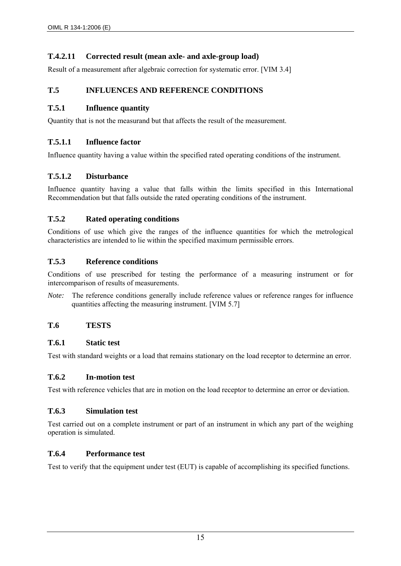## **T.4.2.11 Corrected result (mean axle- and axle-group load)**

Result of a measurement after algebraic correction for systematic error. [VIM 3.4]

## **T.5 INFLUENCES AND REFERENCE CONDITIONS**

## **T.5.1 Influence quantity**

Quantity that is not the measurand but that affects the result of the measurement.

## **T.5.1.1 Influence factor**

Influence quantity having a value within the specified rated operating conditions of the instrument.

## **T.5.1.2 Disturbance**

Influence quantity having a value that falls within the limits specified in this International Recommendation but that falls outside the rated operating conditions of the instrument.

## **T.5.2 Rated operating conditions**

Conditions of use which give the ranges of the influence quantities for which the metrological characteristics are intended to lie within the specified maximum permissible errors.

#### **T.5.3 Reference conditions**

Conditions of use prescribed for testing the performance of a measuring instrument or for intercomparison of results of measurements.

*Note:* The reference conditions generally include reference values or reference ranges for influence quantities affecting the measuring instrument. [VIM 5.7]

## **T.6 TESTS**

#### **T.6.1 Static test**

Test with standard weights or a load that remains stationary on the load receptor to determine an error.

## **T.6.2 In-motion test**

Test with reference vehicles that are in motion on the load receptor to determine an error or deviation.

## **T.6.3 Simulation test**

Test carried out on a complete instrument or part of an instrument in which any part of the weighing operation is simulated.

## **T.6.4 Performance test**

Test to verify that the equipment under test (EUT) is capable of accomplishing its specified functions.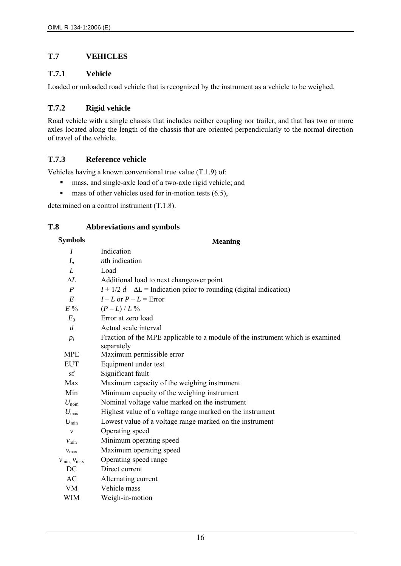## **T.7 VEHICLES**

## **T.7.1 Vehicle**

Loaded or unloaded road vehicle that is recognized by the instrument as a vehicle to be weighed.

## **T.7.2 Rigid vehicle**

Road vehicle with a single chassis that includes neither coupling nor trailer, and that has two or more axles located along the length of the chassis that are oriented perpendicularly to the normal direction of travel of the vehicle.

## **T.7.3 Reference vehicle**

Vehicles having a known conventional true value (T.1.9) of:

- mass, and single-axle load of a two-axle rigid vehicle; and
- $\blacksquare$  mass of other vehicles used for in-motion tests (6.5),

determined on a control instrument (T.1.8).

## **T.8 Abbreviations and symbols**

## **Symbols Meaning**

| I                                   | Indication                                                                                   |
|-------------------------------------|----------------------------------------------------------------------------------------------|
| $I_n$                               | nth indication                                                                               |
| L                                   | Load                                                                                         |
| ΛL                                  | Additional load to next changeover point                                                     |
| $\boldsymbol{P}$                    | $I + 1/2 d - \Delta L$ = Indication prior to rounding (digital indication)                   |
| E                                   | $I - L$ or $P - L =$ Error                                                                   |
| $E\%$                               | $(P - L)/L\%$                                                                                |
| $E_0$                               | Error at zero load                                                                           |
| d                                   | Actual scale interval                                                                        |
| $p_i$                               | Fraction of the MPE applicable to a module of the instrument which is examined<br>separately |
| <b>MPE</b>                          | Maximum permissible error                                                                    |
| <b>EUT</b>                          | Equipment under test                                                                         |
| sf                                  | Significant fault                                                                            |
| Max                                 | Maximum capacity of the weighing instrument                                                  |
| Min                                 | Minimum capacity of the weighing instrument                                                  |
| $U_{\text{nom}}$                    | Nominal voltage value marked on the instrument                                               |
| $U_{\rm max}$                       | Highest value of a voltage range marked on the instrument                                    |
| $U_{\min}$                          | Lowest value of a voltage range marked on the instrument                                     |
| $\mathcal{V}$                       | Operating speed                                                                              |
| $v_{\rm min}$                       | Minimum operating speed                                                                      |
| $v_{\text{max}}$                    | Maximum operating speed                                                                      |
| $V_{\text{min}}$ , $V_{\text{max}}$ | Operating speed range                                                                        |
| DC                                  | Direct current                                                                               |
| AC                                  | Alternating current                                                                          |
| <b>VM</b>                           | Vehicle mass                                                                                 |
| WIM                                 | Weigh-in-motion                                                                              |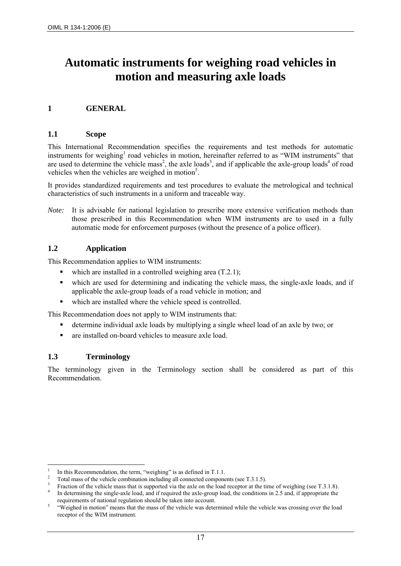## **Automatic instruments for weighing road vehicles in motion and measuring axle loads**

## **1 GENERAL**

#### **1.1 Scope**

This International Recommendation specifies the requirements and test methods for automatic instruments for weighing<sup>1</sup> road vehicles in motion, hereinafter referred to as "WIM instruments" that are used to determine the vehicle mass<sup>2</sup>, the axle loads<sup>3</sup>, and if applicable the axle-group loads<sup>4</sup> of road vehicles when the vehicles are weighed in motion<sup>5</sup>.

It provides standardized requirements and test procedures to evaluate the metrological and technical characteristics of such instruments in a uniform and traceable way.

*Note:* It is advisable for national legislation to prescribe more extensive verification methods than those prescribed in this Recommendation when WIM instruments are to used in a fully automatic mode for enforcement purposes (without the presence of a police officer).

#### **1.2 Application**

This Recommendation applies to WIM instruments:

- which are installed in a controlled weighing area  $(T.2.1)$ ;
- which are used for determining and indicating the vehicle mass, the single-axle loads, and if applicable the axle-group loads of a road vehicle in motion; and
- which are installed where the vehicle speed is controlled.

This Recommendation does not apply to WIM instruments that:

- determine individual axle loads by multiplying a single wheel load of an axle by two; or
- are installed on-board vehicles to measure axle load.

#### **1.3 Terminology**

1

The terminology given in the Terminology section shall be considered as part of this Recommendation.

<sup>1</sup> In this Recommendation, the term, "weighing" is as defined in T.1.1.

Total mass of the vehicle combination including all connected components (see T.3.1.5). 3

Fraction of the vehicle mass that is supported via the axle on the load receptor at the time of weighing (see T.3.1.8).

In determining the single-axle load, and if required the axle-group load, the conditions in 2.5 and, if appropriate the requirements of national regulation should be taken into account.

 <sup>&</sup>quot;Weighed in motion" means that the mass of the vehicle was determined while the vehicle was crossing over the load receptor of the WIM instrument.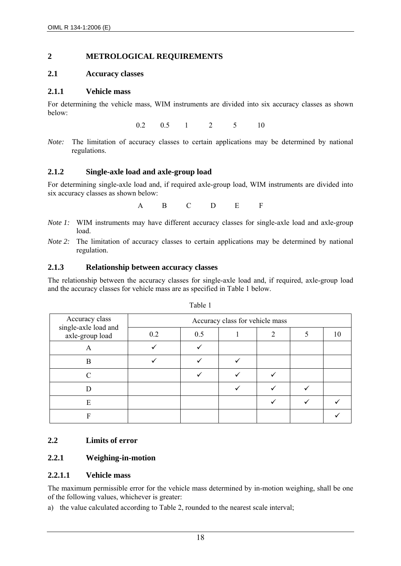#### **2 METROLOGICAL REQUIREMENTS**

#### **2.1 Accuracy classes**

#### **2.1.1 Vehicle mass**

For determining the vehicle mass, WIM instruments are divided into six accuracy classes as shown below:

0.2 0.5 1 2 5 10

#### **2.1.2 Single-axle load and axle-group load**

For determining single-axle load and, if required axle-group load, WIM instruments are divided into six accuracy classes as shown below:

A B C D E F

- *Note 1:* WIM instruments may have different accuracy classes for single-axle load and axle-group load.
- *Note 2:* The limitation of accuracy classes to certain applications may be determined by national regulation.

#### **2.1.3 Relationship between accuracy classes**

The relationship between the accuracy classes for single-axle load and, if required, axle-group load and the accuracy classes for vehicle mass are as specified in Table 1 below.

| Accuracy class                          | Accuracy class for vehicle mass |     |  |  |  |  |
|-----------------------------------------|---------------------------------|-----|--|--|--|--|
| single-axle load and<br>axle-group load | 0.2                             | 0.5 |  |  |  |  |
|                                         |                                 |     |  |  |  |  |
| B                                       |                                 |     |  |  |  |  |
|                                         |                                 |     |  |  |  |  |
|                                         |                                 |     |  |  |  |  |
| E                                       |                                 |     |  |  |  |  |
|                                         |                                 |     |  |  |  |  |

Table 1

#### **2.2 Limits of error**

## **2.2.1 Weighing-in-motion**

#### **2.2.1.1 Vehicle mass**

The maximum permissible error for the vehicle mass determined by in-motion weighing, shall be one of the following values, whichever is greater:

a) the value calculated according to Table 2, rounded to the nearest scale interval;

*Note:* The limitation of accuracy classes to certain applications may be determined by national regulations.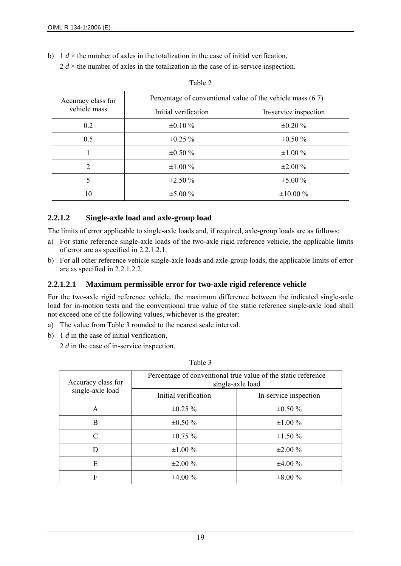b) 1  $d \times$  the number of axles in the totalization in the case of initial verification,

 $2 d \times$  the number of axles in the totalization in the case of in-service inspection.

| Accuracy class for          | Percentage of conventional value of the vehicle mass (6.7) |                       |  |  |
|-----------------------------|------------------------------------------------------------|-----------------------|--|--|
| vehicle mass                | Initial verification                                       | In-service inspection |  |  |
| 0.2                         | $\pm 0.10 \%$                                              | $\pm 0.20 \%$         |  |  |
| 0.5                         | $\pm 0.25 \%$                                              | $\pm 0.50 \%$         |  |  |
|                             | $\pm 0.50 \%$                                              | $\pm 1.00 \%$         |  |  |
| $\mathcal{D}_{\mathcal{L}}$ | $\pm 1.00 \%$                                              | $\pm 2.00 \%$         |  |  |
| 5                           | $\pm 2.50 \%$                                              | $\pm 5.00 \%$         |  |  |
| 10                          | $\pm 5.00 \%$                                              | $\pm 10.00 \%$        |  |  |

| × |  |
|---|--|
|---|--|

## **2.2.1.2 Single-axle load and axle-group load**

The limits of error applicable to single-axle loads and, if required, axle-group loads are as follows:

- a) For static reference single-axle loads of the two-axle rigid reference vehicle, the applicable limits of error are as specified in 2.2.1.2.1.
- b) For all other reference vehicle single-axle loads and axle-group loads, the applicable limits of error are as specified in 2.2.1.2.2.

## **2.2.1.2.1 Maximum permissible error for two-axle rigid reference vehicle**

For the two-axle rigid reference vehicle, the maximum difference between the indicated single-axle load for in-motion tests and the conventional true value of the static reference single-axle load shall not exceed one of the following values, whichever is the greater:

- a) The value from Table 3 rounded to the nearest scale interval.
- b) 1 *d* in the case of initial verification,
	- 2 *d* in the case of in-service inspection.

| Percentage of conventional true value of the static reference<br>single-axle load |                       |  |  |
|-----------------------------------------------------------------------------------|-----------------------|--|--|
| Initial verification                                                              | In-service inspection |  |  |
| $\pm 0.25 \%$                                                                     | $\pm 0.50 \%$         |  |  |
| $\pm 0.50 \%$                                                                     | $\pm 1.00 \%$         |  |  |
| $\pm 0.75 \%$                                                                     | $\pm 1.50 \%$         |  |  |
| $\pm 1.00 \%$                                                                     | $\pm 2.00 \%$         |  |  |
| $\pm 2.00 \%$                                                                     | $\pm 4.00\%$          |  |  |
| $\pm 4.00\%$                                                                      | $\pm 8.00 \%$         |  |  |
|                                                                                   |                       |  |  |

Table 3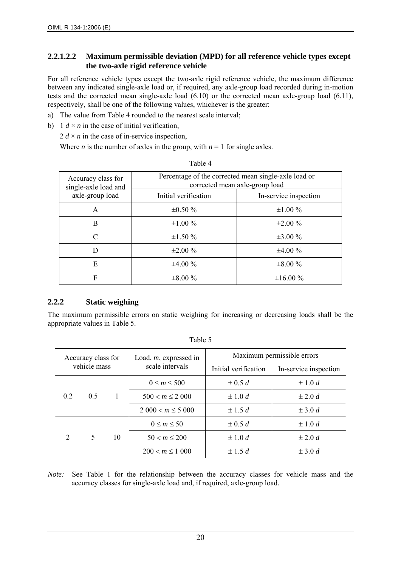## **2.2.1.2.2 Maximum permissible deviation (MPD) for all reference vehicle types except the two-axle rigid reference vehicle**

For all reference vehicle types except the two-axle rigid reference vehicle, the maximum difference between any indicated single-axle load or, if required, any axle-group load recorded during in-motion tests and the corrected mean single-axle load (6.10) or the corrected mean axle-group load (6.11), respectively, shall be one of the following values, whichever is the greater:

- a) The value from Table 4 rounded to the nearest scale interval;
- b) 1  $d \times n$  in the case of initial verification,

2  $d \times n$  in the case of in-service inspection,

Where *n* is the number of axles in the group, with  $n = 1$  for single axles.

| Accuracy class for<br>single-axle load and | Percentage of the corrected mean single-axle load or<br>corrected mean axle-group load |                       |  |
|--------------------------------------------|----------------------------------------------------------------------------------------|-----------------------|--|
| axle-group load                            | Initial verification                                                                   | In-service inspection |  |
| A                                          | $\pm 0.50 \%$                                                                          | $\pm 1.00 \%$         |  |
| B                                          | $\pm 1.00 \%$                                                                          | $\pm 2.00 \%$         |  |
| C                                          | $\pm 1.50 \%$                                                                          | $\pm 3.00 \%$         |  |
| D                                          | $\pm 2.00 \%$                                                                          | $\pm 4.00\%$          |  |
| E                                          | $\pm 4.00\%$                                                                           | $\pm 8.00 \%$         |  |
| F                                          | $\pm 8.00\%$                                                                           | $\pm 16.00 \%$        |  |

#### Table 4

## **2.2.2 Static weighing**

The maximum permissible errors on static weighing for increasing or decreasing loads shall be the appropriate values in Table 5.

| Accuracy class for |          |                   | Load, $m$ , expressed in | Maximum permissible errors |                       |  |
|--------------------|----------|-------------------|--------------------------|----------------------------|-----------------------|--|
| vehicle mass       |          |                   | scale intervals          | Initial verification       | In-service inspection |  |
|                    |          |                   | $0 \le m \le 500$        | $\pm$ 0.5 d                | $\pm 1.0 d$           |  |
| 0.2                | 0.5      | $\blacksquare$    | $500 < m \leq 2000$      | $\pm 1.0 d$                | $\pm 2.0 d$           |  |
|                    |          |                   | $2000 < m \le 5000$      | $\pm$ 1.5 d                | $\pm$ 3.0 d           |  |
|                    |          |                   | $0 \leq m \leq 50$       | $\pm$ 0.5 d                | $\pm 1.0 d$           |  |
| $\mathcal{D}$      | .5<br>10 | $50 < m \leq 200$ | $\pm 1.0 d$              | $\pm 2.0 d$                |                       |  |
|                    |          |                   | $200 < m \le 1000$       | $\pm$ 1.5 d                | $\pm$ 3.0 d           |  |

| abie |  |
|------|--|
|      |  |

*Note:* See Table 1 for the relationship between the accuracy classes for vehicle mass and the accuracy classes for single-axle load and, if required, axle-group load.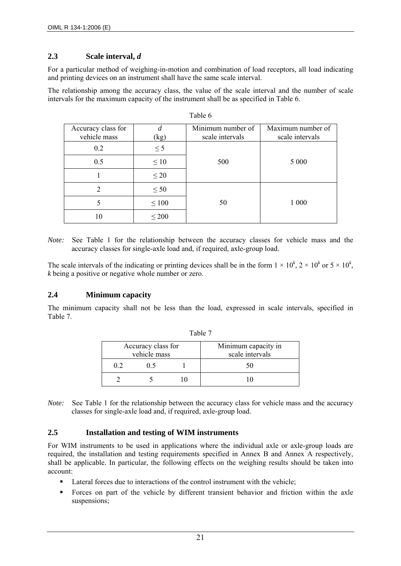#### **2.3 Scale interval,** *d*

For a particular method of weighing-in-motion and combination of load receptors, all load indicating and printing devices on an instrument shall have the same scale interval.

The relationship among the accuracy class, the value of the scale interval and the number of scale intervals for the maximum capacity of the instrument shall be as specified in Table 6.

| Accuracy class for<br>vehicle mass | (kg)       | Minimum number of<br>scale intervals | Maximum number of<br>scale intervals |
|------------------------------------|------------|--------------------------------------|--------------------------------------|
| 0.2                                | $\leq$ 5   |                                      |                                      |
| 0.5                                | $\leq 10$  | 500                                  | 5 0 0 0                              |
|                                    | $\leq 20$  |                                      |                                      |
|                                    | $\leq 50$  |                                      |                                      |
|                                    | $\leq 100$ | 50                                   | 1 0 0 0                              |
| 10                                 | $\leq 200$ |                                      |                                      |

Table 6

*Note:* See Table 1 for the relationship between the accuracy classes for vehicle mass and the accuracy classes for single-axle load and, if required, axle-group load.

The scale intervals of the indicating or printing devices shall be in the form  $1 \times 10^k$ ,  $2 \times 10^k$  or  $5 \times 10^k$ , *k* being a positive or negative whole number or zero.

#### **2.4 Minimum capacity**

The minimum capacity shall not be less than the load, expressed in scale intervals, specified in Table 7.

| Accuracy class for<br>vehicle mass |  | Minimum capacity in<br>scale intervals |  |
|------------------------------------|--|----------------------------------------|--|
|                                    |  |                                        |  |
|                                    |  |                                        |  |

|  | ٠ |  |
|--|---|--|
|--|---|--|

*Note:* See Table 1 for the relationship between the accuracy class for vehicle mass and the accuracy classes for single-axle load and, if required, axle-group load.

#### **2.5 Installation and testing of WIM instruments**

For WIM instruments to be used in applications where the individual axle or axle-group loads are required, the installation and testing requirements specified in Annex B and Annex A respectively, shall be applicable. In particular, the following effects on the weighing results should be taken into account:

- Lateral forces due to interactions of the control instrument with the vehicle;
- Forces on part of the vehicle by different transient behavior and friction within the axle suspensions;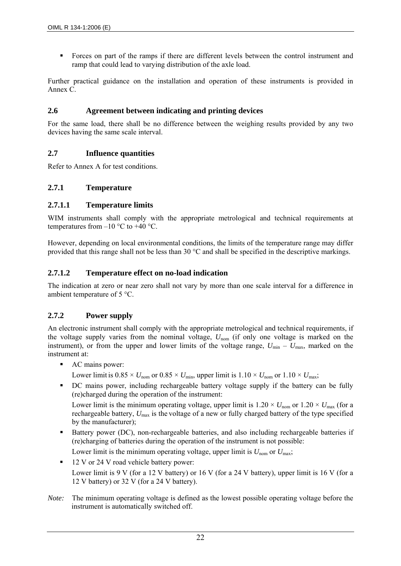Forces on part of the ramps if there are different levels between the control instrument and ramp that could lead to varying distribution of the axle load.

Further practical guidance on the installation and operation of these instruments is provided in Annex C.

## **2.6 Agreement between indicating and printing devices**

For the same load, there shall be no difference between the weighing results provided by any two devices having the same scale interval.

## **2.7 Influence quantities**

Refer to Annex A for test conditions.

## **2.7.1 Temperature**

## **2.7.1.1 Temperature limits**

WIM instruments shall comply with the appropriate metrological and technical requirements at temperatures from  $-10$  °C to  $+40$  °C.

However, depending on local environmental conditions, the limits of the temperature range may differ provided that this range shall not be less than 30 °C and shall be specified in the descriptive markings.

## **2.7.1.2 Temperature effect on no-load indication**

The indication at zero or near zero shall not vary by more than one scale interval for a difference in ambient temperature of 5 °C.

## **2.7.2 Power supply**

An electronic instrument shall comply with the appropriate metrological and technical requirements, if the voltage supply varies from the nominal voltage,  $U_{\text{nom}}$  (if only one voltage is marked on the instrument), or from the upper and lower limits of the voltage range,  $U_{\text{min}} - U_{\text{max}}$ , marked on the instrument at:

- AC mains power:
	- Lower limit is  $0.85 \times U_{\text{nom}}$  or  $0.85 \times U_{\text{min}}$ , upper limit is  $1.10 \times U_{\text{nom}}$  or  $1.10 \times U_{\text{max}}$ ;
- DC mains power, including rechargeable battery voltage supply if the battery can be fully (re)charged during the operation of the instrument:

Lower limit is the minimum operating voltage, upper limit is  $1.20 \times U_{\text{nom}}$  or  $1.20 \times U_{\text{max}}$  (for a rechargeable battery,  $U_{\text{max}}$  is the voltage of a new or fully charged battery of the type specified by the manufacturer);

Battery power (DC), non-rechargeable batteries, and also including rechargeable batteries if (re)charging of batteries during the operation of the instrument is not possible:

Lower limit is the minimum operating voltage, upper limit is  $U_{\text{nom}}$  or  $U_{\text{max}}$ ;

- 12 V or 24 V road vehicle battery power: Lower limit is 9 V (for a 12 V battery) or 16 V (for a 24 V battery), upper limit is 16 V (for a 12 V battery) or 32 V (for a 24 V battery).
- *Note:* The minimum operating voltage is defined as the lowest possible operating voltage before the instrument is automatically switched off.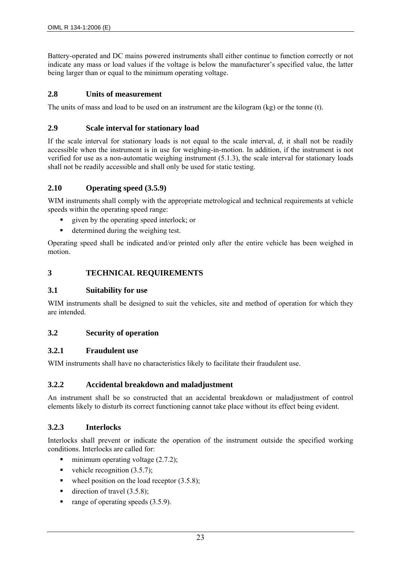Battery-operated and DC mains powered instruments shall either continue to function correctly or not indicate any mass or load values if the voltage is below the manufacturer's specified value, the latter being larger than or equal to the minimum operating voltage.

#### **2.8 Units of measurement**

The units of mass and load to be used on an instrument are the kilogram (kg) or the tonne (t).

#### **2.9 Scale interval for stationary load**

If the scale interval for stationary loads is not equal to the scale interval, *d*, it shall not be readily accessible when the instrument is in use for weighing-in-motion. In addition, if the instrument is not verified for use as a non-automatic weighing instrument (5.1.3), the scale interval for stationary loads shall not be readily accessible and shall only be used for static testing.

#### **2.10 Operating speed (3.5.9)**

WIM instruments shall comply with the appropriate metrological and technical requirements at vehicle speeds within the operating speed range:

- given by the operating speed interlock; or
- determined during the weighing test.

Operating speed shall be indicated and/or printed only after the entire vehicle has been weighed in motion.

#### **3 TECHNICAL REQUIREMENTS**

#### **3.1 Suitability for use**

WIM instruments shall be designed to suit the vehicles, site and method of operation for which they are intended.

#### **3.2 Security of operation**

#### **3.2.1 Fraudulent use**

WIM instruments shall have no characteristics likely to facilitate their fraudulent use.

#### **3.2.2 Accidental breakdown and maladjustment**

An instrument shall be so constructed that an accidental breakdown or maladjustment of control elements likely to disturb its correct functioning cannot take place without its effect being evident.

#### **3.2.3 Interlocks**

Interlocks shall prevent or indicate the operation of the instrument outside the specified working conditions. Interlocks are called for:

- minimum operating voltage  $(2.7.2)$ ;
- vehicle recognition  $(3.5.7)$ :
- wheel position on the load receptor  $(3.5.8)$ ;
- direction of travel  $(3.5.8)$ :
- $\blacksquare$  range of operating speeds (3.5.9).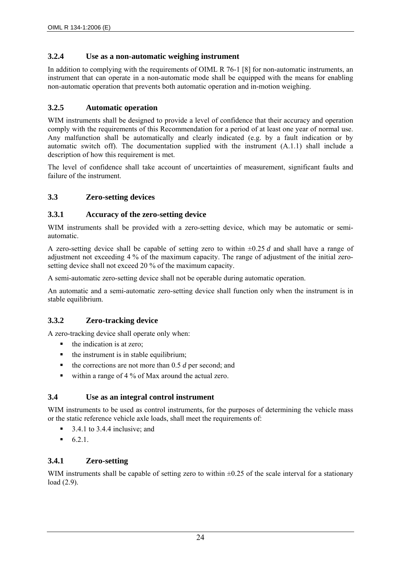## **3.2.4 Use as a non-automatic weighing instrument**

In addition to complying with the requirements of OIML R 76-1 [8] for non-automatic instruments, an instrument that can operate in a non-automatic mode shall be equipped with the means for enabling non-automatic operation that prevents both automatic operation and in-motion weighing.

## **3.2.5 Automatic operation**

WIM instruments shall be designed to provide a level of confidence that their accuracy and operation comply with the requirements of this Recommendation for a period of at least one year of normal use. Any malfunction shall be automatically and clearly indicated (e.g. by a fault indication or by automatic switch off). The documentation supplied with the instrument (A.1.1) shall include a description of how this requirement is met.

The level of confidence shall take account of uncertainties of measurement, significant faults and failure of the instrument.

## **3.3 Zero-setting devices**

## **3.3.1 Accuracy of the zero-setting device**

WIM instruments shall be provided with a zero-setting device, which may be automatic or semiautomatic.

A zero-setting device shall be capable of setting zero to within ±0.25 *d* and shall have a range of adjustment not exceeding 4 % of the maximum capacity. The range of adjustment of the initial zerosetting device shall not exceed 20 % of the maximum capacity.

A semi-automatic zero-setting device shall not be operable during automatic operation.

An automatic and a semi-automatic zero-setting device shall function only when the instrument is in stable equilibrium.

## **3.3.2 Zero-tracking device**

A zero-tracking device shall operate only when:

- $\blacksquare$  the indication is at zero;
- $\blacksquare$  the instrument is in stable equilibrium;
- $\blacksquare$  the corrections are not more than 0.5 *d* per second; and
- within a range of 4 % of Max around the actual zero.

#### **3.4 Use as an integral control instrument**

WIM instruments to be used as control instruments, for the purposes of determining the vehicle mass or the static reference vehicle axle loads, shall meet the requirements of:

- $\blacksquare$  3.4.1 to 3.4.4 inclusive; and
- $6.2.1.$

## **3.4.1 Zero-setting**

WIM instruments shall be capable of setting zero to within  $\pm 0.25$  of the scale interval for a stationary load (2.9).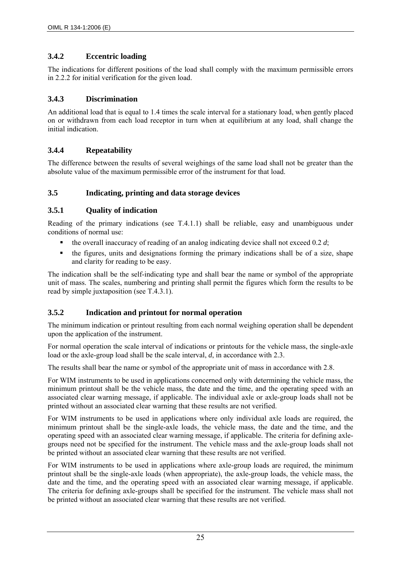## **3.4.2 Eccentric loading**

The indications for different positions of the load shall comply with the maximum permissible errors in 2.2.2 for initial verification for the given load.

## **3.4.3 Discrimination**

An additional load that is equal to 1.4 times the scale interval for a stationary load, when gently placed on or withdrawn from each load receptor in turn when at equilibrium at any load, shall change the initial indication.

## **3.4.4 Repeatability**

The difference between the results of several weighings of the same load shall not be greater than the absolute value of the maximum permissible error of the instrument for that load.

## **3.5 Indicating, printing and data storage devices**

## **3.5.1 Quality of indication**

Reading of the primary indications (see T.4.1.1) shall be reliable, easy and unambiguous under conditions of normal use:

- the overall inaccuracy of reading of an analog indicating device shall not exceed 0.2 *d*;
- the figures, units and designations forming the primary indications shall be of a size, shape and clarity for reading to be easy.

The indication shall be the self-indicating type and shall bear the name or symbol of the appropriate unit of mass. The scales, numbering and printing shall permit the figures which form the results to be read by simple juxtaposition (see T.4.3.1).

## **3.5.2 Indication and printout for normal operation**

The minimum indication or printout resulting from each normal weighing operation shall be dependent upon the application of the instrument.

For normal operation the scale interval of indications or printouts for the vehicle mass, the single-axle load or the axle-group load shall be the scale interval, *d*, in accordance with 2.3.

The results shall bear the name or symbol of the appropriate unit of mass in accordance with 2.8.

For WIM instruments to be used in applications concerned only with determining the vehicle mass, the minimum printout shall be the vehicle mass, the date and the time, and the operating speed with an associated clear warning message, if applicable. The individual axle or axle-group loads shall not be printed without an associated clear warning that these results are not verified.

For WIM instruments to be used in applications where only individual axle loads are required, the minimum printout shall be the single-axle loads, the vehicle mass, the date and the time, and the operating speed with an associated clear warning message, if applicable. The criteria for defining axlegroups need not be specified for the instrument. The vehicle mass and the axle-group loads shall not be printed without an associated clear warning that these results are not verified.

For WIM instruments to be used in applications where axle-group loads are required, the minimum printout shall be the single-axle loads (when appropriate), the axle-group loads, the vehicle mass, the date and the time, and the operating speed with an associated clear warning message, if applicable. The criteria for defining axle-groups shall be specified for the instrument. The vehicle mass shall not be printed without an associated clear warning that these results are not verified.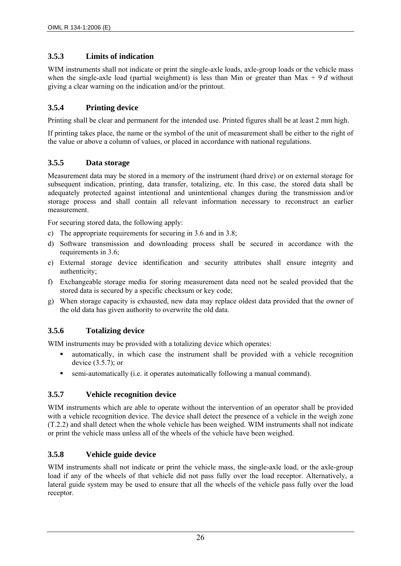## **3.5.3 Limits of indication**

WIM instruments shall not indicate or print the single-axle loads, axle-group loads or the vehicle mass when the single-axle load (partial weighment) is less than Min or greater than Max + 9 *d* without giving a clear warning on the indication and/or the printout.

## **3.5.4 Printing device**

Printing shall be clear and permanent for the intended use. Printed figures shall be at least 2 mm high.

If printing takes place, the name or the symbol of the unit of measurement shall be either to the right of the value or above a column of values, or placed in accordance with national regulations.

## **3.5.5 Data storage**

Measurement data may be stored in a memory of the instrument (hard drive) or on external storage for subsequent indication, printing, data transfer, totalizing, etc. In this case, the stored data shall be adequately protected against intentional and unintentional changes during the transmission and/or storage process and shall contain all relevant information necessary to reconstruct an earlier measurement.

For securing stored data, the following apply:

- c) The appropriate requirements for securing in 3.6 and in 3.8;
- d) Software transmission and downloading process shall be secured in accordance with the requirements in 3.6;
- e) External storage device identification and security attributes shall ensure integrity and authenticity;
- f) Exchangeable storage media for storing measurement data need not be sealed provided that the stored data is secured by a specific checksum or key code;
- g) When storage capacity is exhausted, new data may replace oldest data provided that the owner of the old data has given authority to overwrite the old data.

## **3.5.6 Totalizing device**

WIM instruments may be provided with a totalizing device which operates:

- automatically, in which case the instrument shall be provided with a vehicle recognition device (3.5.7); or
- semi-automatically (i.e. it operates automatically following a manual command).

## **3.5.7 Vehicle recognition device**

WIM instruments which are able to operate without the intervention of an operator shall be provided with a vehicle recognition device. The device shall detect the presence of a vehicle in the weigh zone (T.2.2) and shall detect when the whole vehicle has been weighed. WIM instruments shall not indicate or print the vehicle mass unless all of the wheels of the vehicle have been weighed.

## **3.5.8 Vehicle guide device**

WIM instruments shall not indicate or print the vehicle mass, the single-axle load, or the axle-group load if any of the wheels of that vehicle did not pass fully over the load receptor. Alternatively, a lateral guide system may be used to ensure that all the wheels of the vehicle pass fully over the load receptor.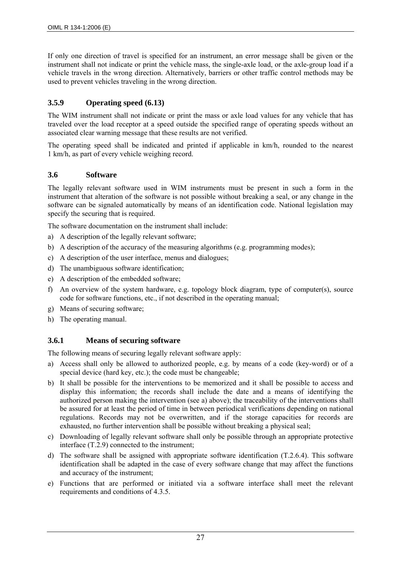If only one direction of travel is specified for an instrument, an error message shall be given or the instrument shall not indicate or print the vehicle mass, the single-axle load, or the axle-group load if a vehicle travels in the wrong direction. Alternatively, barriers or other traffic control methods may be used to prevent vehicles traveling in the wrong direction.

## **3.5.9 Operating speed (6.13)**

The WIM instrument shall not indicate or print the mass or axle load values for any vehicle that has traveled over the load receptor at a speed outside the specified range of operating speeds without an associated clear warning message that these results are not verified.

The operating speed shall be indicated and printed if applicable in km/h, rounded to the nearest 1 km/h, as part of every vehicle weighing record.

#### **3.6 Software**

The legally relevant software used in WIM instruments must be present in such a form in the instrument that alteration of the software is not possible without breaking a seal, or any change in the software can be signaled automatically by means of an identification code. National legislation may specify the securing that is required.

The software documentation on the instrument shall include:

- a) A description of the legally relevant software;
- b) A description of the accuracy of the measuring algorithms (e.g. programming modes);
- c) A description of the user interface, menus and dialogues;
- d) The unambiguous software identification;
- e) A description of the embedded software;
- f) An overview of the system hardware, e.g. topology block diagram, type of computer(s), source code for software functions, etc., if not described in the operating manual;
- g) Means of securing software;
- h) The operating manual.

## **3.6.1 Means of securing software**

The following means of securing legally relevant software apply:

- a) Access shall only be allowed to authorized people, e.g. by means of a code (key-word) or of a special device (hard key, etc.); the code must be changeable;
- b) It shall be possible for the interventions to be memorized and it shall be possible to access and display this information; the records shall include the date and a means of identifying the authorized person making the intervention (see a) above); the traceability of the interventions shall be assured for at least the period of time in between periodical verifications depending on national regulations. Records may not be overwritten, and if the storage capacities for records are exhausted, no further intervention shall be possible without breaking a physical seal;
- c) Downloading of legally relevant software shall only be possible through an appropriate protective interface (T.2.9) connected to the instrument;
- d) The software shall be assigned with appropriate software identification (T.2.6.4). This software identification shall be adapted in the case of every software change that may affect the functions and accuracy of the instrument;
- e) Functions that are performed or initiated via a software interface shall meet the relevant requirements and conditions of 4.3.5.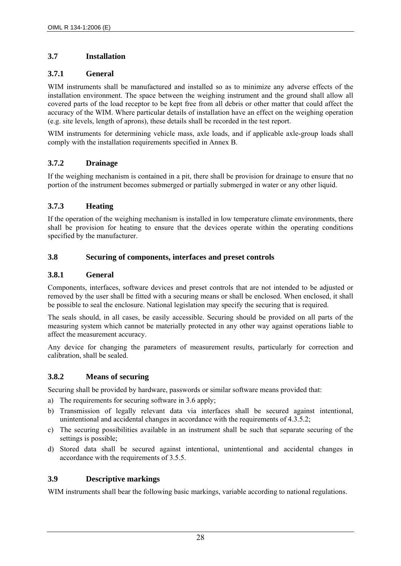## **3.7 Installation**

## **3.7.1 General**

WIM instruments shall be manufactured and installed so as to minimize any adverse effects of the installation environment. The space between the weighing instrument and the ground shall allow all covered parts of the load receptor to be kept free from all debris or other matter that could affect the accuracy of the WIM. Where particular details of installation have an effect on the weighing operation (e.g. site levels, length of aprons), these details shall be recorded in the test report.

WIM instruments for determining vehicle mass, axle loads, and if applicable axle-group loads shall comply with the installation requirements specified in Annex B.

## **3.7.2 Drainage**

If the weighing mechanism is contained in a pit, there shall be provision for drainage to ensure that no portion of the instrument becomes submerged or partially submerged in water or any other liquid.

## **3.7.3 Heating**

If the operation of the weighing mechanism is installed in low temperature climate environments, there shall be provision for heating to ensure that the devices operate within the operating conditions specified by the manufacturer.

## **3.8 Securing of components, interfaces and preset controls**

## **3.8.1 General**

Components, interfaces, software devices and preset controls that are not intended to be adjusted or removed by the user shall be fitted with a securing means or shall be enclosed. When enclosed, it shall be possible to seal the enclosure. National legislation may specify the securing that is required.

The seals should, in all cases, be easily accessible. Securing should be provided on all parts of the measuring system which cannot be materially protected in any other way against operations liable to affect the measurement accuracy.

Any device for changing the parameters of measurement results, particularly for correction and calibration, shall be sealed.

## **3.8.2 Means of securing**

Securing shall be provided by hardware, passwords or similar software means provided that:

- a) The requirements for securing software in 3.6 apply;
- b) Transmission of legally relevant data via interfaces shall be secured against intentional, unintentional and accidental changes in accordance with the requirements of 4.3.5.2;
- c) The securing possibilities available in an instrument shall be such that separate securing of the settings is possible;
- d) Stored data shall be secured against intentional, unintentional and accidental changes in accordance with the requirements of 3.5.5.

## **3.9 Descriptive markings**

WIM instruments shall bear the following basic markings, variable according to national regulations.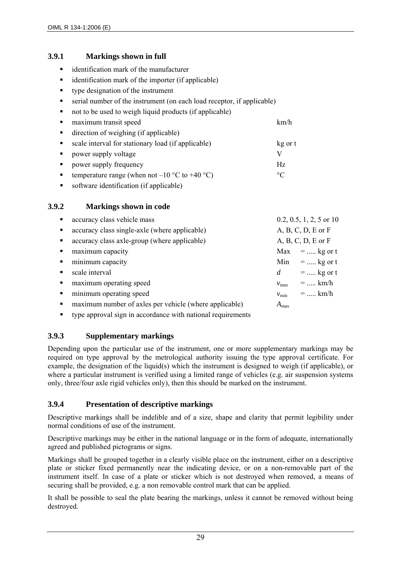## **3.9.1 Markings shown in full**

- $\blacksquare$  identification mark of the manufacturer
- identification mark of the importer (if applicable)
- type designation of the instrument
- serial number of the instrument (on each load receptor, if applicable)
- not to be used to weigh liquid products (if applicable)
- maximum transit speed km/h direction of weighing (if applicable) **scale interval for stationary load (if applicable)** kg or t **P** power supply voltage V • power supply frequency Hz temperature range (when not –10  $^{\circ}$ C to +40  $^{\circ}$ C)  $^{\circ}$ C
- software identification (if applicable)

## **3.9.2 Markings shown in code**

| $\blacksquare$        | accuracy class vehicle mass                            |                  | $0.2, 0.5, 1, 2, 5$ or 10 |
|-----------------------|--------------------------------------------------------|------------------|---------------------------|
| $\blacksquare$        | accuracy class single-axle (where applicable)          |                  | $A, B, C, D, E$ or $F$    |
| $\blacksquare$        | accuracy class axle-group (where applicable)           |                  | $A, B, C, D, E$ or $F$    |
| $\blacksquare$        | maximum capacity                                       |                  | $Max = $ kg or t          |
| $\blacksquare$        | minimum capacity                                       |                  | Min =  kg or t            |
| $\blacksquare$        | scale interval                                         | d                | $=$ kg or t               |
| $\blacksquare$        | maximum operating speed                                | $v_{\text{max}}$ | $=$ km/h                  |
| $\mathbf{H}^{\prime}$ | minimum operating speed                                | $v_{\rm min}$    | $=$ km/h                  |
| $\blacksquare$        | maximum number of axles per vehicle (where applicable) | $A_{\text{max}}$ |                           |
|                       |                                                        |                  |                           |

 $\blacksquare$  type approval sign in accordance with national requirements

## **3.9.3 Supplementary markings**

Depending upon the particular use of the instrument, one or more supplementary markings may be required on type approval by the metrological authority issuing the type approval certificate. For example, the designation of the liquid(s) which the instrument is designed to weigh (if applicable), or where a particular instrument is verified using a limited range of vehicles (e.g. air suspension systems only, three/four axle rigid vehicles only), then this should be marked on the instrument.

## **3.9.4 Presentation of descriptive markings**

Descriptive markings shall be indelible and of a size, shape and clarity that permit legibility under normal conditions of use of the instrument.

Descriptive markings may be either in the national language or in the form of adequate, internationally agreed and published pictograms or signs.

Markings shall be grouped together in a clearly visible place on the instrument, either on a descriptive plate or sticker fixed permanently near the indicating device, or on a non-removable part of the instrument itself. In case of a plate or sticker which is not destroyed when removed, a means of securing shall be provided, e.g. a non removable control mark that can be applied.

It shall be possible to seal the plate bearing the markings, unless it cannot be removed without being destroyed.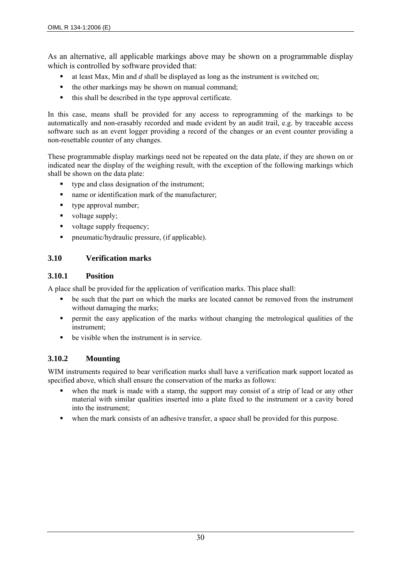As an alternative, all applicable markings above may be shown on a programmable display which is controlled by software provided that:

- at least Max, Min and *d* shall be displayed as long as the instrument is switched on;
- $\blacksquare$  the other markings may be shown on manual command;
- this shall be described in the type approval certificate.

In this case, means shall be provided for any access to reprogramming of the markings to be automatically and non-erasably recorded and made evident by an audit trail, e.g. by traceable access software such as an event logger providing a record of the changes or an event counter providing a non-resettable counter of any changes.

These programmable display markings need not be repeated on the data plate, if they are shown on or indicated near the display of the weighing result, with the exception of the following markings which shall be shown on the data plate:

- type and class designation of the instrument;
- name or identification mark of the manufacturer;
- type approval number;
- voltage supply;
- voltage supply frequency;
- pneumatic/hydraulic pressure, (if applicable).

#### **3.10 Verification marks**

#### **3.10.1 Position**

A place shall be provided for the application of verification marks. This place shall:

- be such that the part on which the marks are located cannot be removed from the instrument without damaging the marks;
- permit the easy application of the marks without changing the metrological qualities of the instrument;
- be visible when the instrument is in service.

## **3.10.2 Mounting**

WIM instruments required to bear verification marks shall have a verification mark support located as specified above, which shall ensure the conservation of the marks as follows:

- when the mark is made with a stamp, the support may consist of a strip of lead or any other material with similar qualities inserted into a plate fixed to the instrument or a cavity bored into the instrument;
- when the mark consists of an adhesive transfer, a space shall be provided for this purpose.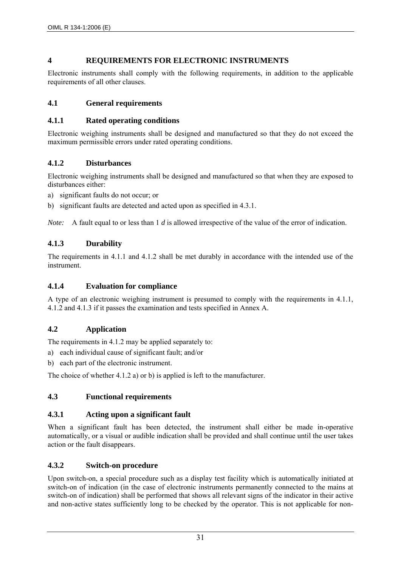## **4 REQUIREMENTS FOR ELECTRONIC INSTRUMENTS**

Electronic instruments shall comply with the following requirements, in addition to the applicable requirements of all other clauses.

## **4.1 General requirements**

## **4.1.1 Rated operating conditions**

Electronic weighing instruments shall be designed and manufactured so that they do not exceed the maximum permissible errors under rated operating conditions.

## **4.1.2 Disturbances**

Electronic weighing instruments shall be designed and manufactured so that when they are exposed to disturbances either:

- a) significant faults do not occur; or
- b) significant faults are detected and acted upon as specified in 4.3.1.

*Note:* A fault equal to or less than 1 *d* is allowed irrespective of the value of the error of indication.

## **4.1.3 Durability**

The requirements in 4.1.1 and 4.1.2 shall be met durably in accordance with the intended use of the instrument.

## **4.1.4 Evaluation for compliance**

A type of an electronic weighing instrument is presumed to comply with the requirements in 4.1.1, 4.1.2 and 4.1.3 if it passes the examination and tests specified in Annex A.

## **4.2 Application**

The requirements in 4.1.2 may be applied separately to:

- a) each individual cause of significant fault; and/or
- b) each part of the electronic instrument.

The choice of whether 4.1.2 a) or b) is applied is left to the manufacturer.

## **4.3 Functional requirements**

## **4.3.1 Acting upon a significant fault**

When a significant fault has been detected, the instrument shall either be made in-operative automatically, or a visual or audible indication shall be provided and shall continue until the user takes action or the fault disappears.

## **4.3.2 Switch-on procedure**

Upon switch-on, a special procedure such as a display test facility which is automatically initiated at switch-on of indication (in the case of electronic instruments permanently connected to the mains at switch-on of indication) shall be performed that shows all relevant signs of the indicator in their active and non-active states sufficiently long to be checked by the operator. This is not applicable for non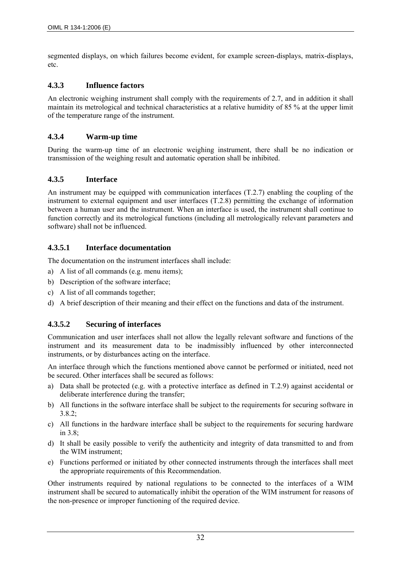segmented displays, on which failures become evident, for example screen-displays, matrix-displays, etc.

## **4.3.3 Influence factors**

An electronic weighing instrument shall comply with the requirements of 2.7, and in addition it shall maintain its metrological and technical characteristics at a relative humidity of 85 % at the upper limit of the temperature range of the instrument.

### **4.3.4 Warm-up time**

During the warm-up time of an electronic weighing instrument, there shall be no indication or transmission of the weighing result and automatic operation shall be inhibited.

## **4.3.5 Interface**

An instrument may be equipped with communication interfaces (T.2.7) enabling the coupling of the instrument to external equipment and user interfaces (T.2.8) permitting the exchange of information between a human user and the instrument. When an interface is used, the instrument shall continue to function correctly and its metrological functions (including all metrologically relevant parameters and software) shall not be influenced.

#### **4.3.5.1 Interface documentation**

The documentation on the instrument interfaces shall include:

- a) A list of all commands (e.g. menu items);
- b) Description of the software interface;
- c) A list of all commands together;
- d) A brief description of their meaning and their effect on the functions and data of the instrument.

## **4.3.5.2 Securing of interfaces**

Communication and user interfaces shall not allow the legally relevant software and functions of the instrument and its measurement data to be inadmissibly influenced by other interconnected instruments, or by disturbances acting on the interface.

An interface through which the functions mentioned above cannot be performed or initiated, need not be secured. Other interfaces shall be secured as follows:

- a) Data shall be protected (e.g. with a protective interface as defined in T.2.9) against accidental or deliberate interference during the transfer;
- b) All functions in the software interface shall be subject to the requirements for securing software in 3.8.2;
- c) All functions in the hardware interface shall be subject to the requirements for securing hardware in  $3.8$
- d) It shall be easily possible to verify the authenticity and integrity of data transmitted to and from the WIM instrument;
- e) Functions performed or initiated by other connected instruments through the interfaces shall meet the appropriate requirements of this Recommendation.

Other instruments required by national regulations to be connected to the interfaces of a WIM instrument shall be secured to automatically inhibit the operation of the WIM instrument for reasons of the non-presence or improper functioning of the required device.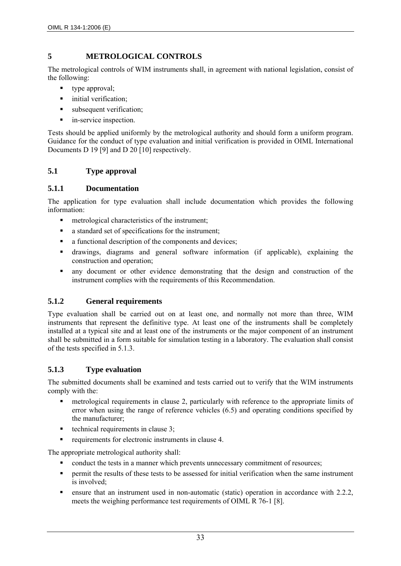## **5 METROLOGICAL CONTROLS**

The metrological controls of WIM instruments shall, in agreement with national legislation, consist of the following:

- type approval;
- **i** initial verification;
- subsequent verification;
- **n** in-service inspection.

Tests should be applied uniformly by the metrological authority and should form a uniform program. Guidance for the conduct of type evaluation and initial verification is provided in OIML International Documents D 19 [9] and D 20 [10] respectively.

## **5.1 Type approval**

## **5.1.1 Documentation**

The application for type evaluation shall include documentation which provides the following information:

- metrological characteristics of the instrument:
- a standard set of specifications for the instrument;
- a functional description of the components and devices:
- drawings, diagrams and general software information (if applicable), explaining the construction and operation;
- any document or other evidence demonstrating that the design and construction of the instrument complies with the requirements of this Recommendation.

## **5.1.2 General requirements**

Type evaluation shall be carried out on at least one, and normally not more than three, WIM instruments that represent the definitive type. At least one of the instruments shall be completely installed at a typical site and at least one of the instruments or the major component of an instrument shall be submitted in a form suitable for simulation testing in a laboratory. The evaluation shall consist of the tests specified in 5.1.3.

## **5.1.3 Type evaluation**

The submitted documents shall be examined and tests carried out to verify that the WIM instruments comply with the:

- metrological requirements in clause 2, particularly with reference to the appropriate limits of error when using the range of reference vehicles (6.5) and operating conditions specified by the manufacturer;
- technical requirements in clause  $3$ ;
- requirements for electronic instruments in clause 4.

The appropriate metrological authority shall:

- conduct the tests in a manner which prevents unnecessary commitment of resources;
- permit the results of these tests to be assessed for initial verification when the same instrument is involved;
- ensure that an instrument used in non-automatic (static) operation in accordance with 2.2.2, meets the weighing performance test requirements of OIML R 76-1 [8].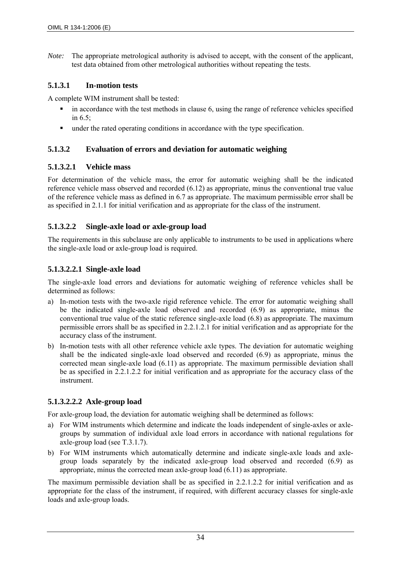*Note:* The appropriate metrological authority is advised to accept, with the consent of the applicant, test data obtained from other metrological authorities without repeating the tests.

## **5.1.3.1 In-motion tests**

A complete WIM instrument shall be tested:

- $\blacksquare$  in accordance with the test methods in clause 6, using the range of reference vehicles specified in 6.5;
- under the rated operating conditions in accordance with the type specification.

## **5.1.3.2 Evaluation of errors and deviation for automatic weighing**

## **5.1.3.2.1 Vehicle mass**

For determination of the vehicle mass, the error for automatic weighing shall be the indicated reference vehicle mass observed and recorded (6.12) as appropriate, minus the conventional true value of the reference vehicle mass as defined in 6.7 as appropriate. The maximum permissible error shall be as specified in 2.1.1 for initial verification and as appropriate for the class of the instrument.

## **5.1.3.2.2 Single-axle load or axle-group load**

The requirements in this subclause are only applicable to instruments to be used in applications where the single-axle load or axle-group load is required.

## **5.1.3.2.2.1 Single-axle load**

The single-axle load errors and deviations for automatic weighing of reference vehicles shall be determined as follows:

- a) In-motion tests with the two-axle rigid reference vehicle. The error for automatic weighing shall be the indicated single-axle load observed and recorded (6.9) as appropriate, minus the conventional true value of the static reference single-axle load (6.8) as appropriate. The maximum permissible errors shall be as specified in 2.2.1.2.1 for initial verification and as appropriate for the accuracy class of the instrument.
- b) In-motion tests with all other reference vehicle axle types. The deviation for automatic weighing shall be the indicated single-axle load observed and recorded (6.9) as appropriate, minus the corrected mean single-axle load (6.11) as appropriate. The maximum permissible deviation shall be as specified in 2.2.1.2.2 for initial verification and as appropriate for the accuracy class of the instrument.

## **5.1.3.2.2.2 Axle-group load**

For axle-group load, the deviation for automatic weighing shall be determined as follows:

- a) For WIM instruments which determine and indicate the loads independent of single-axles or axlegroups by summation of individual axle load errors in accordance with national regulations for axle-group load (see T.3.1.7).
- b) For WIM instruments which automatically determine and indicate single-axle loads and axlegroup loads separately by the indicated axle-group load observed and recorded (6.9) as appropriate, minus the corrected mean axle-group load (6.11) as appropriate.

The maximum permissible deviation shall be as specified in 2.2.1.2.2 for initial verification and as appropriate for the class of the instrument, if required, with different accuracy classes for single-axle loads and axle-group loads.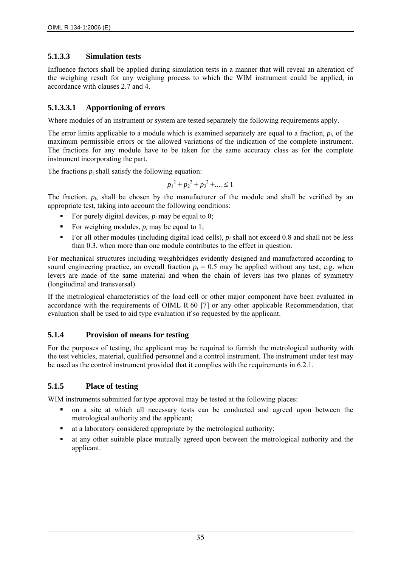## **5.1.3.3 Simulation tests**

Influence factors shall be applied during simulation tests in a manner that will reveal an alteration of the weighing result for any weighing process to which the WIM instrument could be applied, in accordance with clauses 2.7 and 4.

## **5.1.3.3.1 Apportioning of errors**

Where modules of an instrument or system are tested separately the following requirements apply.

The error limits applicable to a module which is examined separately are equal to a fraction, *pi*, of the maximum permissible errors or the allowed variations of the indication of the complete instrument. The fractions for any module have to be taken for the same accuracy class as for the complete instrument incorporating the part.

The fractions  $p_i$  shall satisfy the following equation:

$$
{p_1}^2 + {p_2}^2 + {p_3}^2 + \dots \le 1
$$

The fraction,  $p_i$ , shall be chosen by the manufacturer of the module and shall be verified by an appropriate test, taking into account the following conditions:

- For purely digital devices,  $p_i$  may be equal to 0;
- For weighing modules,  $p_i$  may be equal to 1;
- For all other modules (including digital load cells),  $p_i$  shall not exceed 0.8 and shall not be less than 0.3, when more than one module contributes to the effect in question.

For mechanical structures including weighbridges evidently designed and manufactured according to sound engineering practice, an overall fraction  $p_i = 0.5$  may be applied without any test, e.g. when levers are made of the same material and when the chain of levers has two planes of symmetry (longitudinal and transversal).

If the metrological characteristics of the load cell or other major component have been evaluated in accordance with the requirements of OIML R 60 [7] or any other applicable Recommendation, that evaluation shall be used to aid type evaluation if so requested by the applicant.

## **5.1.4 Provision of means for testing**

For the purposes of testing, the applicant may be required to furnish the metrological authority with the test vehicles, material, qualified personnel and a control instrument. The instrument under test may be used as the control instrument provided that it complies with the requirements in 6.2.1.

## **5.1.5 Place of testing**

WIM instruments submitted for type approval may be tested at the following places:

- on a site at which all necessary tests can be conducted and agreed upon between the metrological authority and the applicant;
- at a laboratory considered appropriate by the metrological authority;
- at any other suitable place mutually agreed upon between the metrological authority and the applicant.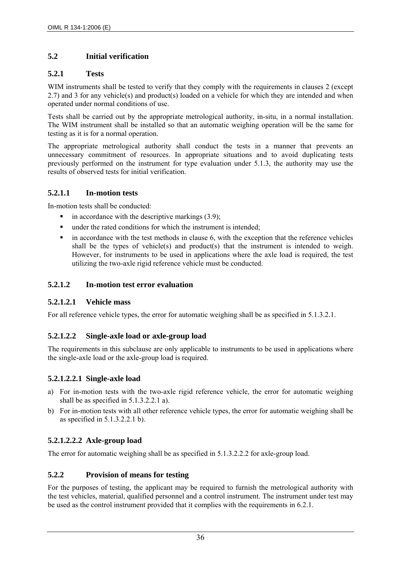## **5.2 Initial verification**

## **5.2.1 Tests**

WIM instruments shall be tested to verify that they comply with the requirements in clauses 2 (except 2.7) and 3 for any vehicle(s) and product(s) loaded on a vehicle for which they are intended and when operated under normal conditions of use.

Tests shall be carried out by the appropriate metrological authority, in-situ, in a normal installation. The WIM instrument shall be installed so that an automatic weighing operation will be the same for testing as it is for a normal operation.

The appropriate metrological authority shall conduct the tests in a manner that prevents an unnecessary commitment of resources. In appropriate situations and to avoid duplicating tests previously performed on the instrument for type evaluation under 5.1.3, the authority may use the results of observed tests for initial verification.

## **5.2.1.1 In-motion tests**

In-motion tests shall be conducted:

- $\blacksquare$  in accordance with the descriptive markings (3.9);
- under the rated conditions for which the instrument is intended;
- $\blacksquare$  in accordance with the test methods in clause 6, with the exception that the reference vehicles shall be the types of vehicle(s) and product(s) that the instrument is intended to weigh. However, for instruments to be used in applications where the axle load is required, the test utilizing the two-axle rigid reference vehicle must be conducted.

## **5.2.1.2 In-motion test error evaluation**

#### **5.2.1.2.1 Vehicle mass**

For all reference vehicle types, the error for automatic weighing shall be as specified in 5.1.3.2.1.

## **5.2.1.2.2 Single-axle load or axle-group load**

The requirements in this subclause are only applicable to instruments to be used in applications where the single-axle load or the axle-group load is required.

## **5.2.1.2.2.1 Single-axle load**

- a) For in-motion tests with the two-axle rigid reference vehicle, the error for automatic weighing shall be as specified in 5.1.3.2.2.1 a).
- b) For in-motion tests with all other reference vehicle types, the error for automatic weighing shall be as specified in 5.1.3.2.2.1 b).

## **5.2.1.2.2.2 Axle-group load**

The error for automatic weighing shall be as specified in 5.1.3.2.2.2 for axle-group load.

## **5.2.2 Provision of means for testing**

For the purposes of testing, the applicant may be required to furnish the metrological authority with the test vehicles, material, qualified personnel and a control instrument. The instrument under test may be used as the control instrument provided that it complies with the requirements in 6.2.1.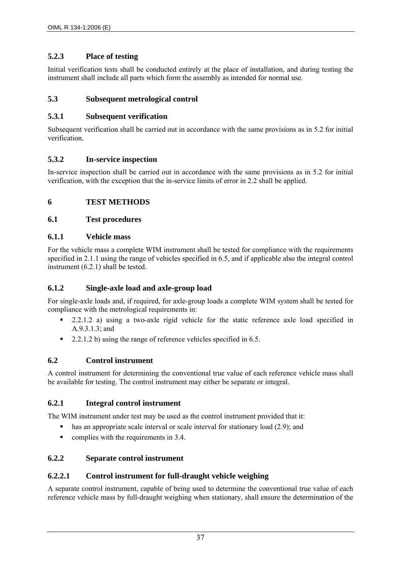## **5.2.3 Place of testing**

Initial verification tests shall be conducted entirely at the place of installation, and during testing the instrument shall include all parts which form the assembly as intended for normal use.

## **5.3 Subsequent metrological control**

#### **5.3.1 Subsequent verification**

Subsequent verification shall be carried out in accordance with the same provisions as in 5.2 for initial verification.

## **5.3.2 In-service inspection**

In-service inspection shall be carried out in accordance with the same provisions as in 5.2 for initial verification, with the exception that the in-service limits of error in 2.2 shall be applied.

## **6 TEST METHODS**

#### **6.1 Test procedures**

#### **6.1.1 Vehicle mass**

For the vehicle mass a complete WIM instrument shall be tested for compliance with the requirements specified in 2.1.1 using the range of vehicles specified in 6.5, and if applicable also the integral control instrument (6.2.1) shall be tested.

## **6.1.2 Single-axle load and axle-group load**

For single-axle loads and, if required, for axle-group loads a complete WIM system shall be tested for compliance with the metrological requirements in:

- 2.2.1.2 a) using a two-axle rigid vehicle for the static reference axle load specified in A.9.3.1.3; and
- 2.2.1.2 b) using the range of reference vehicles specified in  $6.5$ .

## **6.2 Control instrument**

A control instrument for determining the conventional true value of each reference vehicle mass shall be available for testing. The control instrument may either be separate or integral.

## **6.2.1 Integral control instrument**

The WIM instrument under test may be used as the control instrument provided that it:

- has an appropriate scale interval or scale interval for stationary load (2.9); and
- $\blacksquare$  complies with the requirements in 3.4.

## **6.2.2 Separate control instrument**

#### **6.2.2.1 Control instrument for full-draught vehicle weighing**

A separate control instrument, capable of being used to determine the conventional true value of each reference vehicle mass by full-draught weighing when stationary, shall ensure the determination of the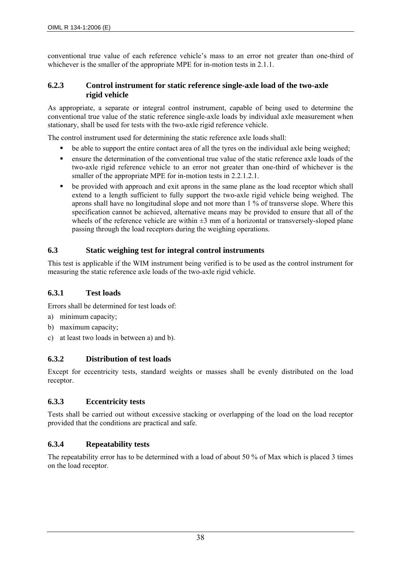conventional true value of each reference vehicle's mass to an error not greater than one-third of whichever is the smaller of the appropriate MPE for in-motion tests in 2.1.1.

#### **6.2.3 Control instrument for static reference single-axle load of the two-axle rigid vehicle**

As appropriate, a separate or integral control instrument, capable of being used to determine the conventional true value of the static reference single-axle loads by individual axle measurement when stationary, shall be used for tests with the two-axle rigid reference vehicle.

The control instrument used for determining the static reference axle loads shall:

- be able to support the entire contact area of all the tyres on the individual axle being weighed;
- ensure the determination of the conventional true value of the static reference axle loads of the two-axle rigid reference vehicle to an error not greater than one-third of whichever is the smaller of the appropriate MPE for in-motion tests in 2.2.1.2.1.
- be provided with approach and exit aprons in the same plane as the load receptor which shall extend to a length sufficient to fully support the two-axle rigid vehicle being weighed. The aprons shall have no longitudinal slope and not more than 1 % of transverse slope. Where this specification cannot be achieved, alternative means may be provided to ensure that all of the wheels of the reference vehicle are within  $\pm 3$  mm of a horizontal or transversely-sloped plane passing through the load receptors during the weighing operations.

#### **6.3 Static weighing test for integral control instruments**

This test is applicable if the WIM instrument being verified is to be used as the control instrument for measuring the static reference axle loads of the two-axle rigid vehicle.

#### **6.3.1 Test loads**

Errors shall be determined for test loads of:

- a) minimum capacity;
- b) maximum capacity;
- c) at least two loads in between a) and b).

#### **6.3.2 Distribution of test loads**

Except for eccentricity tests, standard weights or masses shall be evenly distributed on the load receptor.

#### **6.3.3 Eccentricity tests**

Tests shall be carried out without excessive stacking or overlapping of the load on the load receptor provided that the conditions are practical and safe.

## **6.3.4 Repeatability tests**

The repeatability error has to be determined with a load of about 50 % of Max which is placed 3 times on the load receptor.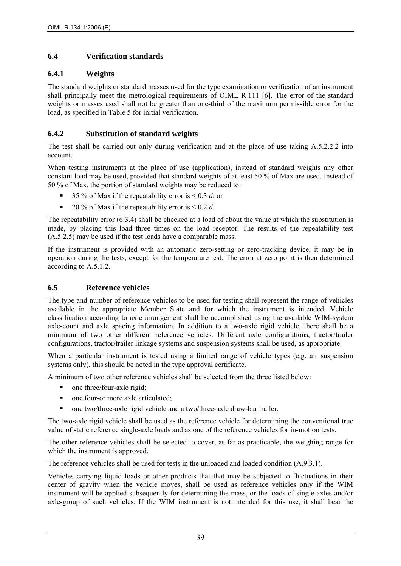## **6.4 Verification standards**

## **6.4.1 Weights**

The standard weights or standard masses used for the type examination or verification of an instrument shall principally meet the metrological requirements of OIML R 111 [6]. The error of the standard weights or masses used shall not be greater than one-third of the maximum permissible error for the load, as specified in Table 5 for initial verification.

## **6.4.2 Substitution of standard weights**

The test shall be carried out only during verification and at the place of use taking A.5.2.2.2 into account.

When testing instruments at the place of use (application), instead of standard weights any other constant load may be used, provided that standard weights of at least 50 % of Max are used. Instead of 50 % of Max, the portion of standard weights may be reduced to:

- 35 % of Max if the repeatability error is  $\leq 0.3$  *d*; or
- 20 % of Max if the repeatability error is  $\leq 0.2$  *d*.

The repeatability error (6.3.4) shall be checked at a load of about the value at which the substitution is made, by placing this load three times on the load receptor. The results of the repeatability test (A.5.2.5) may be used if the test loads have a comparable mass.

If the instrument is provided with an automatic zero-setting or zero-tracking device, it may be in operation during the tests, except for the temperature test. The error at zero point is then determined according to A.5.1.2.

## **6.5 Reference vehicles**

The type and number of reference vehicles to be used for testing shall represent the range of vehicles available in the appropriate Member State and for which the instrument is intended. Vehicle classification according to axle arrangement shall be accomplished using the available WIM-system axle-count and axle spacing information. In addition to a two-axle rigid vehicle, there shall be a minimum of two other different reference vehicles. Different axle configurations, tractor/trailer configurations, tractor/trailer linkage systems and suspension systems shall be used, as appropriate.

When a particular instrument is tested using a limited range of vehicle types (e.g. air suspension systems only), this should be noted in the type approval certificate.

A minimum of two other reference vehicles shall be selected from the three listed below:

- one three/four-axle rigid;
- one four-or more axle articulated;
- one two/three-axle rigid vehicle and a two/three-axle draw-bar trailer.

The two-axle rigid vehicle shall be used as the reference vehicle for determining the conventional true value of static reference single-axle loads and as one of the reference vehicles for in-motion tests.

The other reference vehicles shall be selected to cover, as far as practicable, the weighing range for which the instrument is approved.

The reference vehicles shall be used for tests in the unloaded and loaded condition (A.9.3.1).

Vehicles carrying liquid loads or other products that that may be subjected to fluctuations in their center of gravity when the vehicle moves, shall be used as reference vehicles only if the WIM instrument will be applied subsequently for determining the mass, or the loads of single-axles and/or axle-group of such vehicles. If the WIM instrument is not intended for this use, it shall bear the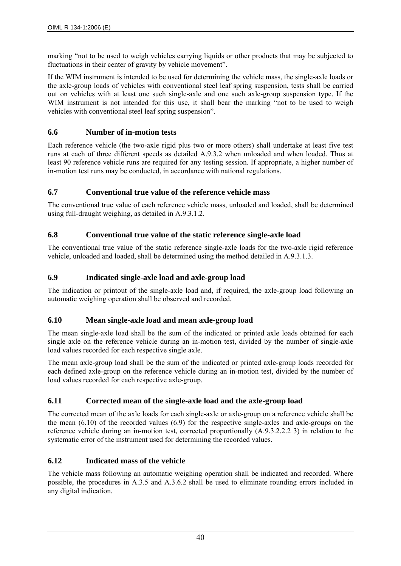marking "not to be used to weigh vehicles carrying liquids or other products that may be subjected to fluctuations in their center of gravity by vehicle movement".

If the WIM instrument is intended to be used for determining the vehicle mass, the single-axle loads or the axle-group loads of vehicles with conventional steel leaf spring suspension, tests shall be carried out on vehicles with at least one such single-axle and one such axle-group suspension type. If the WIM instrument is not intended for this use, it shall bear the marking "not to be used to weigh vehicles with conventional steel leaf spring suspension".

## **6.6 Number of in-motion tests**

Each reference vehicle (the two-axle rigid plus two or more others) shall undertake at least five test runs at each of three different speeds as detailed A.9.3.2 when unloaded and when loaded. Thus at least 90 reference vehicle runs are required for any testing session. If appropriate, a higher number of in-motion test runs may be conducted, in accordance with national regulations.

## **6.7 Conventional true value of the reference vehicle mass**

The conventional true value of each reference vehicle mass, unloaded and loaded, shall be determined using full-draught weighing, as detailed in A.9.3.1.2.

## **6.8 Conventional true value of the static reference single-axle load**

The conventional true value of the static reference single-axle loads for the two-axle rigid reference vehicle, unloaded and loaded, shall be determined using the method detailed in A.9.3.1.3.

## **6.9 Indicated single-axle load and axle-group load**

The indication or printout of the single-axle load and, if required, the axle-group load following an automatic weighing operation shall be observed and recorded.

## **6.10 Mean single-axle load and mean axle-group load**

The mean single-axle load shall be the sum of the indicated or printed axle loads obtained for each single axle on the reference vehicle during an in-motion test, divided by the number of single-axle load values recorded for each respective single axle.

The mean axle-group load shall be the sum of the indicated or printed axle-group loads recorded for each defined axle-group on the reference vehicle during an in-motion test, divided by the number of load values recorded for each respective axle-group.

# **6.11 Corrected mean of the single-axle load and the axle-group load**

The corrected mean of the axle loads for each single-axle or axle-group on a reference vehicle shall be the mean (6.10) of the recorded values (6.9) for the respective single-axles and axle-groups on the reference vehicle during an in-motion test, corrected proportionally (A.9.3.2.2.2 3) in relation to the systematic error of the instrument used for determining the recorded values.

## **6.12 Indicated mass of the vehicle**

The vehicle mass following an automatic weighing operation shall be indicated and recorded. Where possible, the procedures in A.3.5 and A.3.6.2 shall be used to eliminate rounding errors included in any digital indication.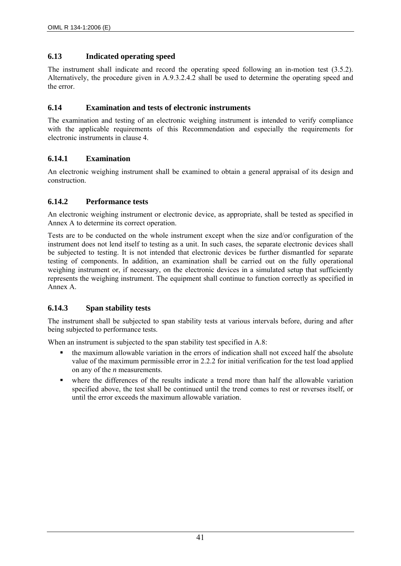## **6.13 Indicated operating speed**

The instrument shall indicate and record the operating speed following an in-motion test (3.5.2). Alternatively, the procedure given in A.9.3.2.4.2 shall be used to determine the operating speed and the error.

## **6.14 Examination and tests of electronic instruments**

The examination and testing of an electronic weighing instrument is intended to verify compliance with the applicable requirements of this Recommendation and especially the requirements for electronic instruments in clause 4.

## **6.14.1 Examination**

An electronic weighing instrument shall be examined to obtain a general appraisal of its design and construction.

## **6.14.2 Performance tests**

An electronic weighing instrument or electronic device, as appropriate, shall be tested as specified in Annex A to determine its correct operation.

Tests are to be conducted on the whole instrument except when the size and/or configuration of the instrument does not lend itself to testing as a unit. In such cases, the separate electronic devices shall be subjected to testing. It is not intended that electronic devices be further dismantled for separate testing of components. In addition, an examination shall be carried out on the fully operational weighing instrument or, if necessary, on the electronic devices in a simulated setup that sufficiently represents the weighing instrument. The equipment shall continue to function correctly as specified in Annex A.

## **6.14.3 Span stability tests**

The instrument shall be subjected to span stability tests at various intervals before, during and after being subjected to performance tests.

When an instrument is subjected to the span stability test specified in A.8:

- the maximum allowable variation in the errors of indication shall not exceed half the absolute value of the maximum permissible error in 2.2.2 for initial verification for the test load applied on any of the *n* measurements.
- where the differences of the results indicate a trend more than half the allowable variation specified above, the test shall be continued until the trend comes to rest or reverses itself, or until the error exceeds the maximum allowable variation.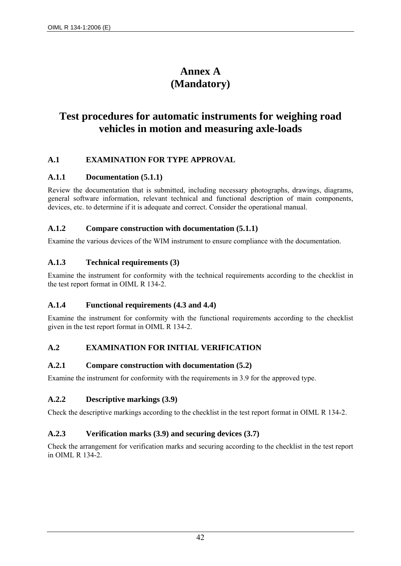# **Annex A (Mandatory)**

# **Test procedures for automatic instruments for weighing road vehicles in motion and measuring axle-loads**

## **A.1 EXAMINATION FOR TYPE APPROVAL**

## **A.1.1 Documentation (5.1.1)**

Review the documentation that is submitted, including necessary photographs, drawings, diagrams, general software information, relevant technical and functional description of main components, devices, etc. to determine if it is adequate and correct. Consider the operational manual.

#### **A.1.2 Compare construction with documentation (5.1.1)**

Examine the various devices of the WIM instrument to ensure compliance with the documentation.

## **A.1.3 Technical requirements (3)**

Examine the instrument for conformity with the technical requirements according to the checklist in the test report format in OIML R 134-2.

## **A.1.4 Functional requirements (4.3 and 4.4)**

Examine the instrument for conformity with the functional requirements according to the checklist given in the test report format in OIML R 134-2.

## **A.2 EXAMINATION FOR INITIAL VERIFICATION**

## **A.2.1 Compare construction with documentation (5.2)**

Examine the instrument for conformity with the requirements in 3.9 for the approved type.

## **A.2.2 Descriptive markings (3.9)**

Check the descriptive markings according to the checklist in the test report format in OIML R 134-2.

## **A.2.3 Verification marks (3.9) and securing devices (3.7)**

Check the arrangement for verification marks and securing according to the checklist in the test report in OIML R 134-2.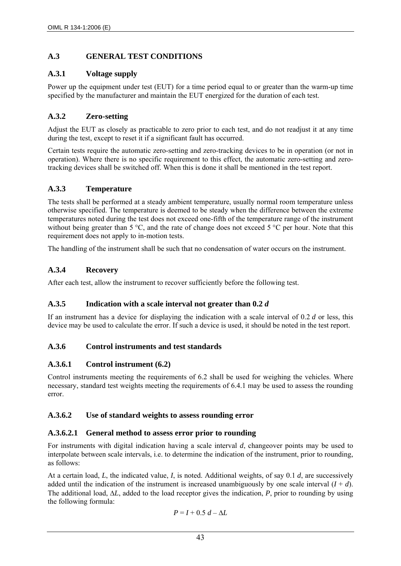# **A.3 GENERAL TEST CONDITIONS**

# **A.3.1 Voltage supply**

Power up the equipment under test (EUT) for a time period equal to or greater than the warm-up time specified by the manufacturer and maintain the EUT energized for the duration of each test.

# **A.3.2 Zero-setting**

Adjust the EUT as closely as practicable to zero prior to each test, and do not readjust it at any time during the test, except to reset it if a significant fault has occurred.

Certain tests require the automatic zero-setting and zero-tracking devices to be in operation (or not in operation). Where there is no specific requirement to this effect, the automatic zero-setting and zerotracking devices shall be switched off. When this is done it shall be mentioned in the test report.

# **A.3.3 Temperature**

The tests shall be performed at a steady ambient temperature, usually normal room temperature unless otherwise specified. The temperature is deemed to be steady when the difference between the extreme temperatures noted during the test does not exceed one-fifth of the temperature range of the instrument without being greater than 5 °C, and the rate of change does not exceed 5 °C per hour. Note that this requirement does not apply to in-motion tests.

The handling of the instrument shall be such that no condensation of water occurs on the instrument.

# **A.3.4 Recovery**

After each test, allow the instrument to recover sufficiently before the following test.

# **A.3.5 Indication with a scale interval not greater than 0.2** *d*

If an instrument has a device for displaying the indication with a scale interval of 0.2 *d* or less, this device may be used to calculate the error. If such a device is used, it should be noted in the test report.

# **A.3.6 Control instruments and test standards**

# **A.3.6.1 Control instrument (6.2)**

Control instruments meeting the requirements of 6.2 shall be used for weighing the vehicles. Where necessary, standard test weights meeting the requirements of 6.4.1 may be used to assess the rounding error.

# **A.3.6.2 Use of standard weights to assess rounding error**

# **A.3.6.2.1 General method to assess error prior to rounding**

For instruments with digital indication having a scale interval *d*, changeover points may be used to interpolate between scale intervals, i.e. to determine the indication of the instrument, prior to rounding, as follows:

At a certain load, *L*, the indicated value, *I*, is noted. Additional weights, of say 0.1 *d*, are successively added until the indication of the instrument is increased unambiguously by one scale interval  $(I + d)$ . The additional load, Δ*L*, added to the load receptor gives the indication, *P*, prior to rounding by using the following formula:

$$
P = I + 0.5 d - \Delta L
$$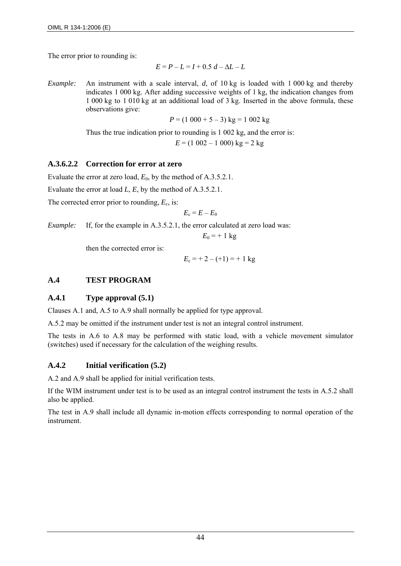The error prior to rounding is:

$$
E = P - L = I + 0.5 d - \Delta L - L
$$

*Example:* An instrument with a scale interval, *d*, of 10 kg is loaded with 1 000 kg and thereby indicates 1 000 kg. After adding successive weights of 1 kg, the indication changes from 1 000 kg to 1 010 kg at an additional load of 3 kg. Inserted in the above formula, these observations give:

$$
P = (1\ 000 + 5 - 3)\ \mathrm{kg} = 1\ 002\ \mathrm{kg}
$$

Thus the true indication prior to rounding is 1 002 kg, and the error is:

$$
E = (1\ 002 - 1\ 000) \text{ kg} = 2 \text{ kg}
$$

#### **A.3.6.2.2 Correction for error at zero**

Evaluate the error at zero load,  $E_0$ , by the method of A.3.5.2.1.

Evaluate the error at load *L*, *E*, by the method of A.3.5.2.1.

The corrected error prior to rounding,  $E_c$ , is:

$$
E_{\rm c}=E-E_0
$$

*Example:* If, for the example in A.3.5.2.1, the error calculated at zero load was:

$$
E_0 = +1 \text{ kg}
$$

then the corrected error is:

$$
E_c = +2 - (+1) = +1 \text{ kg}
$$

# **A.4 TEST PROGRAM**

## **A.4.1 Type approval (5.1)**

Clauses A.1 and, A.5 to A.9 shall normally be applied for type approval.

A.5.2 may be omitted if the instrument under test is not an integral control instrument.

The tests in A.6 to A.8 may be performed with static load, with a vehicle movement simulator (switches) used if necessary for the calculation of the weighing results.

## **A.4.2 Initial verification (5.2)**

A.2 and A.9 shall be applied for initial verification tests.

If the WIM instrument under test is to be used as an integral control instrument the tests in A.5.2 shall also be applied.

The test in A.9 shall include all dynamic in-motion effects corresponding to normal operation of the instrument.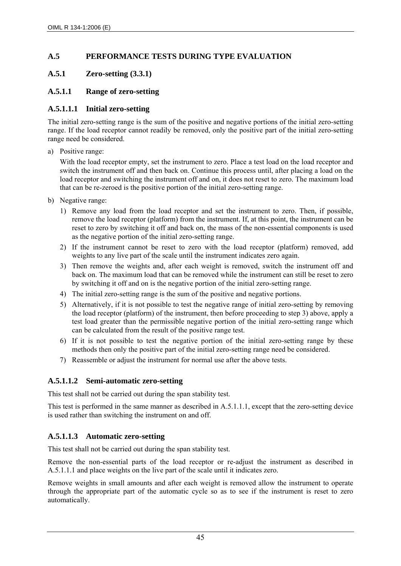## **A.5 PERFORMANCE TESTS DURING TYPE EVALUATION**

## **A.5.1 Zero-setting (3.3.1)**

## **A.5.1.1 Range of zero-setting**

## **A.5.1.1.1 Initial zero-setting**

The initial zero-setting range is the sum of the positive and negative portions of the initial zero-setting range. If the load receptor cannot readily be removed, only the positive part of the initial zero-setting range need be considered.

a) Positive range:

With the load receptor empty, set the instrument to zero. Place a test load on the load receptor and switch the instrument off and then back on. Continue this process until, after placing a load on the load receptor and switching the instrument off and on, it does not reset to zero. The maximum load that can be re-zeroed is the positive portion of the initial zero-setting range.

- b) Negative range:
	- 1) Remove any load from the load receptor and set the instrument to zero. Then, if possible, remove the load receptor (platform) from the instrument. If, at this point, the instrument can be reset to zero by switching it off and back on, the mass of the non-essential components is used as the negative portion of the initial zero-setting range.
	- 2) If the instrument cannot be reset to zero with the load receptor (platform) removed, add weights to any live part of the scale until the instrument indicates zero again.
	- 3) Then remove the weights and, after each weight is removed, switch the instrument off and back on. The maximum load that can be removed while the instrument can still be reset to zero by switching it off and on is the negative portion of the initial zero-setting range.
	- 4) The initial zero-setting range is the sum of the positive and negative portions.
	- 5) Alternatively, if it is not possible to test the negative range of initial zero-setting by removing the load receptor (platform) of the instrument, then before proceeding to step 3) above, apply a test load greater than the permissible negative portion of the initial zero-setting range which can be calculated from the result of the positive range test.
	- 6) If it is not possible to test the negative portion of the initial zero-setting range by these methods then only the positive part of the initial zero-setting range need be considered.
	- 7) Reassemble or adjust the instrument for normal use after the above tests.

# **A.5.1.1.2 Semi-automatic zero-setting**

This test shall not be carried out during the span stability test.

This test is performed in the same manner as described in A.5.1.1.1, except that the zero-setting device is used rather than switching the instrument on and off.

# **A.5.1.1.3 Automatic zero-setting**

This test shall not be carried out during the span stability test.

Remove the non-essential parts of the load receptor or re-adjust the instrument as described in A.5.1.1.1 and place weights on the live part of the scale until it indicates zero.

Remove weights in small amounts and after each weight is removed allow the instrument to operate through the appropriate part of the automatic cycle so as to see if the instrument is reset to zero automatically.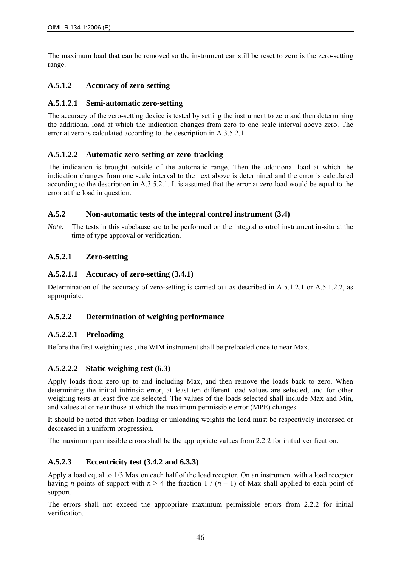The maximum load that can be removed so the instrument can still be reset to zero is the zero-setting range.

# **A.5.1.2 Accuracy of zero-setting**

## **A.5.1.2.1 Semi-automatic zero-setting**

The accuracy of the zero-setting device is tested by setting the instrument to zero and then determining the additional load at which the indication changes from zero to one scale interval above zero. The error at zero is calculated according to the description in A.3.5.2.1.

## **A.5.1.2.2 Automatic zero-setting or zero-tracking**

The indication is brought outside of the automatic range. Then the additional load at which the indication changes from one scale interval to the next above is determined and the error is calculated according to the description in A.3.5.2.1. It is assumed that the error at zero load would be equal to the error at the load in question.

## **A.5.2 Non-automatic tests of the integral control instrument (3.4)**

*Note:* The tests in this subclause are to be performed on the integral control instrument in-situ at the time of type approval or verification.

## **A.5.2.1 Zero-setting**

## **A.5.2.1.1 Accuracy of zero-setting (3.4.1)**

Determination of the accuracy of zero-setting is carried out as described in A.5.1.2.1 or A.5.1.2.2, as appropriate.

# **A.5.2.2 Determination of weighing performance**

# **A.5.2.2.1 Preloading**

Before the first weighing test, the WIM instrument shall be preloaded once to near Max.

# **A.5.2.2.2 Static weighing test (6.3)**

Apply loads from zero up to and including Max, and then remove the loads back to zero. When determining the initial intrinsic error, at least ten different load values are selected, and for other weighing tests at least five are selected. The values of the loads selected shall include Max and Min, and values at or near those at which the maximum permissible error (MPE) changes.

It should be noted that when loading or unloading weights the load must be respectively increased or decreased in a uniform progression.

The maximum permissible errors shall be the appropriate values from 2.2.2 for initial verification.

# **A.5.2.3 Eccentricity test (3.4.2 and 6.3.3)**

Apply a load equal to 1/3 Max on each half of the load receptor. On an instrument with a load receptor having *n* points of support with  $n > 4$  the fraction  $1/(n-1)$  of Max shall applied to each point of support.

The errors shall not exceed the appropriate maximum permissible errors from 2.2.2 for initial verification.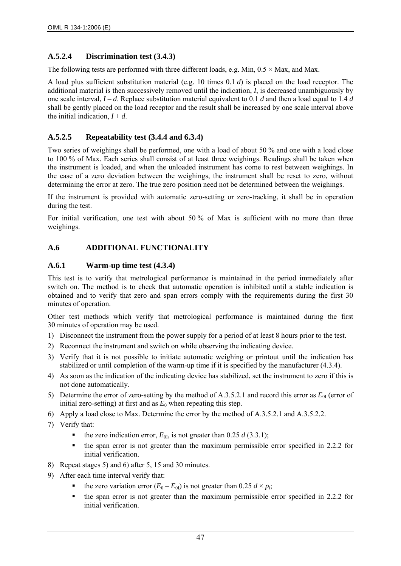## **A.5.2.4 Discrimination test (3.4.3)**

The following tests are performed with three different loads, e.g. Min,  $0.5 \times$  Max, and Max.

A load plus sufficient substitution material (e.g. 10 times 0.1 *d*) is placed on the load receptor. The additional material is then successively removed until the indication, *I*, is decreased unambiguously by one scale interval, *I* – *d*. Replace substitution material equivalent to 0.1 *d* and then a load equal to 1.4 *d* shall be gently placed on the load receptor and the result shall be increased by one scale interval above the initial indication,  $I + d$ .

## **A.5.2.5 Repeatability test (3.4.4 and 6.3.4)**

Two series of weighings shall be performed, one with a load of about 50 % and one with a load close to 100 % of Max. Each series shall consist of at least three weighings. Readings shall be taken when the instrument is loaded, and when the unloaded instrument has come to rest between weighings. In the case of a zero deviation between the weighings, the instrument shall be reset to zero, without determining the error at zero. The true zero position need not be determined between the weighings.

If the instrument is provided with automatic zero-setting or zero-tracking, it shall be in operation during the test.

For initial verification, one test with about 50 % of Max is sufficient with no more than three weighings.

# **A.6 ADDITIONAL FUNCTIONALITY**

## **A.6.1 Warm-up time test (4.3.4)**

This test is to verify that metrological performance is maintained in the period immediately after switch on. The method is to check that automatic operation is inhibited until a stable indication is obtained and to verify that zero and span errors comply with the requirements during the first 30 minutes of operation.

Other test methods which verify that metrological performance is maintained during the first 30 minutes of operation may be used.

- 1) Disconnect the instrument from the power supply for a period of at least 8 hours prior to the test.
- 2) Reconnect the instrument and switch on while observing the indicating device.
- 3) Verify that it is not possible to initiate automatic weighing or printout until the indication has stabilized or until completion of the warm-up time if it is specified by the manufacturer (4.3.4).
- 4) As soon as the indication of the indicating device has stabilized, set the instrument to zero if this is not done automatically.
- 5) Determine the error of zero-setting by the method of A.3.5.2.1 and record this error as  $E_{0I}$  (error of initial zero-setting) at first and as  $E_0$  when repeating this step.
- 6) Apply a load close to Max. Determine the error by the method of A.3.5.2.1 and A.3.5.2.2.
- 7) Verify that:
	- the zero indication error,  $E_{0I}$ , is not greater than 0.25 *d* (3.3.1);
	- $\bullet$  the span error is not greater than the maximum permissible error specified in 2.2.2 for initial verification.
- 8) Repeat stages 5) and 6) after 5, 15 and 30 minutes.
- 9) After each time interval verify that:
	- the zero variation error  $(E_0 E_0)$  is not greater than 0.25  $d \times p_i$ ;
	- the span error is not greater than the maximum permissible error specified in 2.2.2 for initial verification.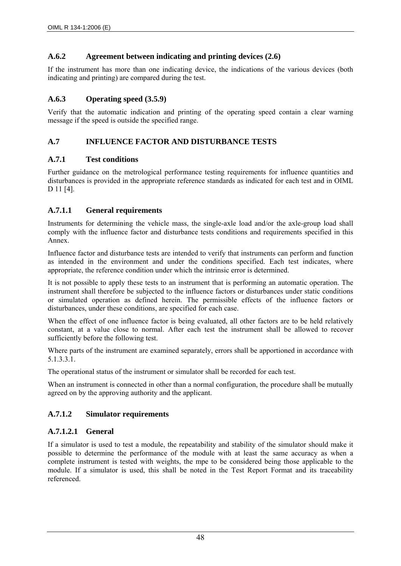## **A.6.2 Agreement between indicating and printing devices (2.6)**

If the instrument has more than one indicating device, the indications of the various devices (both indicating and printing) are compared during the test.

## **A.6.3 Operating speed (3.5.9)**

Verify that the automatic indication and printing of the operating speed contain a clear warning message if the speed is outside the specified range.

## **A.7 INFLUENCE FACTOR AND DISTURBANCE TESTS**

## **A.7.1 Test conditions**

Further guidance on the metrological performance testing requirements for influence quantities and disturbances is provided in the appropriate reference standards as indicated for each test and in OIML D 11 [4].

## **A.7.1.1 General requirements**

Instruments for determining the vehicle mass, the single-axle load and/or the axle-group load shall comply with the influence factor and disturbance tests conditions and requirements specified in this Annex.

Influence factor and disturbance tests are intended to verify that instruments can perform and function as intended in the environment and under the conditions specified. Each test indicates, where appropriate, the reference condition under which the intrinsic error is determined.

It is not possible to apply these tests to an instrument that is performing an automatic operation. The instrument shall therefore be subjected to the influence factors or disturbances under static conditions or simulated operation as defined herein. The permissible effects of the influence factors or disturbances, under these conditions, are specified for each case.

When the effect of one influence factor is being evaluated, all other factors are to be held relatively constant, at a value close to normal. After each test the instrument shall be allowed to recover sufficiently before the following test.

Where parts of the instrument are examined separately, errors shall be apportioned in accordance with 5.1.3.3.1.

The operational status of the instrument or simulator shall be recorded for each test.

When an instrument is connected in other than a normal configuration, the procedure shall be mutually agreed on by the approving authority and the applicant.

# **A.7.1.2 Simulator requirements**

## **A.7.1.2.1 General**

If a simulator is used to test a module, the repeatability and stability of the simulator should make it possible to determine the performance of the module with at least the same accuracy as when a complete instrument is tested with weights, the mpe to be considered being those applicable to the module. If a simulator is used, this shall be noted in the Test Report Format and its traceability referenced.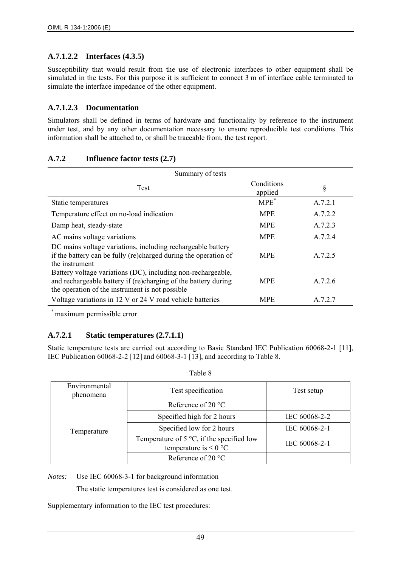# **A.7.1.2.2 Interfaces (4.3.5)**

Susceptibility that would result from the use of electronic interfaces to other equipment shall be simulated in the tests. For this purpose it is sufficient to connect 3 m of interface cable terminated to simulate the interface impedance of the other equipment.

## **A.7.1.2.3 Documentation**

Simulators shall be defined in terms of hardware and functionality by reference to the instrument under test, and by any other documentation necessary to ensure reproducible test conditions. This information shall be attached to, or shall be traceable from, the test report.

## **A.7.2 Influence factor tests (2.7)**

| Summary of tests                                                                                                                                                                  |                       |         |  |
|-----------------------------------------------------------------------------------------------------------------------------------------------------------------------------------|-----------------------|---------|--|
| Test                                                                                                                                                                              | Conditions<br>applied | §       |  |
| Static temperatures                                                                                                                                                               | $MPE^*$               | A.7.2.1 |  |
| Temperature effect on no-load indication                                                                                                                                          | <b>MPE</b>            | A.7.2.2 |  |
| Damp heat, steady-state                                                                                                                                                           | <b>MPE</b>            | A.7.2.3 |  |
| AC mains voltage variations                                                                                                                                                       | <b>MPE</b>            | A.7.2.4 |  |
| DC mains voltage variations, including rechargeable battery<br>if the battery can be fully (re)charged during the operation of<br>the instrument                                  | <b>MPE</b>            | A.7.2.5 |  |
| Battery voltage variations (DC), including non-rechargeable,<br>and rechargeable battery if (re)charging of the battery during<br>the operation of the instrument is not possible | <b>MPE</b>            | A.7.2.6 |  |
| Voltage variations in 12 V or 24 V road vehicle batteries                                                                                                                         | <b>MPE</b>            | A.7.2.7 |  |

\* maximum permissible error

# **A.7.2.1 Static temperatures (2.7.1.1)**

Static temperature tests are carried out according to Basic Standard IEC Publication 60068-2-1 [11], IEC Publication 60068-2-2 [12] and 60068-3-1 [13], and according to Table 8.

| Environmental<br>phenomena | Test specification                                                               | Test setup    |
|----------------------------|----------------------------------------------------------------------------------|---------------|
|                            | Reference of 20 $^{\circ}$ C                                                     |               |
|                            | Specified high for 2 hours                                                       | IEC 60068-2-2 |
| Temperature                | Specified low for 2 hours                                                        | IEC 60068-2-1 |
|                            | Temperature of $5^{\circ}C$ , if the specified low<br>temperature is $\leq 0$ °C | IEC 60068-2-1 |
|                            | Reference of 20 $\degree$ C                                                      |               |

*Notes:* Use IEC 60068-3-1 for background information

The static temperatures test is considered as one test.

Supplementary information to the IEC test procedures: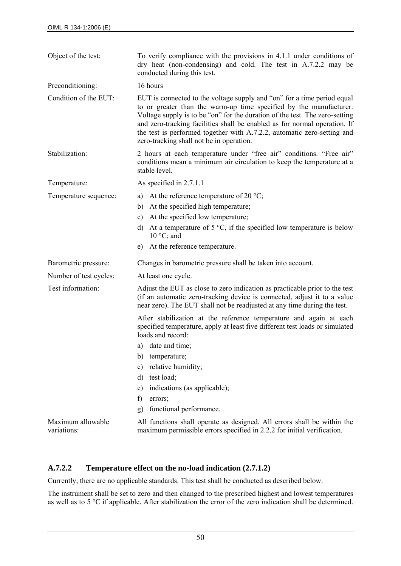| Object of the test:              | To verify compliance with the provisions in 4.1.1 under conditions of<br>dry heat (non-condensing) and cold. The test in A.7.2.2 may be<br>conducted during this test.                                                                                                                                                                                                                                                           |  |  |
|----------------------------------|----------------------------------------------------------------------------------------------------------------------------------------------------------------------------------------------------------------------------------------------------------------------------------------------------------------------------------------------------------------------------------------------------------------------------------|--|--|
| Preconditioning:                 | 16 hours                                                                                                                                                                                                                                                                                                                                                                                                                         |  |  |
| Condition of the EUT:            | EUT is connected to the voltage supply and "on" for a time period equal<br>to or greater than the warm-up time specified by the manufacturer.<br>Voltage supply is to be "on" for the duration of the test. The zero-setting<br>and zero-tracking facilities shall be enabled as for normal operation. If<br>the test is performed together with A.7.2.2, automatic zero-setting and<br>zero-tracking shall not be in operation. |  |  |
| Stabilization:                   | 2 hours at each temperature under "free air" conditions. "Free air"<br>conditions mean a minimum air circulation to keep the temperature at a<br>stable level.                                                                                                                                                                                                                                                                   |  |  |
| Temperature:                     | As specified in 2.7.1.1                                                                                                                                                                                                                                                                                                                                                                                                          |  |  |
| Temperature sequence:            | a) At the reference temperature of 20 $^{\circ}$ C;<br>At the specified high temperature;<br>b)<br>At the specified low temperature;<br>c)<br>At a temperature of $5^{\circ}$ C, if the specified low temperature is below<br>d)<br>$10^{\circ}$ C; and<br>At the reference temperature.<br>e)                                                                                                                                   |  |  |
| Barometric pressure:             | Changes in barometric pressure shall be taken into account.                                                                                                                                                                                                                                                                                                                                                                      |  |  |
| Number of test cycles:           | At least one cycle.                                                                                                                                                                                                                                                                                                                                                                                                              |  |  |
| Test information:                | Adjust the EUT as close to zero indication as practicable prior to the test<br>(if an automatic zero-tracking device is connected, adjust it to a value<br>near zero). The EUT shall not be readjusted at any time during the test.                                                                                                                                                                                              |  |  |
|                                  | After stabilization at the reference temperature and again at each<br>specified temperature, apply at least five different test loads or simulated<br>loads and record:                                                                                                                                                                                                                                                          |  |  |
|                                  | a) date and time;                                                                                                                                                                                                                                                                                                                                                                                                                |  |  |
|                                  | temperature;<br>b)                                                                                                                                                                                                                                                                                                                                                                                                               |  |  |
|                                  | relative humidity;<br>c)                                                                                                                                                                                                                                                                                                                                                                                                         |  |  |
|                                  | test load;<br>$\mathbf{d}$                                                                                                                                                                                                                                                                                                                                                                                                       |  |  |
|                                  | indications (as applicable);<br>e)                                                                                                                                                                                                                                                                                                                                                                                               |  |  |
|                                  | f)<br>errors;                                                                                                                                                                                                                                                                                                                                                                                                                    |  |  |
|                                  | functional performance.<br>g)                                                                                                                                                                                                                                                                                                                                                                                                    |  |  |
| Maximum allowable<br>variations: | All functions shall operate as designed. All errors shall be within the<br>maximum permissible errors specified in 2.2.2 for initial verification.                                                                                                                                                                                                                                                                               |  |  |

## **A.7.2.2 Temperature effect on the no-load indication (2.7.1.2)**

Currently, there are no applicable standards. This test shall be conducted as described below.

The instrument shall be set to zero and then changed to the prescribed highest and lowest temperatures as well as to 5 °C if applicable. After stabilization the error of the zero indication shall be determined.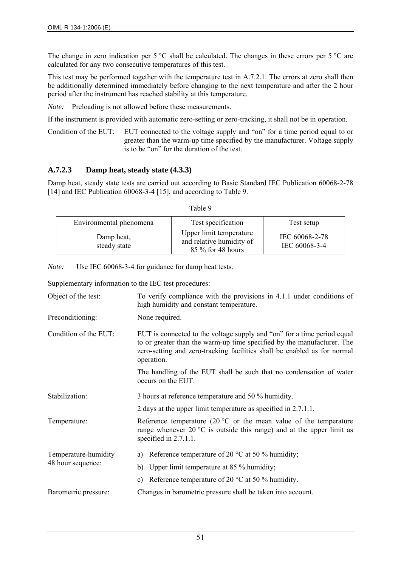The change in zero indication per 5 °C shall be calculated. The changes in these errors per 5 °C are calculated for any two consecutive temperatures of this test.

This test may be performed together with the temperature test in A.7.2.1. The errors at zero shall then be additionally determined immediately before changing to the next temperature and after the 2 hour period after the instrument has reached stability at this temperature.

*Note:* Preloading is not allowed before these measurements.

If the instrument is provided with automatic zero-setting or zero-tracking, it shall not be in operation.

Condition of the EUT: EUT connected to the voltage supply and "on" for a time period equal to or greater than the warm-up time specified by the manufacturer. Voltage supply is to be "on" for the duration of the test.

#### **A.7.2.3 Damp heat, steady state (4.3.3)**

Damp heat, steady state tests are carried out according to Basic Standard IEC Publication 60068-2-78 [14] and IEC Publication 60068-3-4 [15], and according to Table 9.

| Environmental phenomena    | Test specification                                                       | Test setup                      |
|----------------------------|--------------------------------------------------------------------------|---------------------------------|
| Damp heat,<br>steady state | Upper limit temperature<br>and relative humidity of<br>85 % for 48 hours | IEC 60068-2-78<br>IEC 60068-3-4 |

*Note:* Use IEC 60068-3-4 for guidance for damp heat tests.

Supplementary information to the IEC test procedures:

| Object of the test:   | To verify compliance with the provisions in 4.1.1 under conditions of<br>high humidity and constant temperature.                                                                                                                            |  |  |
|-----------------------|---------------------------------------------------------------------------------------------------------------------------------------------------------------------------------------------------------------------------------------------|--|--|
| Preconditioning:      | None required.                                                                                                                                                                                                                              |  |  |
| Condition of the EUT: | EUT is connected to the voltage supply and "on" for a time period equal<br>to or greater than the warm-up time specified by the manufacturer. The<br>zero-setting and zero-tracking facilities shall be enabled as for normal<br>operation. |  |  |
|                       | The handling of the EUT shall be such that no condensation of water<br>occurs on the EUT.                                                                                                                                                   |  |  |
| Stabilization:        | 3 hours at reference temperature and 50 % humidity.                                                                                                                                                                                         |  |  |
|                       | 2 days at the upper limit temperature as specified in 2.7.1.1.                                                                                                                                                                              |  |  |
| Temperature:          | Reference temperature (20 $^{\circ}$ C or the mean value of the temperature<br>range whenever $20^{\circ}$ C is outside this range) and at the upper limit as<br>specified in 2.7.1.1.                                                      |  |  |
| Temperature-humidity  | Reference temperature of 20 $^{\circ}$ C at 50 % humidity;<br>a)                                                                                                                                                                            |  |  |
| 48 hour sequence:     | Upper limit temperature at 85 % humidity;<br>b)                                                                                                                                                                                             |  |  |
|                       | Reference temperature of 20 $^{\circ}$ C at 50 % humidity.<br>C)                                                                                                                                                                            |  |  |
| Barometric pressure:  | Changes in barometric pressure shall be taken into account.                                                                                                                                                                                 |  |  |

Table 9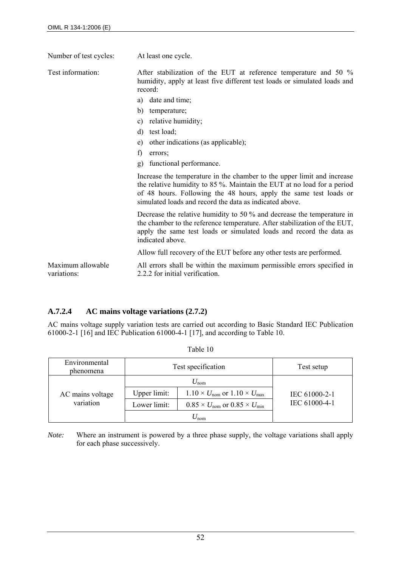| Number of test cycles:           | At least one cycle.                                                                                                                                                                                                                                                                |  |  |
|----------------------------------|------------------------------------------------------------------------------------------------------------------------------------------------------------------------------------------------------------------------------------------------------------------------------------|--|--|
| Test information:                | After stabilization of the EUT at reference temperature and 50 %<br>humidity, apply at least five different test loads or simulated loads and<br>record:                                                                                                                           |  |  |
|                                  | date and time;<br>a)                                                                                                                                                                                                                                                               |  |  |
|                                  | b)<br>temperature;                                                                                                                                                                                                                                                                 |  |  |
|                                  | relative humidity;<br>c)                                                                                                                                                                                                                                                           |  |  |
|                                  | test load;<br>$\rm d$                                                                                                                                                                                                                                                              |  |  |
|                                  | other indications (as applicable);<br>e)                                                                                                                                                                                                                                           |  |  |
|                                  | f)<br>errors;                                                                                                                                                                                                                                                                      |  |  |
|                                  | functional performance.<br>g)                                                                                                                                                                                                                                                      |  |  |
|                                  | Increase the temperature in the chamber to the upper limit and increase<br>the relative humidity to 85 %. Maintain the EUT at no load for a period<br>of 48 hours. Following the 48 hours, apply the same test loads or<br>simulated loads and record the data as indicated above. |  |  |
|                                  | Decrease the relative humidity to 50 $\%$ and decrease the temperature in<br>the chamber to the reference temperature. After stabilization of the EUT,<br>apply the same test loads or simulated loads and record the data as<br>indicated above.                                  |  |  |
|                                  | Allow full recovery of the EUT before any other tests are performed.                                                                                                                                                                                                               |  |  |
| Maximum allowable<br>variations: | All errors shall be within the maximum permissible errors specified in<br>2.2.2 for initial verification.                                                                                                                                                                          |  |  |

# **A.7.2.4 AC mains voltage variations (2.7.2)**

AC mains voltage supply variation tests are carried out according to Basic Standard IEC Publication 61000-2-1 [16] and IEC Publication 61000-4-1 [17], and according to Table 10.

| Environmental<br>phenomena | Test specification |                                                              | Test setup    |
|----------------------------|--------------------|--------------------------------------------------------------|---------------|
|                            |                    | $U_{\rm nom}$                                                |               |
| AC mains voltage           | Upper limit:       | $1.10 \times U_{\text{nom}}$ or $1.10 \times U_{\text{max}}$ | IEC 61000-2-1 |
| variation                  | Lower limit:       | $0.85 \times U_{\text{nom}}$ or $0.85 \times U_{\text{min}}$ | IEC 61000-4-1 |
|                            |                    | $\gamma_{\text{nom}}$                                        |               |

| Table 10 |
|----------|
|----------|

*Note:* Where an instrument is powered by a three phase supply, the voltage variations shall apply for each phase successively.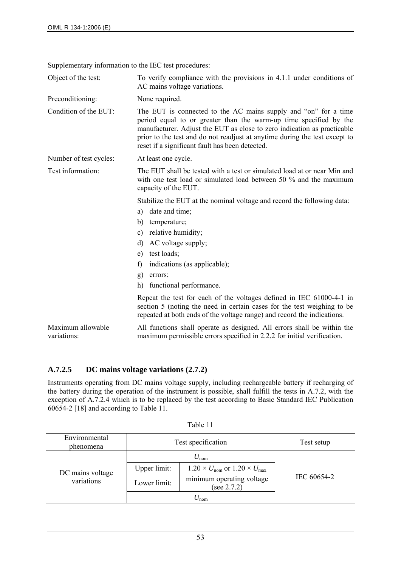Supplementary information to the IEC test procedures:

Object of the test: To verify compliance with the provisions in 4.1.1 under conditions of AC mains voltage variations.

Preconditioning: None required.

Condition of the EUT: The EUT is connected to the AC mains supply and "on" for a time period equal to or greater than the warm-up time specified by the manufacturer. Adjust the EUT as close to zero indication as practicable prior to the test and do not readjust at anytime during the test except to reset if a significant fault has been detected.

Number of test cycles: At least one cycle.

Test information: The EUT shall be tested with a test or simulated load at or near Min and with one test load or simulated load between 50 % and the maximum capacity of the EUT.

Stabilize the EUT at the nominal voltage and record the following data:

- a) date and time;
- b) temperature;
- c) relative humidity;
- d) AC voltage supply;
- e) test loads;
- f) indications (as applicable);
- g) errors;
- h) functional performance.

Repeat the test for each of the voltages defined in IEC 61000-4-1 in section 5 (noting the need in certain cases for the test weighing to be repeated at both ends of the voltage range) and record the indications.

Maximum allowable variations: All functions shall operate as designed. All errors shall be within the maximum permissible errors specified in 2.2.2 for initial verification.

## **A.7.2.5 DC mains voltage variations (2.7.2)**

Instruments operating from DC mains voltage supply, including rechargeable battery if recharging of the battery during the operation of the instrument is possible, shall fulfill the tests in A.7.2, with the exception of A.7.2.4 which is to be replaced by the test according to Basic Standard IEC Publication 60654-2 [18] and according to Table 11.

| Environmental<br>phenomena | Test specification |                                                              | Test setup  |
|----------------------------|--------------------|--------------------------------------------------------------|-------------|
|                            |                    | $U_{\rm nom}$                                                |             |
| DC mains voltage           | Upper limit:       | $1.20 \times U_{\text{nom}}$ or $1.20 \times U_{\text{max}}$ |             |
| variations                 | Lower limit:       | minimum operating voltage<br>(see 2.7.2)                     | IEC 60654-2 |
|                            |                    | $\mathcal{L}_{\text{nom}}$                                   |             |

Table 11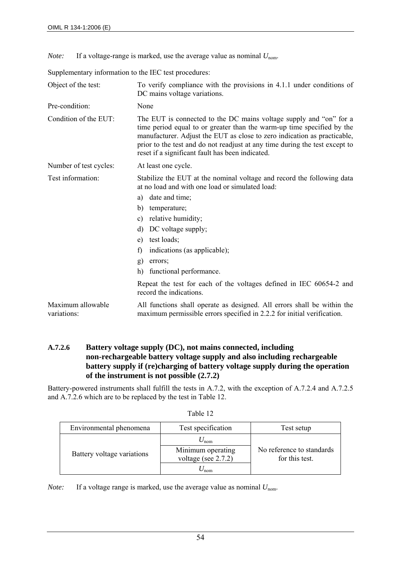*Note:* If a voltage-range is marked, use the average value as nominal  $U_{\text{nom}}$ .

Supplementary information to the IEC test procedures:

| Object of the test:              | To verify compliance with the provisions in 4.1.1 under conditions of<br>DC mains voltage variations.                                                                                                                                                                                                                                                       |  |  |
|----------------------------------|-------------------------------------------------------------------------------------------------------------------------------------------------------------------------------------------------------------------------------------------------------------------------------------------------------------------------------------------------------------|--|--|
| Pre-condition:                   | None                                                                                                                                                                                                                                                                                                                                                        |  |  |
| Condition of the EUT:            | The EUT is connected to the DC mains voltage supply and "on" for a<br>time period equal to or greater than the warm-up time specified by the<br>manufacturer. Adjust the EUT as close to zero indication as practicable,<br>prior to the test and do not readjust at any time during the test except to<br>reset if a significant fault has been indicated. |  |  |
| Number of test cycles:           | At least one cycle.                                                                                                                                                                                                                                                                                                                                         |  |  |
| Test information:                | Stabilize the EUT at the nominal voltage and record the following data<br>at no load and with one load or simulated load:<br>date and time;<br>a)                                                                                                                                                                                                           |  |  |
|                                  | b)<br>temperature;                                                                                                                                                                                                                                                                                                                                          |  |  |
|                                  | relative humidity;<br>c)                                                                                                                                                                                                                                                                                                                                    |  |  |
|                                  | DC voltage supply;<br>d)                                                                                                                                                                                                                                                                                                                                    |  |  |
|                                  | test loads;<br>e)                                                                                                                                                                                                                                                                                                                                           |  |  |
|                                  | indications (as applicable);<br>f)                                                                                                                                                                                                                                                                                                                          |  |  |
|                                  | g)<br>errors;                                                                                                                                                                                                                                                                                                                                               |  |  |
|                                  | h)<br>functional performance.                                                                                                                                                                                                                                                                                                                               |  |  |
|                                  | Repeat the test for each of the voltages defined in IEC 60654-2 and<br>record the indications.                                                                                                                                                                                                                                                              |  |  |
| Maximum allowable<br>variations: | All functions shall operate as designed. All errors shall be within the<br>maximum permissible errors specified in 2.2.2 for initial verification.                                                                                                                                                                                                          |  |  |

#### **A.7.2.6 Battery voltage supply (DC), not mains connected, including non-rechargeable battery voltage supply and also including rechargeable battery supply if (re)charging of battery voltage supply during the operation of the instrument is not possible (2.7.2)**

Battery-powered instruments shall fulfill the tests in A.7.2, with the exception of A.7.2.4 and A.7.2.5 and A.7.2.6 which are to be replaced by the test in Table 12.

| Environmental phenomena    | Test specification                          | Test setup                                  |
|----------------------------|---------------------------------------------|---------------------------------------------|
|                            | $U_{\text{nom}}$                            |                                             |
| Battery voltage variations | Minimum operating<br>voltage (see $2.7.2$ ) | No reference to standards<br>for this test. |
|                            | nom                                         |                                             |

Table 12

*Note:* If a voltage range is marked, use the average value as nominal  $U_{\text{nom}}$ .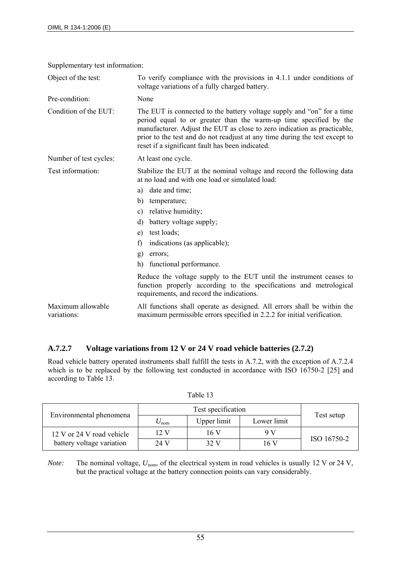| Object of the test:              | To verify compliance with the provisions in 4.1.1 under conditions of<br>voltage variations of a fully charged battery.                                                                                                                                                                                                                                    |  |
|----------------------------------|------------------------------------------------------------------------------------------------------------------------------------------------------------------------------------------------------------------------------------------------------------------------------------------------------------------------------------------------------------|--|
| Pre-condition:                   | None                                                                                                                                                                                                                                                                                                                                                       |  |
| Condition of the EUT:            | The EUT is connected to the battery voltage supply and "on" for a time<br>period equal to or greater than the warm-up time specified by the<br>manufacturer. Adjust the EUT as close to zero indication as practicable,<br>prior to the test and do not readjust at any time during the test except to<br>reset if a significant fault has been indicated. |  |
| Number of test cycles:           | At least one cycle.                                                                                                                                                                                                                                                                                                                                        |  |
| Test information:                | Stabilize the EUT at the nominal voltage and record the following data<br>at no load and with one load or simulated load:                                                                                                                                                                                                                                  |  |
|                                  | date and time;<br>a)                                                                                                                                                                                                                                                                                                                                       |  |
|                                  | b)<br>temperature;                                                                                                                                                                                                                                                                                                                                         |  |
|                                  | relative humidity;<br>$\mathbf{c})$                                                                                                                                                                                                                                                                                                                        |  |
|                                  | battery voltage supply;<br>d)                                                                                                                                                                                                                                                                                                                              |  |
|                                  | test loads;<br>e)                                                                                                                                                                                                                                                                                                                                          |  |
|                                  | f)<br>indications (as applicable);                                                                                                                                                                                                                                                                                                                         |  |
|                                  | g)<br>errors:                                                                                                                                                                                                                                                                                                                                              |  |
|                                  | h)<br>functional performance.                                                                                                                                                                                                                                                                                                                              |  |
|                                  | Reduce the voltage supply to the EUT until the instrument ceases to<br>function properly according to the specifications and metrological<br>requirements, and record the indications.                                                                                                                                                                     |  |
| Maximum allowable<br>variations: | All functions shall operate as designed. All errors shall be within the<br>maximum permissible errors specified in 2.2.2 for initial verification.                                                                                                                                                                                                         |  |

Supplementary test information:

## **A.7.2.7 Voltage variations from 12 V or 24 V road vehicle batteries (2.7.2)**

Road vehicle battery operated instruments shall fulfill the tests in A.7.2, with the exception of A.7.2.4 which is to be replaced by the following test conducted in accordance with ISO 16750-2 [25] and according to Table 13.

| Environmental phenomena   | Test specification |             |             | Test setup  |
|---------------------------|--------------------|-------------|-------------|-------------|
|                           | ⊅ nom              | Upper limit | Lower limit |             |
| 12 V or 24 V road vehicle | $12 \text{ V}$     | 16V         | 9V          |             |
| battery voltage variation | 24 V               | 32 V        | 16 V        | ISO 16750-2 |

Table 13

*Note:* The nominal voltage,  $U_{\text{nom}}$ , of the electrical system in road vehicles is usually 12 V or 24 V, but the practical voltage at the battery connection points can vary considerably.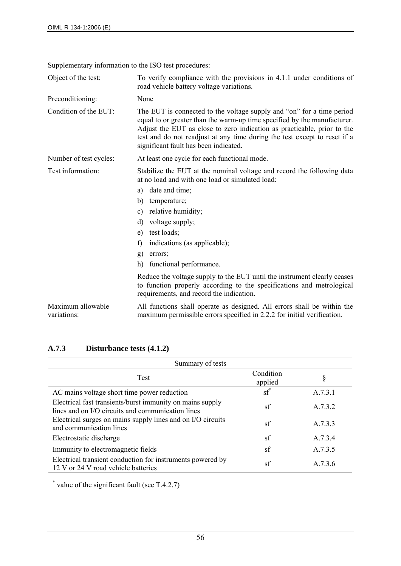|  | Supplementary information to the ISO test procedures: |
|--|-------------------------------------------------------|
|  |                                                       |

| Object of the test:              | To verify compliance with the provisions in 4.1.1 under conditions of<br>road vehicle battery voltage variations.                                                                                                                                                                                                                                  |  |
|----------------------------------|----------------------------------------------------------------------------------------------------------------------------------------------------------------------------------------------------------------------------------------------------------------------------------------------------------------------------------------------------|--|
| Preconditioning:                 | None                                                                                                                                                                                                                                                                                                                                               |  |
| Condition of the EUT:            | The EUT is connected to the voltage supply and "on" for a time period<br>equal to or greater than the warm-up time specified by the manufacturer.<br>Adjust the EUT as close to zero indication as practicable, prior to the<br>test and do not readjust at any time during the test except to reset if a<br>significant fault has been indicated. |  |
| Number of test cycles:           | At least one cycle for each functional mode.                                                                                                                                                                                                                                                                                                       |  |
| Test information:                | Stabilize the EUT at the nominal voltage and record the following data<br>at no load and with one load or simulated load:                                                                                                                                                                                                                          |  |
|                                  | date and time;<br>a)                                                                                                                                                                                                                                                                                                                               |  |
|                                  | b)<br>temperature;                                                                                                                                                                                                                                                                                                                                 |  |
|                                  | relative humidity;<br>c)                                                                                                                                                                                                                                                                                                                           |  |
|                                  | voltage supply;<br>d)                                                                                                                                                                                                                                                                                                                              |  |
|                                  | test loads;<br>e)                                                                                                                                                                                                                                                                                                                                  |  |
|                                  | f)<br>indications (as applicable);                                                                                                                                                                                                                                                                                                                 |  |
|                                  | errors;<br>g)                                                                                                                                                                                                                                                                                                                                      |  |
|                                  | functional performance.<br>h)                                                                                                                                                                                                                                                                                                                      |  |
|                                  | Reduce the voltage supply to the EUT until the instrument clearly ceases<br>to function properly according to the specifications and metrological<br>requirements, and record the indication.                                                                                                                                                      |  |
| Maximum allowable<br>variations: | All functions shall operate as designed. All errors shall be within the<br>maximum permissible errors specified in 2.2.2 for initial verification.                                                                                                                                                                                                 |  |

# **A.7.3 Disturbance tests (4.1.2)**

| Summary of tests                                                                                               |                       |         |
|----------------------------------------------------------------------------------------------------------------|-----------------------|---------|
| Test                                                                                                           | Condition<br>applied  | 8       |
| AC mains voltage short time power reduction                                                                    | $\operatorname{sf}^*$ | A.7.3.1 |
| Electrical fast transients/burst immunity on mains supply<br>lines and on I/O circuits and communication lines | sf                    | A.7.3.2 |
| Electrical surges on mains supply lines and on I/O circuits<br>and communication lines                         | sf                    | A.7.3.3 |
| Electrostatic discharge                                                                                        | sf                    | A.7.3.4 |
| Immunity to electromagnetic fields                                                                             | sf                    | A.7.3.5 |
| Electrical transient conduction for instruments powered by<br>12 V or 24 V road vehicle batteries              | sf                    | A.7.3.6 |

\* value of the significant fault (see T.4.2.7)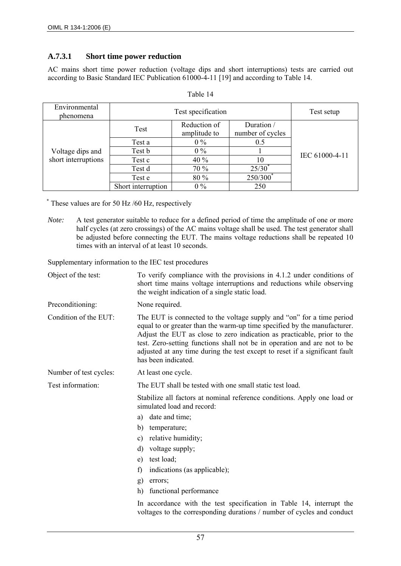## **A.7.3.1 Short time power reduction**

AC mains short time power reduction (voltage dips and short interruptions) tests are carried out according to Basic Standard IEC Publication 61000-4-11 [19] and according to Table 14.

| Environmental<br>phenomena | Test specification |                              | Test setup                     |                |
|----------------------------|--------------------|------------------------------|--------------------------------|----------------|
|                            | Test               | Reduction of<br>amplitude to | Duration /<br>number of cycles |                |
|                            | Test a             | $0\%$                        | 0.5                            |                |
| Voltage dips and           | Test b             | $0\%$                        |                                | IEC 61000-4-11 |
| short interruptions        | Test c             | 40 %                         | 10                             |                |
|                            | Test d             | 70 %                         | 25/30                          |                |
|                            | Test e             | 80 %                         | $250/300^{\degree}$            |                |
|                            | Short interruption | $0\%$                        | 250                            |                |

| Table 14 |  |
|----------|--|
|----------|--|

\* These values are for 50 Hz /60 Hz, respectively

*Note:* A test generator suitable to reduce for a defined period of time the amplitude of one or more half cycles (at zero crossings) of the AC mains voltage shall be used. The test generator shall be adjusted before connecting the EUT. The mains voltage reductions shall be repeated 10 times with an interval of at least 10 seconds.

Supplementary information to the IEC test procedures

| Object of the test:    | To verify compliance with the provisions in 4.1.2 under conditions of<br>short time mains voltage interruptions and reductions while observing<br>the weight indication of a single static load.                                                                                                                                                                                                               |
|------------------------|----------------------------------------------------------------------------------------------------------------------------------------------------------------------------------------------------------------------------------------------------------------------------------------------------------------------------------------------------------------------------------------------------------------|
| Preconditioning:       | None required.                                                                                                                                                                                                                                                                                                                                                                                                 |
| Condition of the EUT:  | The EUT is connected to the voltage supply and "on" for a time period<br>equal to or greater than the warm-up time specified by the manufacturer.<br>Adjust the EUT as close to zero indication as practicable, prior to the<br>test. Zero-setting functions shall not be in operation and are not to be<br>adjusted at any time during the test except to reset if a significant fault<br>has been indicated. |
| Number of test cycles: | At least one cycle.                                                                                                                                                                                                                                                                                                                                                                                            |
| Test information:      | The EUT shall be tested with one small static test load.                                                                                                                                                                                                                                                                                                                                                       |
|                        | Stabilize all factors at nominal reference conditions. Apply one load or<br>simulated load and record:                                                                                                                                                                                                                                                                                                         |
|                        | date and time;<br>a)                                                                                                                                                                                                                                                                                                                                                                                           |
|                        | b)<br>temperature;                                                                                                                                                                                                                                                                                                                                                                                             |
|                        | relative humidity;<br>$\mathbf{c})$                                                                                                                                                                                                                                                                                                                                                                            |
|                        | d)<br>voltage supply;                                                                                                                                                                                                                                                                                                                                                                                          |
|                        | test load;<br>e)                                                                                                                                                                                                                                                                                                                                                                                               |
|                        | indications (as applicable);<br>f)                                                                                                                                                                                                                                                                                                                                                                             |
|                        | g)<br>errors;                                                                                                                                                                                                                                                                                                                                                                                                  |
|                        | h)<br>functional performance                                                                                                                                                                                                                                                                                                                                                                                   |
|                        | In accordance with the test specification in Table 14, interrupt the<br>voltages to the corresponding durations / number of cycles and conduct                                                                                                                                                                                                                                                                 |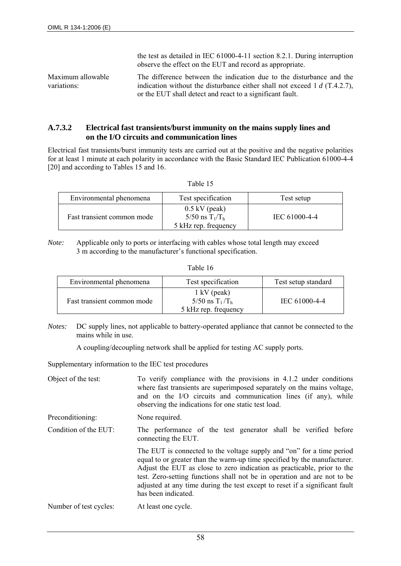|                                  | the test as detailed in IEC 61000-4-11 section 8.2.1. During interruption<br>observe the effect on the EUT and record as appropriate.                                                                            |
|----------------------------------|------------------------------------------------------------------------------------------------------------------------------------------------------------------------------------------------------------------|
| Maximum allowable<br>variations: | The difference between the indication due to the disturbance and the<br>indication without the disturbance either shall not exceed 1 $d$ (T.4.2.7),<br>or the EUT shall detect and react to a significant fault. |

#### **A.7.3.2 Electrical fast transients/burst immunity on the mains supply lines and on the I/O circuits and communication lines**

Electrical fast transients/burst immunity tests are carried out at the positive and the negative polarities for at least 1 minute at each polarity in accordance with the Basic Standard IEC Publication 61000-4-4 [20] and according to Tables 15 and 16.

| <b>Table</b> |  |
|--------------|--|
|--------------|--|

| Environmental phenomena    | Test specification                                           | Test setup    |
|----------------------------|--------------------------------------------------------------|---------------|
| Fast transient common mode | $0.5$ kV (peak)<br>5/50 ns $T_1/T_h$<br>5 kHz rep. frequency | IEC 61000-4-4 |

*Note:* Applicable only to ports or interfacing with cables whose total length may exceed 3 m according to the manufacturer's functional specification.

| Table 16 |  |
|----------|--|
|----------|--|

| Environmental phenomena    | Test specification                                                 | Test setup standard |
|----------------------------|--------------------------------------------------------------------|---------------------|
| Fast transient common mode | $1 \text{ kV}$ (peak)<br>5/50 ns $T_1/T_h$<br>5 kHz rep. frequency | IEC 61000-4-4       |

*Notes:* DC supply lines, not applicable to battery-operated appliance that cannot be connected to the mains while in use.

A coupling/decoupling network shall be applied for testing AC supply ports.

Supplementary information to the IEC test procedures

| Object of the test:    | To verify compliance with the provisions in 4.1.2 under conditions<br>where fast transients are superimposed separately on the mains voltage,<br>and on the I/O circuits and communication lines (if any), while<br>observing the indications for one static test load.                                                                                                                                        |  |  |
|------------------------|----------------------------------------------------------------------------------------------------------------------------------------------------------------------------------------------------------------------------------------------------------------------------------------------------------------------------------------------------------------------------------------------------------------|--|--|
| Preconditioning:       | None required.                                                                                                                                                                                                                                                                                                                                                                                                 |  |  |
| Condition of the EUT:  | The performance of the test generator shall be verified before<br>connecting the EUT.                                                                                                                                                                                                                                                                                                                          |  |  |
|                        | The EUT is connected to the voltage supply and "on" for a time period<br>equal to or greater than the warm-up time specified by the manufacturer.<br>Adjust the EUT as close to zero indication as practicable, prior to the<br>test. Zero-setting functions shall not be in operation and are not to be<br>adjusted at any time during the test except to reset if a significant fault<br>has been indicated. |  |  |
| Number of test cycles: | At least one cycle.                                                                                                                                                                                                                                                                                                                                                                                            |  |  |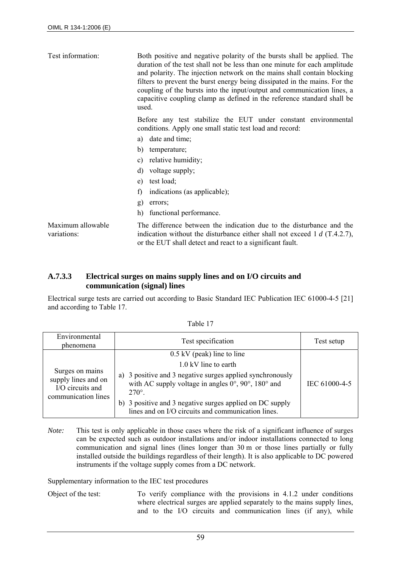| Test information:                | Both positive and negative polarity of the bursts shall be applied. The<br>duration of the test shall not be less than one minute for each amplitude<br>and polarity. The injection network on the mains shall contain blocking<br>filters to prevent the burst energy being dissipated in the mains. For the<br>coupling of the bursts into the input/output and communication lines, a<br>capacitive coupling clamp as defined in the reference standard shall be<br>used. |  |  |
|----------------------------------|------------------------------------------------------------------------------------------------------------------------------------------------------------------------------------------------------------------------------------------------------------------------------------------------------------------------------------------------------------------------------------------------------------------------------------------------------------------------------|--|--|
|                                  | Before any test stabilize the EUT under constant environmental<br>conditions. Apply one small static test load and record:                                                                                                                                                                                                                                                                                                                                                   |  |  |
|                                  | date and time;<br>a)                                                                                                                                                                                                                                                                                                                                                                                                                                                         |  |  |
|                                  | b)<br>temperature;                                                                                                                                                                                                                                                                                                                                                                                                                                                           |  |  |
|                                  | relative humidity;<br>c)                                                                                                                                                                                                                                                                                                                                                                                                                                                     |  |  |
|                                  | d)<br>voltage supply;                                                                                                                                                                                                                                                                                                                                                                                                                                                        |  |  |
|                                  | test load;<br>e)                                                                                                                                                                                                                                                                                                                                                                                                                                                             |  |  |
|                                  | indications (as applicable);<br>f)                                                                                                                                                                                                                                                                                                                                                                                                                                           |  |  |
|                                  | g)<br>errors;                                                                                                                                                                                                                                                                                                                                                                                                                                                                |  |  |
|                                  | h)<br>functional performance.                                                                                                                                                                                                                                                                                                                                                                                                                                                |  |  |
| Maximum allowable<br>variations: | The difference between the indication due to the disturbance and the<br>indication without the disturbance either shall not exceed 1 $d$ (T.4.2.7),<br>or the EUT shall detect and react to a significant fault.                                                                                                                                                                                                                                                             |  |  |

## **A.7.3.3 Electrical surges on mains supply lines and on I/O circuits and communication (signal) lines**

Electrical surge tests are carried out according to Basic Standard IEC Publication IEC 61000-4-5 [21] and according to Table 17.

| Environmental<br>phenomena                                                        | Test specification                                                                                                                                            | Test setup    |
|-----------------------------------------------------------------------------------|---------------------------------------------------------------------------------------------------------------------------------------------------------------|---------------|
|                                                                                   | $0.5$ kV (peak) line to line                                                                                                                                  |               |
|                                                                                   | 1.0 kV line to earth                                                                                                                                          |               |
| Surges on mains<br>supply lines and on<br>I/O circuits and<br>communication lines | a) 3 positive and 3 negative surges applied synchronously<br>with AC supply voltage in angles $0^{\circ}$ , $90^{\circ}$ , $180^{\circ}$ and<br>$270^\circ$ . | IEC 61000-4-5 |
|                                                                                   | b) 3 positive and 3 negative surges applied on DC supply<br>lines and on I/O circuits and communication lines.                                                |               |

Table 17

*Note:* This test is only applicable in those cases where the risk of a significant influence of surges can be expected such as outdoor installations and/or indoor installations connected to long communication and signal lines (lines longer than 30 m or those lines partially or fully installed outside the buildings regardless of their length). It is also applicable to DC powered instruments if the voltage supply comes from a DC network.

Supplementary information to the IEC test procedures

Object of the test: To verify compliance with the provisions in 4.1.2 under conditions where electrical surges are applied separately to the mains supply lines, and to the I/O circuits and communication lines (if any), while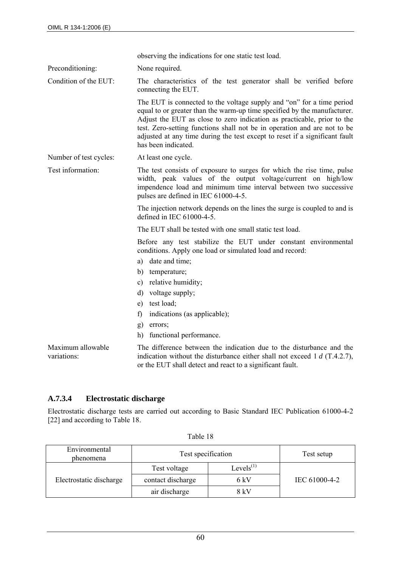observing the indications for one static test load.

Preconditioning: None required.

Condition of the EUT: The characteristics of the test generator shall be verified before connecting the EUT.

> The EUT is connected to the voltage supply and "on" for a time period equal to or greater than the warm-up time specified by the manufacturer. Adjust the EUT as close to zero indication as practicable, prior to the test. Zero-setting functions shall not be in operation and are not to be adjusted at any time during the test except to reset if a significant fault has been indicated.

Number of test cycles: At least one cycle.

Test information: The test consists of exposure to surges for which the rise time, pulse width, peak values of the output voltage/current on high/low impendence load and minimum time interval between two successive pulses are defined in IEC 61000-4-5.

> The injection network depends on the lines the surge is coupled to and is defined in IEC 61000-4-5.

The EUT shall be tested with one small static test load.

Before any test stabilize the EUT under constant environmental conditions. Apply one load or simulated load and record:

- a) date and time;
- b) temperature;
- c) relative humidity;
- d) voltage supply;
- e) test load;
- f) indications (as applicable);
- g) errors;
- h) functional performance.

Maximum allowable variations: The difference between the indication due to the disturbance and the indication without the disturbance either shall not exceed 1 *d* (T.4.2.7), or the EUT shall detect and react to a significant fault.

#### **A.7.3.4 Electrostatic discharge**

Electrostatic discharge tests are carried out according to Basic Standard IEC Publication 61000-4-2 [22] and according to Table 18.

| Environmental<br>phenomena | Test specification | Test setup      |               |  |
|----------------------------|--------------------|-----------------|---------------|--|
|                            | Test voltage       | Levels $^{(1)}$ |               |  |
| Electrostatic discharge    | contact discharge  | 6 kV            | IEC 61000-4-2 |  |
|                            | air discharge      | 8 kV            |               |  |

Table 18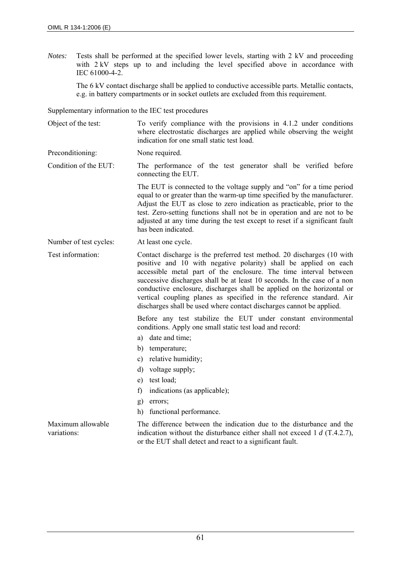*Notes:* Tests shall be performed at the specified lower levels, starting with 2 kV and proceeding with 2 kV steps up to and including the level specified above in accordance with IEC 61000-4-2.

The 6 kV contact discharge shall be applied to conductive accessible parts. Metallic contacts, e.g. in battery compartments or in socket outlets are excluded from this requirement.

Supplementary information to the IEC test procedures

Object of the test: To verify compliance with the provisions in 4.1.2 under conditions where electrostatic discharges are applied while observing the weight indication for one small static test load.

Preconditioning: None required.

Condition of the EUT: The performance of the test generator shall be verified before connecting the EUT.

> The EUT is connected to the voltage supply and "on" for a time period equal to or greater than the warm-up time specified by the manufacturer. Adjust the EUT as close to zero indication as practicable, prior to the test. Zero-setting functions shall not be in operation and are not to be adjusted at any time during the test except to reset if a significant fault has been indicated.

Number of test cycles: At least one cycle.

Test information: Contact discharge is the preferred test method. 20 discharges (10 with positive and 10 with negative polarity) shall be applied on each accessible metal part of the enclosure. The time interval between successive discharges shall be at least 10 seconds. In the case of a non conductive enclosure, discharges shall be applied on the horizontal or vertical coupling planes as specified in the reference standard. Air discharges shall be used where contact discharges cannot be applied.

> Before any test stabilize the EUT under constant environmental conditions. Apply one small static test load and record:

- a) date and time;
- b) temperature;
- c) relative humidity;
- d) voltage supply;
- e) test load;
- f) indications (as applicable);
- g) errors;
- h) functional performance.

Maximum allowable variations:

The difference between the indication due to the disturbance and the indication without the disturbance either shall not exceed 1 *d* (T.4.2.7), or the EUT shall detect and react to a significant fault.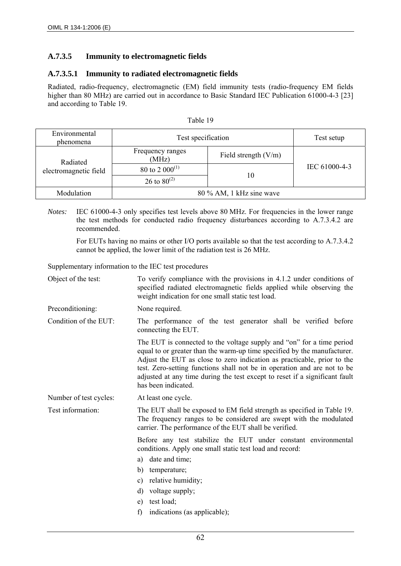# **A.7.3.5 Immunity to electromagnetic fields**

## **A.7.3.5.1 Immunity to radiated electromagnetic fields**

Radiated, radio-frequency, electromagnetic (EM) field immunity tests (radio-frequency EM fields higher than 80 MHz) are carried out in accordance to Basic Standard IEC Publication 61000-4-3 [23] and according to Table 19.

| Environmental<br>phenomena | Test specification        | Test setup             |               |
|----------------------------|---------------------------|------------------------|---------------|
| Radiated                   | Frequency ranges<br>(MHz) | Field strength $(V/m)$ |               |
| electromagnetic field      | 80 to 2 $000^{(1)}$       |                        | IEC 61000-4-3 |
|                            | 26 to $80^{(2)}$          | 10                     |               |
| Modulation                 | 80 % AM, 1 kHz sine wave  |                        |               |

Table 19

*Notes:* IEC 61000-4-3 only specifies test levels above 80 MHz. For frequencies in the lower range the test methods for conducted radio frequency disturbances according to A.7.3.4.2 are recommended.

For EUTs having no mains or other I/O ports available so that the test according to A.7.3.4.2 cannot be applied, the lower limit of the radiation test is 26 MHz.

Supplementary information to the IEC test procedures

| Object of the test:    | To verify compliance with the provisions in 4.1.2 under conditions of<br>specified radiated electromagnetic fields applied while observing the<br>weight indication for one small static test load.                                                                                                                                                                                                            |  |  |  |
|------------------------|----------------------------------------------------------------------------------------------------------------------------------------------------------------------------------------------------------------------------------------------------------------------------------------------------------------------------------------------------------------------------------------------------------------|--|--|--|
| Preconditioning:       | None required.                                                                                                                                                                                                                                                                                                                                                                                                 |  |  |  |
| Condition of the EUT:  | The performance of the test generator shall be verified before<br>connecting the EUT.                                                                                                                                                                                                                                                                                                                          |  |  |  |
|                        | The EUT is connected to the voltage supply and "on" for a time period<br>equal to or greater than the warm-up time specified by the manufacturer.<br>Adjust the EUT as close to zero indication as practicable, prior to the<br>test. Zero-setting functions shall not be in operation and are not to be<br>adjusted at any time during the test except to reset if a significant fault<br>has been indicated. |  |  |  |
| Number of test cycles: | At least one cycle.                                                                                                                                                                                                                                                                                                                                                                                            |  |  |  |
| Test information:      | The EUT shall be exposed to EM field strength as specified in Table 19.<br>The frequency ranges to be considered are swept with the modulated<br>carrier. The performance of the EUT shall be verified.                                                                                                                                                                                                        |  |  |  |
|                        | Before any test stabilize the EUT under constant environmental<br>conditions. Apply one small static test load and record:                                                                                                                                                                                                                                                                                     |  |  |  |
|                        | date and time;<br>a)                                                                                                                                                                                                                                                                                                                                                                                           |  |  |  |
|                        | b)<br>temperature;                                                                                                                                                                                                                                                                                                                                                                                             |  |  |  |
|                        | relative humidity;<br>$\mathbf{c})$                                                                                                                                                                                                                                                                                                                                                                            |  |  |  |
|                        | d)<br>voltage supply;                                                                                                                                                                                                                                                                                                                                                                                          |  |  |  |
|                        | test load;<br>e)                                                                                                                                                                                                                                                                                                                                                                                               |  |  |  |
|                        | indications (as applicable);<br>f                                                                                                                                                                                                                                                                                                                                                                              |  |  |  |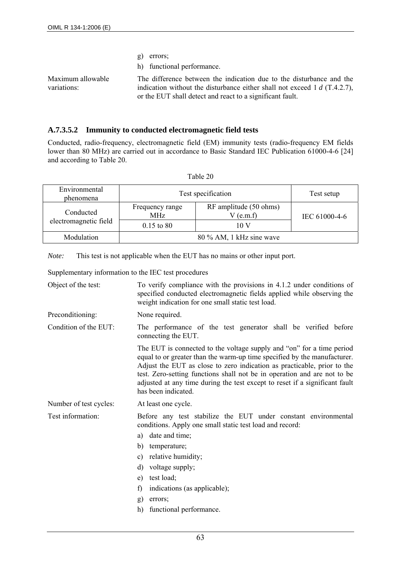- g) errors;
- h) functional performance.

Maximum allowable variations:

The difference between the indication due to the disturbance and the indication without the disturbance either shall not exceed 1 *d* (T.4.2.7), or the EUT shall detect and react to a significant fault.

#### **A.7.3.5.2 Immunity to conducted electromagnetic field tests**

Conducted, radio-frequency, electromagnetic field (EM) immunity tests (radio-frequency EM fields lower than 80 MHz) are carried out in accordance to Basic Standard IEC Publication 61000-4-6 [24] and according to Table 20.

| Environmental<br>phenomena         | Test specification       | Test setup                            |               |  |
|------------------------------------|--------------------------|---------------------------------------|---------------|--|
| Conducted<br>electromagnetic field | Frequency range<br>MHz   | RF amplitude (50 ohms)<br>$V$ (e.m.f) | IEC 61000-4-6 |  |
|                                    | $0.15$ to 80             | 10 V                                  |               |  |
| Modulation                         | 80 % AM, 1 kHz sine wave |                                       |               |  |

| Table 20 |  |
|----------|--|
|          |  |

*Note:* This test is not applicable when the EUT has no mains or other input port.

Supplementary information to the IEC test procedures

| Object of the test:    | To verify compliance with the provisions in 4.1.2 under conditions of<br>specified conducted electromagnetic fields applied while observing the<br>weight indication for one small static test load.                                                                                                                                                                                                           |  |  |  |
|------------------------|----------------------------------------------------------------------------------------------------------------------------------------------------------------------------------------------------------------------------------------------------------------------------------------------------------------------------------------------------------------------------------------------------------------|--|--|--|
| Preconditioning:       | None required.                                                                                                                                                                                                                                                                                                                                                                                                 |  |  |  |
| Condition of the EUT:  | The performance of the test generator shall be verified before<br>connecting the EUT.                                                                                                                                                                                                                                                                                                                          |  |  |  |
|                        | The EUT is connected to the voltage supply and "on" for a time period<br>equal to or greater than the warm-up time specified by the manufacturer.<br>Adjust the EUT as close to zero indication as practicable, prior to the<br>test. Zero-setting functions shall not be in operation and are not to be<br>adjusted at any time during the test except to reset if a significant fault<br>has been indicated. |  |  |  |
| Number of test cycles: | At least one cycle.                                                                                                                                                                                                                                                                                                                                                                                            |  |  |  |
| Test information:      | Before any test stabilize the EUT under constant environmental<br>conditions. Apply one small static test load and record:                                                                                                                                                                                                                                                                                     |  |  |  |
|                        | a) date and time;                                                                                                                                                                                                                                                                                                                                                                                              |  |  |  |
|                        | b)<br>temperature;                                                                                                                                                                                                                                                                                                                                                                                             |  |  |  |
|                        | relative humidity;<br>c)                                                                                                                                                                                                                                                                                                                                                                                       |  |  |  |
|                        | $\mathbf{d}$<br>voltage supply;                                                                                                                                                                                                                                                                                                                                                                                |  |  |  |
|                        | test load;<br>e)                                                                                                                                                                                                                                                                                                                                                                                               |  |  |  |
|                        | f)<br>indications (as applicable);                                                                                                                                                                                                                                                                                                                                                                             |  |  |  |
|                        | errors:<br>g)                                                                                                                                                                                                                                                                                                                                                                                                  |  |  |  |
|                        | h)<br>functional performance.                                                                                                                                                                                                                                                                                                                                                                                  |  |  |  |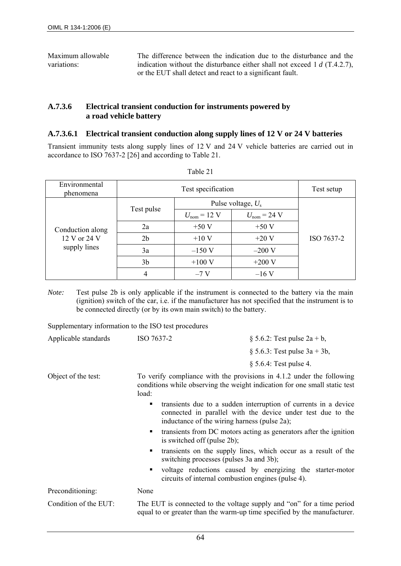Maximum allowable variations: The difference between the indication due to the disturbance and the indication without the disturbance either shall not exceed 1 *d* (T.4.2.7), or the EUT shall detect and react to a significant fault.

#### **A.7.3.6 Electrical transient conduction for instruments powered by a road vehicle battery**

#### **A.7.3.6.1 Electrical transient conduction along supply lines of 12 V or 24 V batteries**

Transient immunity tests along supply lines of 12 V and 24 V vehicle batteries are carried out in accordance to ISO 7637-2 [26] and according to Table 21.

| Environmental<br>phenomena   | Test specification |                                 |                                 | Test setup |
|------------------------------|--------------------|---------------------------------|---------------------------------|------------|
|                              |                    | Pulse voltage, $U_s$            |                                 |            |
|                              | Test pulse         | $U_{\text{nom}} = 12 \text{ V}$ | $U_{\text{nom}} = 24 \text{ V}$ |            |
| Conduction along             | 2a                 | $+50V$                          | $+50V$                          |            |
| 12 V or 24 V<br>supply lines | 2 <sub>b</sub>     | $+10V$                          | $+20V$                          | ISO 7637-2 |
|                              | 3a                 | $-150$ V                        | $-200$ V                        |            |
|                              | 3 <sub>b</sub>     | $+100$ V                        | $+200$ V                        |            |
|                              | 4                  | $-7V$                           | $-16V$                          |            |

*Note:* Test pulse 2b is only applicable if the instrument is connected to the battery via the main (ignition) switch of the car, i.e. if the manufacturer has not specified that the instrument is to be connected directly (or by its own main switch) to the battery.

Supplementary information to the ISO test procedures

| $\bigcap$ . $\bigcup_{i=1}^{n}$ $\bigcap_{i=1}^{n}$ $\bigcap_{i=1}^{n}$ |            |                                     |
|-------------------------------------------------------------------------|------------|-------------------------------------|
|                                                                         |            | $\S$ 5.6.4: Test pulse 4.           |
|                                                                         |            | $\S 5.6.3$ : Test pulse $3a + 3b$ , |
| Applicable standards                                                    | ISO 7637-2 | § 5.6.2: Test pulse $2a + b$ ,      |

Object of the test: To verify compliance with the provisions in 4.1.2 under the following conditions while observing the weight indication for one small static test load:

- transients due to a sudden interruption of currents in a device connected in parallel with the device under test due to the inductance of the wiring harness (pulse 2a);
- transients from DC motors acting as generators after the ignition is switched off (pulse 2b);
- transients on the supply lines, which occur as a result of the switching processes (pulses 3a and 3b);
- voltage reductions caused by energizing the starter-motor circuits of internal combustion engines (pulse 4).

| Preconditioning:      | None                                                                     |
|-----------------------|--------------------------------------------------------------------------|
| Condition of the EUT: | The EUT is connected to the voltage supply and "on" for a time period    |
|                       | equal to or greater than the warm-up time specified by the manufacturer. |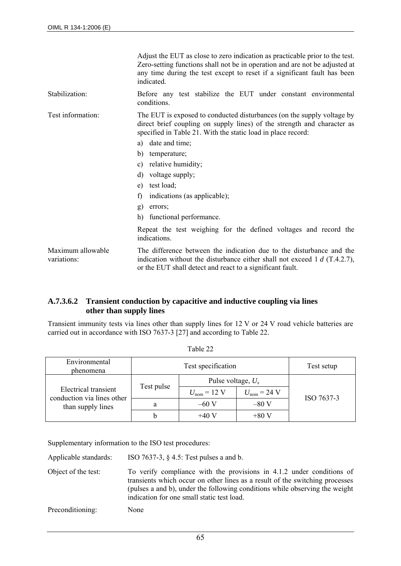|                                  | Adjust the EUT as close to zero indication as practicable prior to the test.<br>Zero-setting functions shall not be in operation and are not be adjusted at<br>any time during the test except to reset if a significant fault has been<br>indicated                                                                                                                                                                                                                                                                           |
|----------------------------------|--------------------------------------------------------------------------------------------------------------------------------------------------------------------------------------------------------------------------------------------------------------------------------------------------------------------------------------------------------------------------------------------------------------------------------------------------------------------------------------------------------------------------------|
| Stabilization:                   | Before any test stabilize the EUT under constant environmental<br>conditions.                                                                                                                                                                                                                                                                                                                                                                                                                                                  |
| Test information:                | The EUT is exposed to conducted disturbances (on the supply voltage by<br>direct brief coupling on supply lines) of the strength and character as<br>specified in Table 21. With the static load in place record:<br>date and time;<br>a)<br>b)<br>temperature;<br>relative humidity;<br>c)<br>voltage supply;<br>$\mathbf{d}$<br>test load;<br>e)<br>f)<br>indications (as applicable);<br>g)<br>errors;<br>h)<br>functional performance.<br>Repeat the test weighing for the defined voltages and record the<br>indications. |
| Maximum allowable<br>variations: | The difference between the indication due to the disturbance and the<br>indication without the disturbance either shall not exceed 1 $d$ (T.4.2.7),<br>or the EUT shall detect and react to a significant fault.                                                                                                                                                                                                                                                                                                               |

## **A.7.3.6.2 Transient conduction by capacitive and inductive coupling via lines other than supply lines**

Transient immunity tests via lines other than supply lines for 12 V or 24 V road vehicle batteries are carried out in accordance with ISO 7637-3 [27] and according to Table 22.

| Environmental<br><i>phenomena</i>                                       | Test specification |                                 | Test setup                      |            |
|-------------------------------------------------------------------------|--------------------|---------------------------------|---------------------------------|------------|
| Electrical transient<br>conduction via lines other<br>than supply lines | Test pulse         | Pulse voltage, $U_s$            |                                 |            |
|                                                                         |                    | $U_{\text{nom}} = 12 \text{ V}$ | $U_{\text{nom}} = 24 \text{ V}$ | ISO 7637-3 |
|                                                                         | a                  | $-60V$                          | $-80V$                          |            |
|                                                                         | b                  | $+40V$                          | $+80V$                          |            |

Table 22

Supplementary information to the ISO test procedures:

Applicable standards: ISO 7637-3, § 4.5: Test pulses a and b.

Object of the test: To verify compliance with the provisions in 4.1.2 under conditions of transients which occur on other lines as a result of the switching processes (pulses a and b), under the following conditions while observing the weight indication for one small static test load.

Preconditioning: None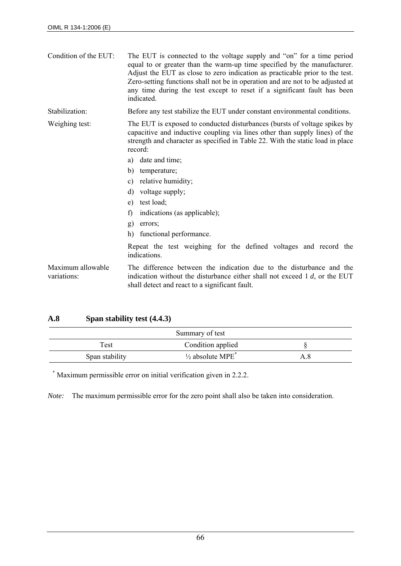| Condition of the EUT:            | The EUT is connected to the voltage supply and "on" for a time period<br>equal to or greater than the warm-up time specified by the manufacturer.<br>Adjust the EUT as close to zero indication as practicable prior to the test.<br>Zero-setting functions shall not be in operation and are not to be adjusted at<br>any time during the test except to reset if a significant fault has been<br>indicated. |  |
|----------------------------------|---------------------------------------------------------------------------------------------------------------------------------------------------------------------------------------------------------------------------------------------------------------------------------------------------------------------------------------------------------------------------------------------------------------|--|
| Stabilization:                   | Before any test stabilize the EUT under constant environmental conditions.                                                                                                                                                                                                                                                                                                                                    |  |
| Weighing test:                   | The EUT is exposed to conducted disturbances (bursts of voltage spikes by<br>capacitive and inductive coupling via lines other than supply lines) of the<br>strength and character as specified in Table 22. With the static load in place<br>record:                                                                                                                                                         |  |
|                                  | date and time;<br>a)                                                                                                                                                                                                                                                                                                                                                                                          |  |
|                                  | temperature;<br>b)                                                                                                                                                                                                                                                                                                                                                                                            |  |
|                                  | relative humidity;<br>C)                                                                                                                                                                                                                                                                                                                                                                                      |  |
|                                  | voltage supply;<br>d)                                                                                                                                                                                                                                                                                                                                                                                         |  |
|                                  | test load;<br>e)                                                                                                                                                                                                                                                                                                                                                                                              |  |
|                                  | indications (as applicable);<br>f)                                                                                                                                                                                                                                                                                                                                                                            |  |
|                                  | g)<br>errors;                                                                                                                                                                                                                                                                                                                                                                                                 |  |
|                                  | functional performance.<br>h)                                                                                                                                                                                                                                                                                                                                                                                 |  |
|                                  | Repeat the test weighing for the defined voltages and record the<br>indications.                                                                                                                                                                                                                                                                                                                              |  |
| Maximum allowable<br>variations: | The difference between the indication due to the disturbance and the<br>indication without the disturbance either shall not exceed $1 d$ , or the EUT<br>shall detect and react to a significant fault.                                                                                                                                                                                                       |  |

# **A.8 Span stability test (4.4.3)**

|                | Summary of test                         |  |
|----------------|-----------------------------------------|--|
| Γest           | Condition applied                       |  |
| Span stability | $\frac{1}{2}$ absolute MPE <sup>*</sup> |  |

\* Maximum permissible error on initial verification given in 2.2.2.

*Note:* The maximum permissible error for the zero point shall also be taken into consideration.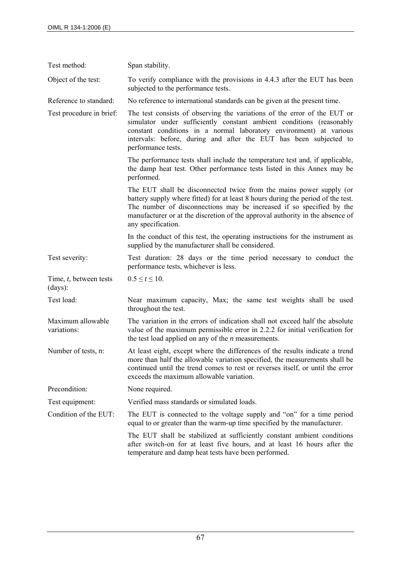| Test method:                      | Span stability.                                                                                                                                                                                                                                                                                                                        |
|-----------------------------------|----------------------------------------------------------------------------------------------------------------------------------------------------------------------------------------------------------------------------------------------------------------------------------------------------------------------------------------|
| Object of the test:               | To verify compliance with the provisions in 4.4.3 after the EUT has been<br>subjected to the performance tests.                                                                                                                                                                                                                        |
| Reference to standard:            | No reference to international standards can be given at the present time.                                                                                                                                                                                                                                                              |
| Test procedure in brief:          | The test consists of observing the variations of the error of the EUT or<br>simulator under sufficiently constant ambient conditions (reasonably<br>constant conditions in a normal laboratory environment) at various<br>intervals: before, during and after the EUT has been subjected to<br>performance tests.                      |
|                                   | The performance tests shall include the temperature test and, if applicable,<br>the damp heat test. Other performance tests listed in this Annex may be<br>performed.                                                                                                                                                                  |
|                                   | The EUT shall be disconnected twice from the mains power supply (or<br>battery supply where fitted) for at least 8 hours during the period of the test.<br>The number of disconnections may be increased if so specified by the<br>manufacturer or at the discretion of the approval authority in the absence of<br>any specification. |
|                                   | In the conduct of this test, the operating instructions for the instrument as<br>supplied by the manufacturer shall be considered.                                                                                                                                                                                                     |
| Test severity:                    | Test duration: 28 days or the time period necessary to conduct the<br>performance tests, whichever is less.                                                                                                                                                                                                                            |
| Time, t, between tests<br>(days): | $0.5 \le t \le 10$ .                                                                                                                                                                                                                                                                                                                   |
| Test load:                        | Near maximum capacity, Max; the same test weights shall be used<br>throughout the test.                                                                                                                                                                                                                                                |
| Maximum allowable<br>variations:  | The variation in the errors of indication shall not exceed half the absolute<br>value of the maximum permissible error in 2.2.2 for initial verification for<br>the test load applied on any of the $n$ measurements.                                                                                                                  |
| Number of tests, $n$ :            | At least eight, except where the differences of the results indicate a trend<br>more than half the allowable variation specified, the measurements shall be<br>continued until the trend comes to rest or reverses itself, or until the error<br>exceeds the maximum allowable variation.                                              |
| Precondition:                     | None required.                                                                                                                                                                                                                                                                                                                         |
| Test equipment:                   | Verified mass standards or simulated loads.                                                                                                                                                                                                                                                                                            |
| Condition of the EUT:             | The EUT is connected to the voltage supply and "on" for a time period<br>equal to or greater than the warm-up time specified by the manufacturer.                                                                                                                                                                                      |
|                                   | The EUT shall be stabilized at sufficiently constant ambient conditions<br>after switch-on for at least five hours, and at least 16 hours after the<br>temperature and damp heat tests have been performed.                                                                                                                            |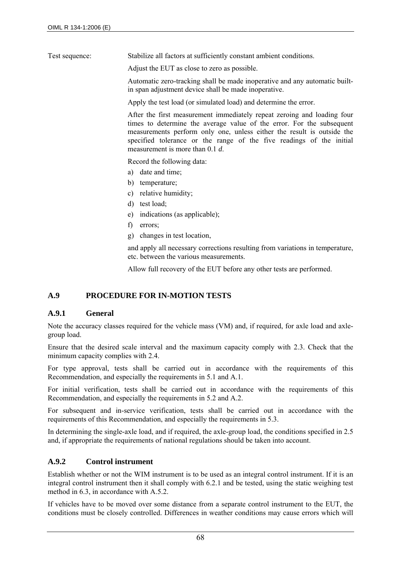Test sequence: Stabilize all factors at sufficiently constant ambient conditions.

Adjust the EUT as close to zero as possible.

Automatic zero-tracking shall be made inoperative and any automatic builtin span adjustment device shall be made inoperative.

Apply the test load (or simulated load) and determine the error.

After the first measurement immediately repeat zeroing and loading four times to determine the average value of the error. For the subsequent measurements perform only one, unless either the result is outside the specified tolerance or the range of the five readings of the initial measurement is more than 0.1 *d*.

Record the following data:

- a) date and time;
- b) temperature;
- c) relative humidity;
- d) test load;
- e) indications (as applicable);
- f) errors;
- g) changes in test location,

and apply all necessary corrections resulting from variations in temperature, etc. between the various measurements.

Allow full recovery of the EUT before any other tests are performed.

# **A.9 PROCEDURE FOR IN-MOTION TESTS**

#### **A.9.1 General**

Note the accuracy classes required for the vehicle mass (VM) and, if required, for axle load and axlegroup load.

Ensure that the desired scale interval and the maximum capacity comply with 2.3. Check that the minimum capacity complies with 2.4.

For type approval, tests shall be carried out in accordance with the requirements of this Recommendation, and especially the requirements in 5.1 and A.1.

For initial verification, tests shall be carried out in accordance with the requirements of this Recommendation, and especially the requirements in 5.2 and A.2.

For subsequent and in-service verification, tests shall be carried out in accordance with the requirements of this Recommendation, and especially the requirements in 5.3.

In determining the single-axle load, and if required, the axle-group load, the conditions specified in 2.5 and, if appropriate the requirements of national regulations should be taken into account.

## **A.9.2 Control instrument**

Establish whether or not the WIM instrument is to be used as an integral control instrument. If it is an integral control instrument then it shall comply with 6.2.1 and be tested, using the static weighing test method in 6.3, in accordance with A.5.2.

If vehicles have to be moved over some distance from a separate control instrument to the EUT, the conditions must be closely controlled. Differences in weather conditions may cause errors which will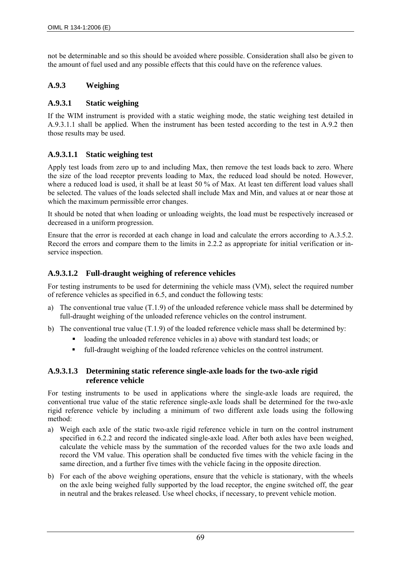not be determinable and so this should be avoided where possible. Consideration shall also be given to the amount of fuel used and any possible effects that this could have on the reference values.

# **A.9.3 Weighing**

## **A.9.3.1 Static weighing**

If the WIM instrument is provided with a static weighing mode, the static weighing test detailed in A.9.3.1.1 shall be applied. When the instrument has been tested according to the test in A.9.2 then those results may be used.

## **A.9.3.1.1 Static weighing test**

Apply test loads from zero up to and including Max, then remove the test loads back to zero. Where the size of the load receptor prevents loading to Max, the reduced load should be noted. However, where a reduced load is used, it shall be at least 50 % of Max. At least ten different load values shall be selected. The values of the loads selected shall include Max and Min, and values at or near those at which the maximum permissible error changes.

It should be noted that when loading or unloading weights, the load must be respectively increased or decreased in a uniform progression.

Ensure that the error is recorded at each change in load and calculate the errors according to A.3.5.2. Record the errors and compare them to the limits in 2.2.2 as appropriate for initial verification or inservice inspection.

## **A.9.3.1.2 Full-draught weighing of reference vehicles**

For testing instruments to be used for determining the vehicle mass (VM), select the required number of reference vehicles as specified in 6.5, and conduct the following tests:

- a) The conventional true value  $(T.1.9)$  of the unloaded reference vehicle mass shall be determined by full-draught weighing of the unloaded reference vehicles on the control instrument.
- b) The conventional true value  $(T.1.9)$  of the loaded reference vehicle mass shall be determined by:
	- loading the unloaded reference vehicles in a) above with standard test loads; or
	- full-draught weighing of the loaded reference vehicles on the control instrument.

## **A.9.3.1.3 Determining static reference single-axle loads for the two-axle rigid reference vehicle**

For testing instruments to be used in applications where the single-axle loads are required, the conventional true value of the static reference single-axle loads shall be determined for the two-axle rigid reference vehicle by including a minimum of two different axle loads using the following method:

- a) Weigh each axle of the static two-axle rigid reference vehicle in turn on the control instrument specified in 6.2.2 and record the indicated single-axle load. After both axles have been weighed, calculate the vehicle mass by the summation of the recorded values for the two axle loads and record the VM value. This operation shall be conducted five times with the vehicle facing in the same direction, and a further five times with the vehicle facing in the opposite direction.
- b) For each of the above weighing operations, ensure that the vehicle is stationary, with the wheels on the axle being weighed fully supported by the load receptor, the engine switched off, the gear in neutral and the brakes released. Use wheel chocks, if necessary, to prevent vehicle motion.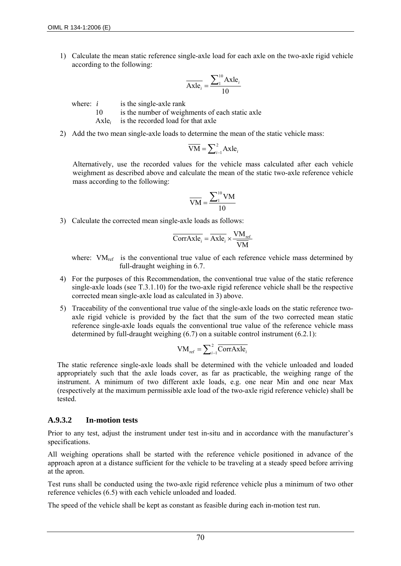1) Calculate the mean static reference single-axle load for each axle on the two-axle rigid vehicle according to the following:

$$
\overline{\text{Axle}_i} = \frac{\sum_1^{10} \text{Axle}_i}{10}
$$

where:  $i$  is the single-axle rank

10 is the number of weighments of each static axle

Axle*i* is the recorded load for that axle

2) Add the two mean single-axle loads to determine the mean of the static vehicle mass:

$$
\overline{\text{VM}} = \sum_{i=1}^{2} \text{Axle}_{i}
$$

Alternatively, use the recorded values for the vehicle mass calculated after each vehicle weighment as described above and calculate the mean of the static two-axle reference vehicle mass according to the following:

$$
\overline{VM} = \frac{\sum_{1}^{10} VM}{10}
$$

3) Calculate the corrected mean single-axle loads as follows:

$$
\overline{\text{CorrAxle}_i} = \overline{\text{Axle}_i} \times \frac{\text{VM}_{\text{ref}}}{\overline{\text{VM}}}
$$

where:  $VM_{ref}$  is the conventional true value of each reference vehicle mass determined by full-draught weighing in 6.7.

- 4) For the purposes of this Recommendation, the conventional true value of the static reference single-axle loads (see T.3.1.10) for the two-axle rigid reference vehicle shall be the respective corrected mean single-axle load as calculated in 3) above.
- 5) Traceability of the conventional true value of the single-axle loads on the static reference twoaxle rigid vehicle is provided by the fact that the sum of the two corrected mean static reference single-axle loads equals the conventional true value of the reference vehicle mass determined by full-draught weighing (6.7) on a suitable control instrument (6.2.1):

$$
VM_{ref} = \sum_{i=1}^{2} \overline{CorrAxle}_{i}
$$

The static reference single-axle loads shall be determined with the vehicle unloaded and loaded appropriately such that the axle loads cover, as far as practicable, the weighing range of the instrument. A minimum of two different axle loads, e.g. one near Min and one near Max (respectively at the maximum permissible axle load of the two-axle rigid reference vehicle) shall be tested.

## **A.9.3.2 In-motion tests**

Prior to any test, adjust the instrument under test in-situ and in accordance with the manufacturer's specifications.

All weighing operations shall be started with the reference vehicle positioned in advance of the approach apron at a distance sufficient for the vehicle to be traveling at a steady speed before arriving at the apron.

Test runs shall be conducted using the two-axle rigid reference vehicle plus a minimum of two other reference vehicles (6.5) with each vehicle unloaded and loaded.

The speed of the vehicle shall be kept as constant as feasible during each in-motion test run.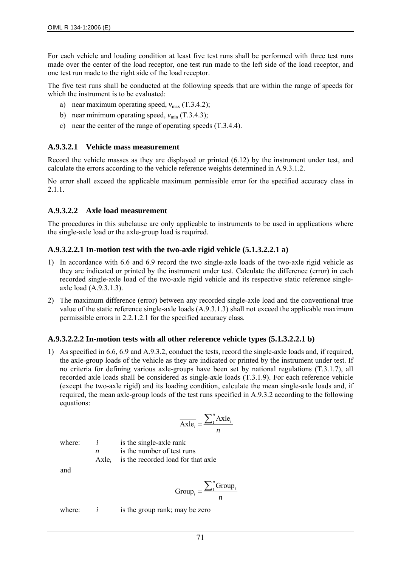For each vehicle and loading condition at least five test runs shall be performed with three test runs made over the center of the load receptor, one test run made to the left side of the load receptor, and one test run made to the right side of the load receptor.

The five test runs shall be conducted at the following speeds that are within the range of speeds for which the instrument is to be evaluated:

- a) near maximum operating speed,  $v_{\text{max}}$  (T.3.4.2);
- b) near minimum operating speed,  $v_{\text{min}}$  (T.3.4.3);
- c) near the center of the range of operating speeds (T.3.4.4).

## **A.9.3.2.1 Vehicle mass measurement**

Record the vehicle masses as they are displayed or printed (6.12) by the instrument under test, and calculate the errors according to the vehicle reference weights determined in A.9.3.1.2.

No error shall exceed the applicable maximum permissible error for the specified accuracy class in 2.1.1.

#### **A.9.3.2.2 Axle load measurement**

The procedures in this subclause are only applicable to instruments to be used in applications where the single-axle load or the axle-group load is required.

#### **A.9.3.2.2.1 In-motion test with the two-axle rigid vehicle (5.1.3.2.2.1 a)**

- 1) In accordance with 6.6 and 6.9 record the two single-axle loads of the two-axle rigid vehicle as they are indicated or printed by the instrument under test. Calculate the difference (error) in each recorded single-axle load of the two-axle rigid vehicle and its respective static reference singleaxle load (A.9.3.1.3).
- 2) The maximum difference (error) between any recorded single-axle load and the conventional true value of the static reference single-axle loads (A.9.3.1.3) shall not exceed the applicable maximum permissible errors in 2.2.1.2.1 for the specified accuracy class.

## **A.9.3.2.2.2 In-motion tests with all other reference vehicle types (5.1.3.2.2.1 b)**

1) As specified in 6.6, 6.9 and A.9.3.2, conduct the tests, record the single-axle loads and, if required, the axle-group loads of the vehicle as they are indicated or printed by the instrument under test. If no criteria for defining various axle-groups have been set by national regulations (T.3.1.7), all recorded axle loads shall be considered as single-axle loads (T.3.1.9). For each reference vehicle (except the two-axle rigid) and its loading condition, calculate the mean single-axle loads and, if required, the mean axle-group loads of the test runs specified in A.9.3.2 according to the following equations:

$$
\overline{\text{Axle}_i} = \frac{\sum_{i=1}^{n} \text{Axle}_i}{n}
$$

where:  $i$  is the single-axle rank *n* is the number of test runs

Axle*i* is the recorded load for that axle

and

$$
\overline{\text{Group}_i} = \frac{\sum_1^n \text{Group}_i}{n}
$$

where:  $i$  is the group rank; may be zero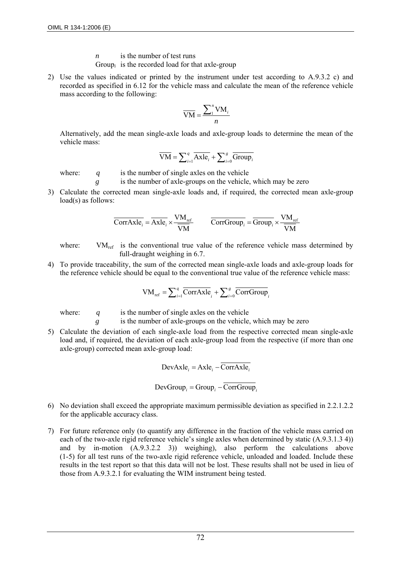- *n* is the number of test runs
- Group<sub>i</sub> is the recorded load for that axle-group
- 2) Use the values indicated or printed by the instrument under test according to A.9.3.2 c) and recorded as specified in 6.12 for the vehicle mass and calculate the mean of the reference vehicle mass according to the following:

$$
\overline{VM} = \frac{\sum_{i=1}^{n} VM_{i}}{n}
$$

Alternatively, add the mean single-axle loads and axle-group loads to determine the mean of the vehicle mass:

$$
\overline{VM} = \sum_{i=1}^{q} \overline{Axle}_{i} + \sum_{i=0}^{g} \overline{Group}_{i}
$$

where: *q* is the number of single axles on the vehicle

- *g* is the number of axle-groups on the vehicle, which may be zero
- 3) Calculate the corrected mean single-axle loads and, if required, the corrected mean axle-group load(s) as follows:

$$
\overline{\text{CorrAxle}_i} = \overline{\text{Axle}_i} \times \frac{\text{VM}_{\text{ref}}}{\overline{\text{VM}}} \qquad \overline{\text{CorrGroup}_i} = \overline{\text{Group}_i} \times \frac{\text{VM}_{\text{ref}}}{\overline{\text{VM}}}
$$

where:  $VM_{ref}$  is the conventional true value of the reference vehicle mass determined by full-draught weighing in 6.7.

4) To provide traceability, the sum of the corrected mean single-axle loads and axle-group loads for the reference vehicle should be equal to the conventional true value of the reference vehicle mass:

$$
VM_{ref} = \sum_{i=1}^{q} \overline{CorrAxle}_{i} + \sum_{i=0}^{g} \overline{CorrGroup}_{i}
$$

where: *q* is the number of single axles on the vehicle

*g* is the number of axle-groups on the vehicle, which may be zero

5) Calculate the deviation of each single-axle load from the respective corrected mean single-axle load and, if required, the deviation of each axle-group load from the respective (if more than one axle-group) corrected mean axle-group load:

$$
DevAxlei = Axlei - \overline{CorrAxlei}
$$

$$
DevGroup_i = Group_i - \overline{CorrGroup_i}
$$

- 6) No deviation shall exceed the appropriate maximum permissible deviation as specified in 2.2.1.2.2 for the applicable accuracy class.
- 7) For future reference only (to quantify any difference in the fraction of the vehicle mass carried on each of the two-axle rigid reference vehicle's single axles when determined by static (A.9.3.1.3 4)) and by in-motion (A.9.3.2.2 3)) weighing), also perform the calculations above (1-5) for all test runs of the two-axle rigid reference vehicle, unloaded and loaded. Include these results in the test report so that this data will not be lost. These results shall not be used in lieu of those from A.9.3.2.1 for evaluating the WIM instrument being tested.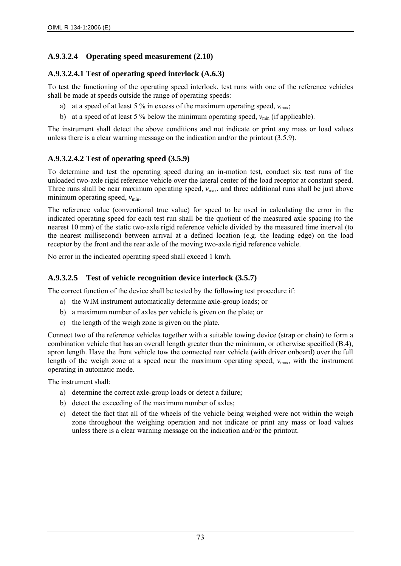# **A.9.3.2.4 Operating speed measurement (2.10)**

## **A.9.3.2.4.1 Test of operating speed interlock (A.6.3)**

To test the functioning of the operating speed interlock, test runs with one of the reference vehicles shall be made at speeds outside the range of operating speeds:

- a) at a speed of at least 5 % in excess of the maximum operating speed,  $v_{\text{max}}$ ;
- b) at a speed of at least 5 % below the minimum operating speed,  $v_{\text{min}}$  (if applicable).

The instrument shall detect the above conditions and not indicate or print any mass or load values unless there is a clear warning message on the indication and/or the printout (3.5.9).

## **A.9.3.2.4.2 Test of operating speed (3.5.9)**

To determine and test the operating speed during an in-motion test, conduct six test runs of the unloaded two-axle rigid reference vehicle over the lateral center of the load receptor at constant speed. Three runs shall be near maximum operating speed,  $v_{\text{max}}$ , and three additional runs shall be just above minimum operating speed,  $v_{\text{min}}$ .

The reference value (conventional true value) for speed to be used in calculating the error in the indicated operating speed for each test run shall be the quotient of the measured axle spacing (to the nearest 10 mm) of the static two-axle rigid reference vehicle divided by the measured time interval (to the nearest millisecond) between arrival at a defined location (e.g. the leading edge) on the load receptor by the front and the rear axle of the moving two-axle rigid reference vehicle.

No error in the indicated operating speed shall exceed 1 km/h.

## **A.9.3.2.5 Test of vehicle recognition device interlock (3.5.7)**

The correct function of the device shall be tested by the following test procedure if:

- a) the WIM instrument automatically determine axle-group loads; or
- b) a maximum number of axles per vehicle is given on the plate; or
- c) the length of the weigh zone is given on the plate.

Connect two of the reference vehicles together with a suitable towing device (strap or chain) to form a combination vehicle that has an overall length greater than the minimum, or otherwise specified (B.4), apron length. Have the front vehicle tow the connected rear vehicle (with driver onboard) over the full length of the weigh zone at a speed near the maximum operating speed,  $v_{\text{max}}$ , with the instrument operating in automatic mode.

The instrument shall:

- a) determine the correct axle-group loads or detect a failure;
- b) detect the exceeding of the maximum number of axles;
- c) detect the fact that all of the wheels of the vehicle being weighed were not within the weigh zone throughout the weighing operation and not indicate or print any mass or load values unless there is a clear warning message on the indication and/or the printout.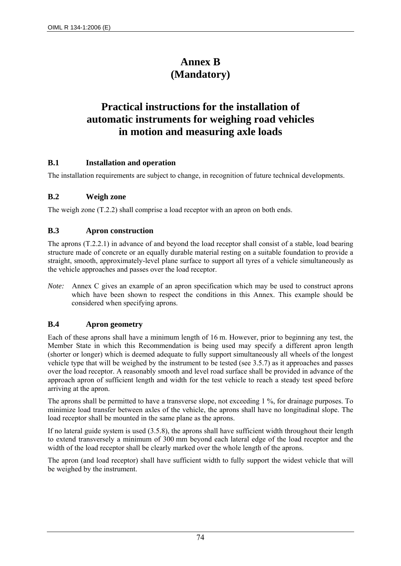# **Annex B (Mandatory)**

# **Practical instructions for the installation of automatic instruments for weighing road vehicles in motion and measuring axle loads**

### **B.1 Installation and operation**

The installation requirements are subject to change, in recognition of future technical developments.

#### **B.2 Weigh zone**

The weigh zone (T.2.2) shall comprise a load receptor with an apron on both ends.

#### **B.3 Apron construction**

The aprons (T.2.2.1) in advance of and beyond the load receptor shall consist of a stable, load bearing structure made of concrete or an equally durable material resting on a suitable foundation to provide a straight, smooth, approximately-level plane surface to support all tyres of a vehicle simultaneously as the vehicle approaches and passes over the load receptor.

*Note:* Annex C gives an example of an apron specification which may be used to construct aprons which have been shown to respect the conditions in this Annex. This example should be considered when specifying aprons.

### **B.4 Apron geometry**

Each of these aprons shall have a minimum length of 16 m. However, prior to beginning any test, the Member State in which this Recommendation is being used may specify a different apron length (shorter or longer) which is deemed adequate to fully support simultaneously all wheels of the longest vehicle type that will be weighed by the instrument to be tested (see 3.5.7) as it approaches and passes over the load receptor. A reasonably smooth and level road surface shall be provided in advance of the approach apron of sufficient length and width for the test vehicle to reach a steady test speed before arriving at the apron.

The aprons shall be permitted to have a transverse slope, not exceeding 1 %, for drainage purposes. To minimize load transfer between axles of the vehicle, the aprons shall have no longitudinal slope. The load receptor shall be mounted in the same plane as the aprons.

If no lateral guide system is used (3.5.8), the aprons shall have sufficient width throughout their length to extend transversely a minimum of 300 mm beyond each lateral edge of the load receptor and the width of the load receptor shall be clearly marked over the whole length of the aprons.

The apron (and load receptor) shall have sufficient width to fully support the widest vehicle that will be weighed by the instrument.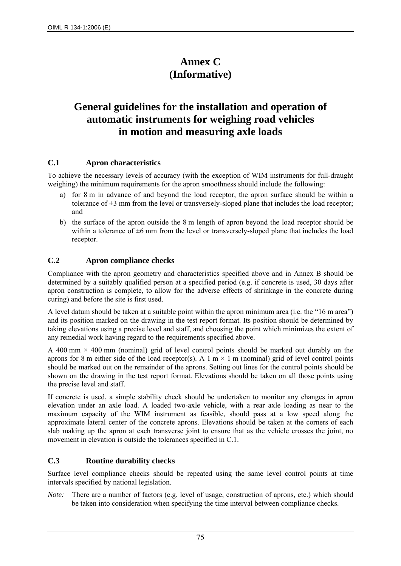# **Annex C (Informative)**

# **General guidelines for the installation and operation of automatic instruments for weighing road vehicles in motion and measuring axle loads**

### **C.1 Apron characteristics**

To achieve the necessary levels of accuracy (with the exception of WIM instruments for full-draught weighing) the minimum requirements for the apron smoothness should include the following:

- a) for 8 m in advance of and beyond the load receptor, the apron surface should be within a tolerance of  $\pm 3$  mm from the level or transversely-sloped plane that includes the load receptor; and
- b) the surface of the apron outside the 8 m length of apron beyond the load receptor should be within a tolerance of  $\pm 6$  mm from the level or transversely-sloped plane that includes the load receptor.

## **C.2 Apron compliance checks**

Compliance with the apron geometry and characteristics specified above and in Annex B should be determined by a suitably qualified person at a specified period (e.g. if concrete is used, 30 days after apron construction is complete, to allow for the adverse effects of shrinkage in the concrete during curing) and before the site is first used.

A level datum should be taken at a suitable point within the apron minimum area (i.e. the "16 m area") and its position marked on the drawing in the test report format. Its position should be determined by taking elevations using a precise level and staff, and choosing the point which minimizes the extent of any remedial work having regard to the requirements specified above.

A 400 mm  $\times$  400 mm (nominal) grid of level control points should be marked out durably on the aprons for 8 m either side of the load receptor(s). A 1 m  $\times$  1 m (nominal) grid of level control points should be marked out on the remainder of the aprons. Setting out lines for the control points should be shown on the drawing in the test report format. Elevations should be taken on all those points using the precise level and staff.

If concrete is used, a simple stability check should be undertaken to monitor any changes in apron elevation under an axle load. A loaded two-axle vehicle, with a rear axle loading as near to the maximum capacity of the WIM instrument as feasible, should pass at a low speed along the approximate lateral center of the concrete aprons. Elevations should be taken at the corners of each slab making up the apron at each transverse joint to ensure that as the vehicle crosses the joint, no movement in elevation is outside the tolerances specified in C.1.

### **C.3 Routine durability checks**

Surface level compliance checks should be repeated using the same level control points at time intervals specified by national legislation.

*Note:* There are a number of factors (e.g. level of usage, construction of aprons, etc.) which should be taken into consideration when specifying the time interval between compliance checks.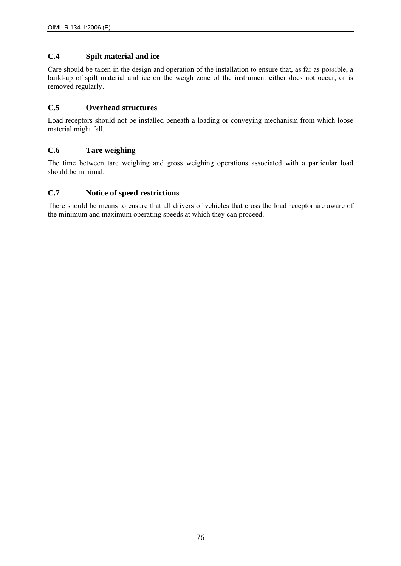## **C.4 Spilt material and ice**

Care should be taken in the design and operation of the installation to ensure that, as far as possible, a build-up of spilt material and ice on the weigh zone of the instrument either does not occur, or is removed regularly.

## **C.5 Overhead structures**

Load receptors should not be installed beneath a loading or conveying mechanism from which loose material might fall.

### **C.6 Tare weighing**

The time between tare weighing and gross weighing operations associated with a particular load should be minimal.

### **C.7 Notice of speed restrictions**

There should be means to ensure that all drivers of vehicles that cross the load receptor are aware of the minimum and maximum operating speeds at which they can proceed.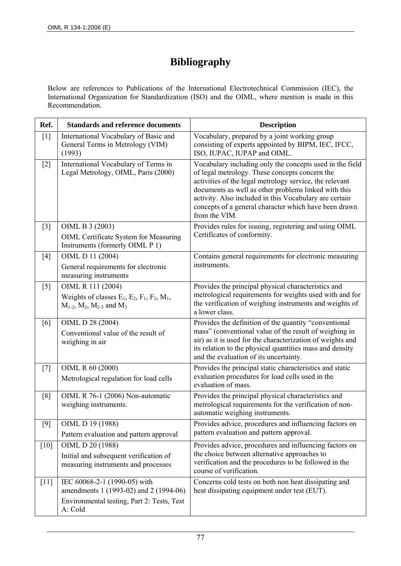# **Bibliography**

Below are references to Publications of the International Electrotechnical Commission (IEC), the International Organization for Standardization (ISO) and the OIML, where mention is made in this Recommendation.

| Ref.   | <b>Standards and reference documents</b>                                                                                        | <b>Description</b>                                                                                                                                                                                                                                                                                                                                                |
|--------|---------------------------------------------------------------------------------------------------------------------------------|-------------------------------------------------------------------------------------------------------------------------------------------------------------------------------------------------------------------------------------------------------------------------------------------------------------------------------------------------------------------|
| $[1]$  | International Vocabulary of Basic and<br>General Terms in Metrology (VIM)<br>(1993)                                             | Vocabulary, prepared by a joint working group<br>consisting of experts appointed by BIPM, IEC, IFCC,<br>ISO, IUPAC, IUPAP and OIML.                                                                                                                                                                                                                               |
| $[2]$  | International Vocabulary of Terms in<br>Legal Metrology, OIML, Paris (2000)                                                     | Vocabulary including only the concepts used in the field<br>of legal metrology. These concepts concern the<br>activities of the legal metrology service, the relevant<br>documents as well as other problems linked with this<br>activity. Also included in this Vocabulary are certain<br>concepts of a general character which have been drawn<br>from the VIM. |
| $[3]$  | OIML B 3 (2003)<br><b>OIML Certificate System for Measuring</b><br>Instruments (formerly OIML P 1)                              | Provides rules for issuing, registering and using OIML<br>Certificates of conformity.                                                                                                                                                                                                                                                                             |
| $[4]$  | OIML D 11 (2004)<br>General requirements for electronic<br>measuring instruments                                                | Contains general requirements for electronic measuring<br>instruments.                                                                                                                                                                                                                                                                                            |
| $[5]$  | OIML R 111 (2004)<br>Weights of classes $E_1$ , $E_2$ , $F_1$ , $F_2$ , $M_1$ ,<br>$M_{1-2}$ , $M_2$ , $M_{2-3}$ and $M_3$      | Provides the principal physical characteristics and<br>metrological requirements for weights used with and for<br>the verification of weighing instruments and weights of<br>a lower class.                                                                                                                                                                       |
| [6]    | OIML D 28 (2004)<br>Conventional value of the result of<br>weighing in air                                                      | Provides the definition of the quantity "conventional<br>mass" (conventional value of the result of weighing in<br>air) as it is used for the characterization of weights and<br>its relation to the physical quantities mass and density<br>and the evaluation of its uncertainty.                                                                               |
| $[7]$  | OIML R 60 (2000)<br>Metrological regulation for load cells                                                                      | Provides the principal static characteristics and static<br>evaluation procedures for load cells used in the<br>evaluation of mass.                                                                                                                                                                                                                               |
| [8]    | OIML R 76-1 (2006) Non-automatic<br>weighing instruments.                                                                       | Provides the principal physical characteristics and<br>metrological requirements for the verification of non-<br>automatic weighing instruments.                                                                                                                                                                                                                  |
| $[9]$  | OIML D 19 (1988)<br>Pattern evaluation and pattern approval                                                                     | Provides advice, procedures and influencing factors on<br>pattern evaluation and pattern approval.                                                                                                                                                                                                                                                                |
| $[10]$ | OIML D 20 (1988)<br>Initial and subsequent verification of<br>measuring instruments and processes                               | Provides advice, procedures and influencing factors on<br>the choice between alternative approaches to<br>verification and the procedures to be followed in the<br>course of verification.                                                                                                                                                                        |
| $[11]$ | IEC 60068-2-1 (1990-05) with<br>amendments 1 (1993-02) and 2 (1994-06)<br>Environmental testing, Part 2: Tests, Test<br>A: Cold | Concerns cold tests on both non heat dissipating and<br>heat dissipating equipment under test (EUT).                                                                                                                                                                                                                                                              |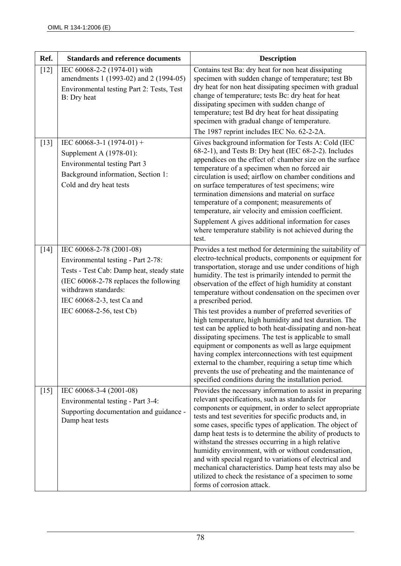| Ref.   | <b>Standards and reference documents</b>                                                                                                                                                                                                | <b>Description</b>                                                                                                                                                                                                                                                                                                                                                                                                                                                                                                                                                                                                                                                                                                                                                                                                                                                                                                               |
|--------|-----------------------------------------------------------------------------------------------------------------------------------------------------------------------------------------------------------------------------------------|----------------------------------------------------------------------------------------------------------------------------------------------------------------------------------------------------------------------------------------------------------------------------------------------------------------------------------------------------------------------------------------------------------------------------------------------------------------------------------------------------------------------------------------------------------------------------------------------------------------------------------------------------------------------------------------------------------------------------------------------------------------------------------------------------------------------------------------------------------------------------------------------------------------------------------|
| $[12]$ | IEC 60068-2-2 (1974-01) with<br>amendments 1 (1993-02) and 2 (1994-05)<br>Environmental testing Part 2: Tests, Test<br>B: Dry heat                                                                                                      | Contains test Ba: dry heat for non heat dissipating<br>specimen with sudden change of temperature; test Bb<br>dry heat for non heat dissipating specimen with gradual<br>change of temperature; tests Bc: dry heat for heat<br>dissipating specimen with sudden change of<br>temperature; test Bd dry heat for heat dissipating<br>specimen with gradual change of temperature.<br>The 1987 reprint includes IEC No. 62-2-2A.                                                                                                                                                                                                                                                                                                                                                                                                                                                                                                    |
| $[13]$ | IEC 60068-3-1 $(1974-01)$ +<br>Supplement A (1978-01):<br>Environmental testing Part 3<br>Background information, Section 1:<br>Cold and dry heat tests                                                                                 | Gives background information for Tests A: Cold (IEC<br>68-2-1), and Tests B: Dry heat (IEC 68-2-2). Includes<br>appendices on the effect of: chamber size on the surface<br>temperature of a specimen when no forced air<br>circulation is used; airflow on chamber conditions and<br>on surface temperatures of test specimens; wire<br>termination dimensions and material on surface<br>temperature of a component; measurements of<br>temperature, air velocity and emission coefficient.<br>Supplement A gives additional information for cases<br>where temperature stability is not achieved during the                                                                                                                                                                                                                                                                                                                   |
| $[14]$ | IEC 60068-2-78 (2001-08)<br>Environmental testing - Part 2-78:<br>Tests - Test Cab: Damp heat, steady state<br>(IEC 60068-2-78 replaces the following<br>withdrawn standards:<br>IEC 60068-2-3, test Ca and<br>IEC 60068-2-56, test Cb) | test.<br>Provides a test method for determining the suitability of<br>electro-technical products, components or equipment for<br>transportation, storage and use under conditions of high<br>humidity. The test is primarily intended to permit the<br>observation of the effect of high humidity at constant<br>temperature without condensation on the specimen over<br>a prescribed period.<br>This test provides a number of preferred severities of<br>high temperature, high humidity and test duration. The<br>test can be applied to both heat-dissipating and non-heat<br>dissipating specimens. The test is applicable to small<br>equipment or components as well as large equipment<br>having complex interconnections with test equipment<br>external to the chamber, requiring a setup time which<br>prevents the use of preheating and the maintenance of<br>specified conditions during the installation period. |
| $[15]$ | IEC 60068-3-4 (2001-08)<br>Environmental testing - Part 3-4:<br>Supporting documentation and guidance -<br>Damp heat tests                                                                                                              | Provides the necessary information to assist in preparing<br>relevant specifications, such as standards for<br>components or equipment, in order to select appropriate<br>tests and test severities for specific products and, in<br>some cases, specific types of application. The object of<br>damp heat tests is to determine the ability of products to<br>withstand the stresses occurring in a high relative<br>humidity environment, with or without condensation,<br>and with special regard to variations of electrical and<br>mechanical characteristics. Damp heat tests may also be<br>utilized to check the resistance of a specimen to some<br>forms of corrosion attack.                                                                                                                                                                                                                                          |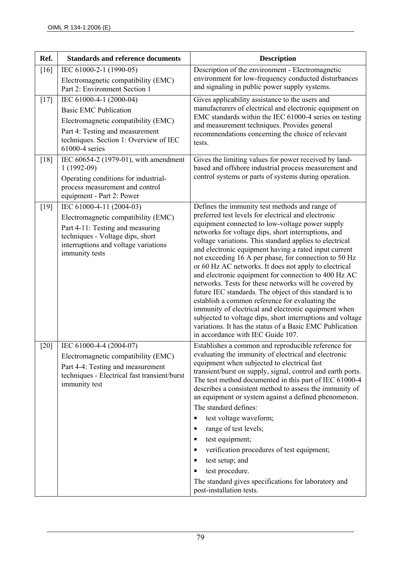| Ref.   | <b>Standards and reference documents</b>                                                                                                                                                          | <b>Description</b>                                                                                                                                                                                                                                                                                                                                                                                                                                                                                                                                                                                                                                                                                                                                                                                                                                                                                          |
|--------|---------------------------------------------------------------------------------------------------------------------------------------------------------------------------------------------------|-------------------------------------------------------------------------------------------------------------------------------------------------------------------------------------------------------------------------------------------------------------------------------------------------------------------------------------------------------------------------------------------------------------------------------------------------------------------------------------------------------------------------------------------------------------------------------------------------------------------------------------------------------------------------------------------------------------------------------------------------------------------------------------------------------------------------------------------------------------------------------------------------------------|
| [16]   | IEC 61000-2-1 (1990-05)<br>Electromagnetic compatibility (EMC)<br>Part 2: Environment Section 1                                                                                                   | Description of the environment - Electromagnetic<br>environment for low-frequency conducted disturbances<br>and signaling in public power supply systems.                                                                                                                                                                                                                                                                                                                                                                                                                                                                                                                                                                                                                                                                                                                                                   |
| $[17]$ | IEC 61000-4-1 (2000-04)<br><b>Basic EMC Publication</b><br>Electromagnetic compatibility (EMC)<br>Part 4: Testing and measurement<br>techniques. Section 1: Overview of IEC<br>61000-4 series     | Gives applicability assistance to the users and<br>manufacturers of electrical and electronic equipment on<br>EMC standards within the IEC 61000-4 series on testing<br>and measurement techniques. Provides general<br>recommendations concerning the choice of relevant<br>tests.                                                                                                                                                                                                                                                                                                                                                                                                                                                                                                                                                                                                                         |
| [18]   | IEC 60654-2 (1979-01), with amendment<br>$1(1992-09)$<br>Operating conditions for industrial-<br>process measurement and control<br>equipment - Part 2: Power                                     | Gives the limiting values for power received by land-<br>based and offshore industrial process measurement and<br>control systems or parts of systems during operation.                                                                                                                                                                                                                                                                                                                                                                                                                                                                                                                                                                                                                                                                                                                                     |
| $[19]$ | IEC 61000-4-11 (2004-03)<br>Electromagnetic compatibility (EMC)<br>Part 4-11: Testing and measuring<br>techniques - Voltage dips, short<br>interruptions and voltage variations<br>immunity tests | Defines the immunity test methods and range of<br>preferred test levels for electrical and electronic<br>equipment connected to low-voltage power supply<br>networks for voltage dips, short interruptions, and<br>voltage variations. This standard applies to electrical<br>and electronic equipment having a rated input current<br>not exceeding 16 A per phase, for connection to 50 Hz<br>or 60 Hz AC networks. It does not apply to electrical<br>and electronic equipment for connection to 400 Hz AC<br>networks. Tests for these networks will be covered by<br>future IEC standards. The object of this standard is to<br>establish a common reference for evaluating the<br>immunity of electrical and electronic equipment when<br>subjected to voltage dips, short interruptions and voltage<br>variations. It has the status of a Basic EMC Publication<br>in accordance with IEC Guide 107. |
| $[20]$ | IEC 61000-4-4 (2004-07)<br>Electromagnetic compatibility (EMC)<br>Part 4-4: Testing and measurement<br>techniques - Electrical fast transient/burst<br>immunity test                              | Establishes a common and reproducible reference for<br>evaluating the immunity of electrical and electronic<br>equipment when subjected to electrical fast<br>transient/burst on supply, signal, control and earth ports.<br>The test method documented in this part of IEC 61000-4<br>describes a consistent method to assess the immunity of<br>an equipment or system against a defined phenomenon.<br>The standard defines:<br>test voltage waveform;<br>٠<br>range of test levels;<br>п<br>test equipment;<br>п<br>verification procedures of test equipment;<br>п<br>test setup; and<br>п<br>test procedure.<br>п<br>The standard gives specifications for laboratory and<br>post-installation tests.                                                                                                                                                                                                 |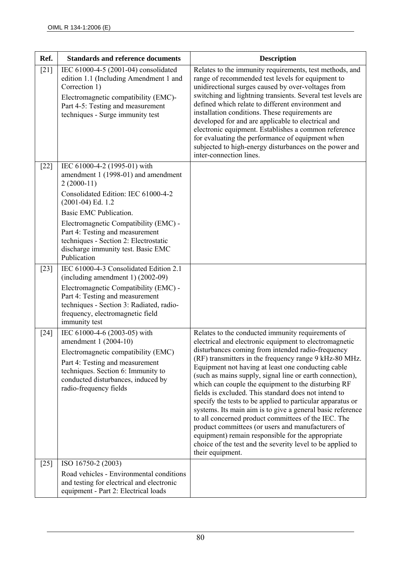| Ref.   | <b>Standards and reference documents</b>                                                                                                                                                                                                                                                                                                              | <b>Description</b>                                                                                                                                                                                                                                                                                                                                                                                                                                                                                                                                                                                                                                                                                                                                                                                                                         |
|--------|-------------------------------------------------------------------------------------------------------------------------------------------------------------------------------------------------------------------------------------------------------------------------------------------------------------------------------------------------------|--------------------------------------------------------------------------------------------------------------------------------------------------------------------------------------------------------------------------------------------------------------------------------------------------------------------------------------------------------------------------------------------------------------------------------------------------------------------------------------------------------------------------------------------------------------------------------------------------------------------------------------------------------------------------------------------------------------------------------------------------------------------------------------------------------------------------------------------|
| $[21]$ | IEC 61000-4-5 (2001-04) consolidated<br>edition 1.1 (Including Amendment 1 and<br>Correction 1)<br>Electromagnetic compatibility (EMC)-<br>Part 4-5: Testing and measurement<br>techniques - Surge immunity test                                                                                                                                      | Relates to the immunity requirements, test methods, and<br>range of recommended test levels for equipment to<br>unidirectional surges caused by over-voltages from<br>switching and lightning transients. Several test levels are<br>defined which relate to different environment and<br>installation conditions. These requirements are<br>developed for and are applicable to electrical and<br>electronic equipment. Establishes a common reference<br>for evaluating the performance of equipment when<br>subjected to high-energy disturbances on the power and<br>inter-connection lines.                                                                                                                                                                                                                                           |
| $[22]$ | IEC 61000-4-2 (1995-01) with<br>amendment 1 (1998-01) and amendment<br>$2(2000-11)$<br>Consolidated Edition: IEC 61000-4-2<br>$(2001-04)$ Ed. 1.2<br>Basic EMC Publication.<br>Electromagnetic Compatibility (EMC) -<br>Part 4: Testing and measurement<br>techniques - Section 2: Electrostatic<br>discharge immunity test. Basic EMC<br>Publication |                                                                                                                                                                                                                                                                                                                                                                                                                                                                                                                                                                                                                                                                                                                                                                                                                                            |
| $[23]$ | IEC 61000-4-3 Consolidated Edition 2.1<br>$(including amendment 1) (2002-09)$<br>Electromagnetic Compatibility (EMC) -<br>Part 4: Testing and measurement<br>techniques - Section 3: Radiated, radio-<br>frequency, electromagnetic field<br>immunity test                                                                                            |                                                                                                                                                                                                                                                                                                                                                                                                                                                                                                                                                                                                                                                                                                                                                                                                                                            |
| $[24]$ | IEC 61000-4-6 (2003-05) with<br>amendment 1 (2004-10)<br>Electromagnetic compatibility (EMC)<br>Part 4: Testing and measurement<br>techniques. Section 6: Immunity to<br>conducted disturbances, induced by<br>radio-frequency fields                                                                                                                 | Relates to the conducted immunity requirements of<br>electrical and electronic equipment to electromagnetic<br>disturbances coming from intended radio-frequency<br>(RF) transmitters in the frequency range 9 kHz-80 MHz.<br>Equipment not having at least one conducting cable<br>(such as mains supply, signal line or earth connection),<br>which can couple the equipment to the disturbing RF<br>fields is excluded. This standard does not intend to<br>specify the tests to be applied to particular apparatus or<br>systems. Its main aim is to give a general basic reference<br>to all concerned product committees of the IEC. The<br>product committees (or users and manufacturers of<br>equipment) remain responsible for the appropriate<br>choice of the test and the severity level to be applied to<br>their equipment. |
| $[25]$ | ISO 16750-2 (2003)<br>Road vehicles - Environmental conditions<br>and testing for electrical and electronic<br>equipment - Part 2: Electrical loads                                                                                                                                                                                                   |                                                                                                                                                                                                                                                                                                                                                                                                                                                                                                                                                                                                                                                                                                                                                                                                                                            |